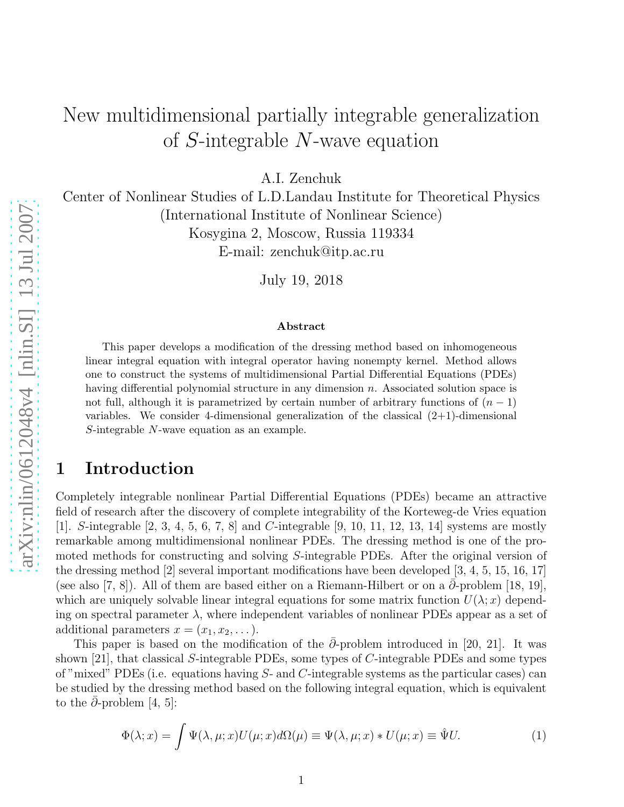# New multidimensional partially integrable generalization of S-integrable N-wave equation

A.I. Zenchuk

Center of Nonlinear Studies of L.D.Landau Institute for Theoretical Physics (International Institute of Nonlinear Science) Kosygina 2, Moscow, Russia 119334

E-mail: zenchuk@itp.ac.ru

July 19, 2018

#### Abstract

This paper develops a modification of the dressing method based on inhomogeneous linear integral equation with integral operator having nonempty kernel. Method allows one to construct the systems of multidimensional Partial Differential Equations (PDEs) having differential polynomial structure in any dimension n. Associated solution space is not full, although it is parametrized by certain number of arbitrary functions of  $(n - 1)$ variables. We consider 4-dimensional generalization of the classical  $(2+1)$ -dimensional S-integrable N-wave equation as an example.

### 1 Introduction

Completely integrable nonlinear Partial Differential Equations (PDEs) became an attractive field of research after the discovery of complete integrability of the Korteweg-de Vries equation [1]. S-integrable [2, 3, 4, 5, 6, 7, 8] and C-integrable [9, 10, 11, 12, 13, 14] systems are mostly remarkable among multidimensional nonlinear PDEs. The dressing method is one of the promoted methods for constructing and solving S-integrable PDEs. After the original version of the dressing method [2] several important modifications have been developed [3, 4, 5, 15, 16, 17] (see also [7, 8]). All of them are based either on a Riemann-Hilbert or on a  $\partial$ -problem [18, 19], which are uniquely solvable linear integral equations for some matrix function  $U(\lambda; x)$  depending on spectral parameter  $\lambda$ , where independent variables of nonlinear PDEs appear as a set of additional parameters  $x = (x_1, x_2, \dots).$ 

This paper is based on the modification of the  $\partial$ -problem introduced in [20, 21]. It was shown [21], that classical S-integrable PDEs, some types of C-integrable PDEs and some types of "mixed" PDEs (i.e. equations having  $S<sub>-</sub>$  and C-integrable systems as the particular cases) can be studied by the dressing method based on the following integral equation, which is equivalent to the  $\partial$ -problem [4, 5]:

$$
\Phi(\lambda; x) = \int \Psi(\lambda, \mu; x) U(\mu; x) d\Omega(\mu) \equiv \Psi(\lambda, \mu; x) * U(\mu; x) \equiv \hat{\Psi} U.
$$
\n(1)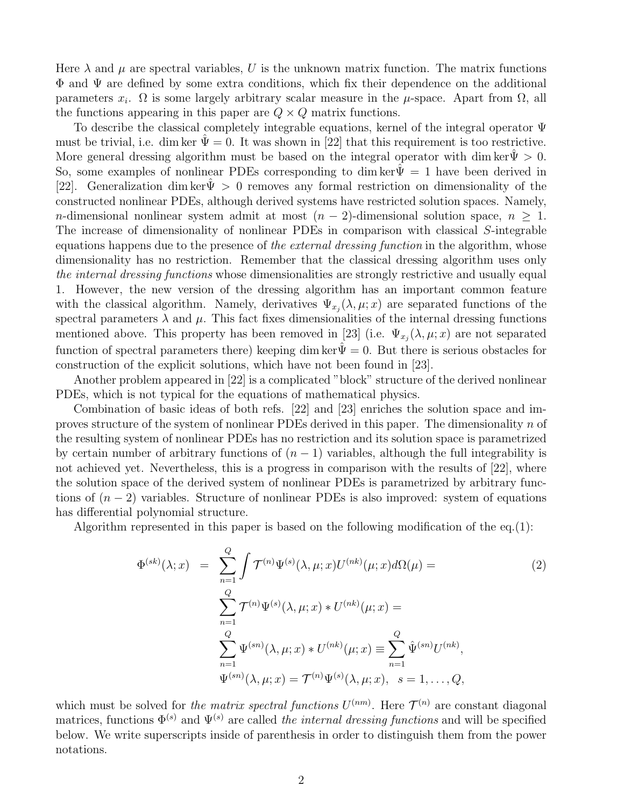Here  $\lambda$  and  $\mu$  are spectral variables, U is the unknown matrix function. The matrix functions Φ and Ψ are defined by some extra conditions, which fix their dependence on the additional parameters  $x_i$ .  $\Omega$  is some largely arbitrary scalar measure in the  $\mu$ -space. Apart from  $\Omega$ , all the functions appearing in this paper are  $Q \times Q$  matrix functions.

To describe the classical completely integrable equations, kernel of the integral operator Ψ must be trivial, i.e. dim ker  $\Psi = 0$ . It was shown in [22] that this requirement is too restrictive. More general dressing algorithm must be based on the integral operator with dim ker $\Psi > 0$ . So, some examples of nonlinear PDEs corresponding to dim ker $\tilde{\Psi} = 1$  have been derived in [22]. Generalization dim ker $\Psi > 0$  removes any formal restriction on dimensionality of the constructed nonlinear PDEs, although derived systems have restricted solution spaces. Namely, n-dimensional nonlinear system admit at most  $(n-2)$ -dimensional solution space,  $n \geq 1$ . The increase of dimensionality of nonlinear PDEs in comparison with classical S-integrable equations happens due to the presence of the external dressing function in the algorithm, whose dimensionality has no restriction. Remember that the classical dressing algorithm uses only the internal dressing functions whose dimensionalities are strongly restrictive and usually equal 1. However, the new version of the dressing algorithm has an important common feature with the classical algorithm. Namely, derivatives  $\Psi_{x_j}(\lambda,\mu;x)$  are separated functions of the spectral parameters  $\lambda$  and  $\mu$ . This fact fixes dimensionalities of the internal dressing functions mentioned above. This property has been removed in [23] (i.e.  $\Psi_{x_j}(\lambda,\mu;x)$  are not separated function of spectral parameters there) keeping dim ker $\Psi = 0$ . But there is serious obstacles for construction of the explicit solutions, which have not been found in [23].

Another problem appeared in [22] is a complicated "block" structure of the derived nonlinear PDEs, which is not typical for the equations of mathematical physics.

Combination of basic ideas of both refs. [22] and [23] enriches the solution space and improves structure of the system of nonlinear PDEs derived in this paper. The dimensionality  $n$  of the resulting system of nonlinear PDEs has no restriction and its solution space is parametrized by certain number of arbitrary functions of  $(n-1)$  variables, although the full integrability is not achieved yet. Nevertheless, this is a progress in comparison with the results of [22], where the solution space of the derived system of nonlinear PDEs is parametrized by arbitrary functions of  $(n-2)$  variables. Structure of nonlinear PDEs is also improved: system of equations has differential polynomial structure.

Algorithm represented in this paper is based on the following modification of the  $eq.(1)$ :

$$
\Phi^{(sk)}(\lambda; x) = \sum_{n=1}^{Q} \int \mathcal{T}^{(n)} \Psi^{(s)}(\lambda, \mu; x) U^{(nk)}(\mu; x) d\Omega(\mu) =
$$
\n
$$
\sum_{n=1}^{Q} \mathcal{T}^{(n)} \Psi^{(s)}(\lambda, \mu; x) * U^{(nk)}(\mu; x) =
$$
\n
$$
\sum_{n=1}^{Q} \Psi^{(sn)}(\lambda, \mu; x) * U^{(nk)}(\mu; x) = \sum_{n=1}^{Q} \hat{\Psi}^{(sn)} U^{(nk)},
$$
\n
$$
\Psi^{(sn)}(\lambda, \mu; x) = \mathcal{T}^{(n)} \Psi^{(s)}(\lambda, \mu; x), \quad s = 1, ..., Q,
$$
\n(11)

which must be solved for the matrix spectral functions  $U^{(nm)}$ . Here  $\mathcal{T}^{(n)}$  are constant diagonal matrices, functions  $\Phi^{(s)}$  and  $\Psi^{(s)}$  are called the internal dressing functions and will be specified below. We write superscripts inside of parenthesis in order to distinguish them from the power notations.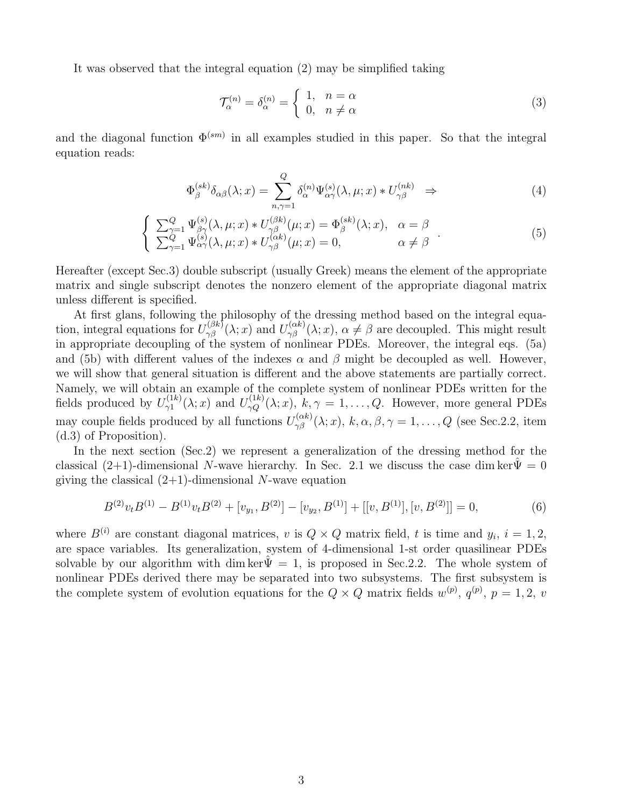It was observed that the integral equation (2) may be simplified taking

$$
\mathcal{T}_{\alpha}^{(n)} = \delta_{\alpha}^{(n)} = \begin{cases} 1, & n = \alpha \\ 0, & n \neq \alpha \end{cases} \tag{3}
$$

and the diagonal function  $\Phi^{(sm)}$  in all examples studied in this paper. So that the integral equation reads:

$$
\Phi_{\beta}^{(sk)}\delta_{\alpha\beta}(\lambda;x) = \sum_{n,\gamma=1}^{Q} \delta_{\alpha}^{(n)}\Psi_{\alpha\gamma}^{(s)}(\lambda,\mu;x) * U_{\gamma\beta}^{(nk)} \Rightarrow
$$
\n(4)

$$
\begin{cases}\n\sum_{\gamma=1}^{Q} \Psi_{\beta\gamma}^{(s)}(\lambda,\mu;x) * U_{\gamma\beta}^{(\beta k)}(\mu;x) = \Phi_{\beta}^{(sk)}(\lambda;x), & \alpha = \beta \\
\sum_{\gamma=1}^{Q} \Psi_{\alpha\gamma}^{(s)}(\lambda,\mu;x) * U_{\gamma\beta}^{(\alpha k)}(\mu;x) = 0, & \alpha \neq \beta\n\end{cases} (5)
$$

Hereafter (except Sec.3) double subscript (usually Greek) means the element of the appropriate matrix and single subscript denotes the nonzero element of the appropriate diagonal matrix unless different is specified.

At first glans, following the philosophy of the dressing method based on the integral equation, integral equations for  $U_{\gamma\beta}^{(\beta k)}(\lambda; x)$  and  $U_{\gamma\beta}^{(\alpha k)}(\lambda; x)$ ,  $\alpha \neq \beta$  are decoupled. This might result in appropriate decoupling of the system of nonlinear PDEs. Moreover, the integral eqs. (5a) and (5b) with different values of the indexes  $\alpha$  and  $\beta$  might be decoupled as well. However, we will show that general situation is different and the above statements are partially correct. Namely, we will obtain an example of the complete system of nonlinear PDEs written for the fields produced by  $U_{\gamma 1}^{(1k)}$  $V_{\gamma 1}^{(1k)}(\lambda; x)$  and  $U_{\gamma Q}^{(1k)}(\lambda; x)$ ,  $k, \gamma = 1, \ldots, Q$ . However, more general PDEs may couple fields produced by all functions  $U_{\gamma\beta}^{(\alpha k)}(\lambda;x)$ ,  $k, \alpha, \beta, \gamma = 1, \ldots, Q$  (see Sec. 2.2, item (d.3) of Proposition).

In the next section (Sec.2) we represent a generalization of the dressing method for the classical (2+1)-dimensional N-wave hierarchy. In Sec. 2.1 we discuss the case dim ker $\hat{\Psi} = 0$ giving the classical  $(2+1)$ -dimensional N-wave equation

$$
B^{(2)}v_tB^{(1)} - B^{(1)}v_tB^{(2)} + [v_{y_1}, B^{(2)}] - [v_{y_2}, B^{(1)}] + [[v, B^{(1)}], [v, B^{(2)}]] = 0,
$$
\n
$$
(6)
$$

where  $B^{(i)}$  are constant diagonal matrices, v is  $Q \times Q$  matrix field, t is time and  $y_i$ ,  $i = 1, 2$ , are space variables. Its generalization, system of 4-dimensional 1-st order quasilinear PDEs solvable by our algorithm with dim ker $\Psi = 1$ , is proposed in Sec. 2.2. The whole system of nonlinear PDEs derived there may be separated into two subsystems. The first subsystem is the complete system of evolution equations for the  $Q \times Q$  matrix fields  $w^{(p)}$ ,  $q^{(p)}$ ,  $p = 1, 2, v$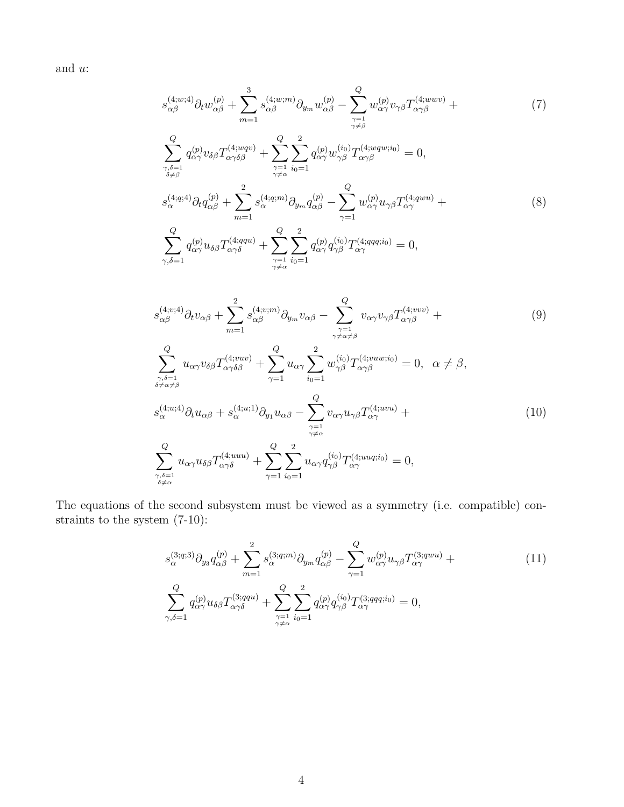and u:

$$
s^{(4;w;4)}_{\alpha\beta}\partial_t w^{(p)}_{\alpha\beta} + \sum_{m=1}^3 s^{(4;w;m)}_{\alpha\beta}\partial_{y_m} w^{(p)}_{\alpha\beta} - \sum_{\substack{\gamma=1\\ \gamma\neq\beta}}^Q w^{(p)}_{\alpha\gamma} v_{\gamma\beta} T^{(4;wwv)}_{\alpha\gamma\beta} + \tag{7}
$$

$$
\sum_{\substack{\gamma,\delta=1\\ \delta\neq\beta}}^{Q} q_{\alpha\gamma}^{(p)} v_{\delta\beta} T_{\alpha\gamma\delta\beta}^{(4;wqv)} + \sum_{\substack{\gamma=1\\ \gamma\neq\alpha}}^{Q} \sum_{i_0=1}^{2} q_{\alpha\gamma}^{(p)} w_{\gamma\beta}^{(i_0)} T_{\alpha\gamma\beta}^{(4;wqw;i_0)} = 0,
$$
\n
$$
s_{\alpha}^{(4;q;4)} \partial_t q_{\alpha\beta}^{(p)} + \sum_{m=1}^{2} s_{\alpha}^{(4;q;m)} \partial_{ym} q_{\alpha\beta}^{(p)} - \sum_{\gamma=1}^{Q} w_{\alpha\gamma}^{(p)} u_{\gamma\beta} T_{\alpha\gamma}^{(4;qwu)} + \sum_{\gamma=1}^{Q} q_{\alpha\gamma}^{(p)} u_{\delta\beta} T_{\alpha\gamma\delta}^{(4;qqu)} + \sum_{\substack{\gamma=1\\ \gamma\neq\alpha}}^{Q} q_{\alpha\gamma}^{(p)} u_{\delta\beta} T_{\alpha\gamma\delta}^{(4;qqu)} + \sum_{\substack{\gamma=1\\ \gamma\neq\alpha}}^{Q} \sum_{i_0=1}^{2} q_{\alpha\gamma}^{(p)} q_{\gamma\beta}^{(i_0)} T_{\alpha\gamma}^{(4;qqi;i_0)} = 0,
$$
\n
$$
(8)
$$

$$
s_{\alpha\beta}^{(4;v;4)}\partial_t v_{\alpha\beta} + \sum_{m=1}^2 s_{\alpha\beta}^{(4;v;m)}\partial_{y_m} v_{\alpha\beta} - \sum_{\substack{\gamma=1\\ \gamma \neq \alpha \neq \beta}}^Q v_{\alpha\gamma} v_{\gamma\beta} T_{\alpha\gamma\beta}^{(4;vvv)} +
$$
\n
$$
Q \qquad Q \qquad 2
$$
\n(9)

$$
\sum_{\substack{\gamma,\delta=1\\ \delta\neq \alpha\neq \beta}}^{\mathcal{Q}} u_{\alpha\gamma} v_{\delta\beta} T_{\alpha\gamma\delta\beta}^{(4;vw)} + \sum_{\gamma=1}^{\mathcal{Q}} u_{\alpha\gamma} \sum_{i_0=1}^{\mathcal{Q}} w_{\gamma\beta}^{(i_0)} T_{\alpha\gamma\beta}^{(4;vw;i_0)} = 0, \quad \alpha \neq \beta,
$$
  

$$
s_{\alpha}^{(4;u;4)} \partial_t u_{\alpha\beta} + s_{\alpha}^{(4;u;1)} \partial_{y_1} u_{\alpha\beta} - \sum_{\substack{\gamma=1\\ \gamma\neq \alpha}}^{\mathcal{Q}} v_{\alpha\gamma} u_{\gamma\beta} T_{\alpha\gamma}^{(4;uvu)} + \sum_{\substack{\gamma=1\\ \gamma\neq \alpha}}^{\mathcal{Q}} u_{\alpha\gamma} u_{\delta\beta} T_{\alpha\gamma\delta}^{(4;uuu)} + \sum_{\gamma=1}^{\mathcal{Q}} \sum_{i_0=1}^2 u_{\alpha\gamma} q_{\gamma\beta}^{(i_0)} T_{\alpha\gamma}^{(4;uuq;i_0)} = 0,
$$
 (10)

The equations of the second subsystem must be viewed as a symmetry (i.e. compatible) constraints to the system (7-10):

$$
s_{\alpha}^{(3;q;3)} \partial_{y_3} q_{\alpha\beta}^{(p)} + \sum_{m=1}^{2} s_{\alpha}^{(3;q;m)} \partial_{y_m} q_{\alpha\beta}^{(p)} - \sum_{\gamma=1}^{Q} w_{\alpha\gamma}^{(p)} u_{\gamma\beta} T_{\alpha\gamma}^{(3;quu)} + \sum_{\gamma,\delta=1}^{Q} q_{\alpha\gamma}^{(p)} u_{\delta\beta} T_{\alpha\gamma\delta}^{(3;qqu)} + \sum_{\substack{\gamma=1 \ \gamma \neq \alpha}}^{Q} \sum_{i_0=1}^{2} q_{\alpha\gamma}^{(p)} q_{\gamma\beta}^{(i_0)} T_{\alpha\gamma}^{(3;qq;i_0)} = 0,
$$
\n
$$
(11)
$$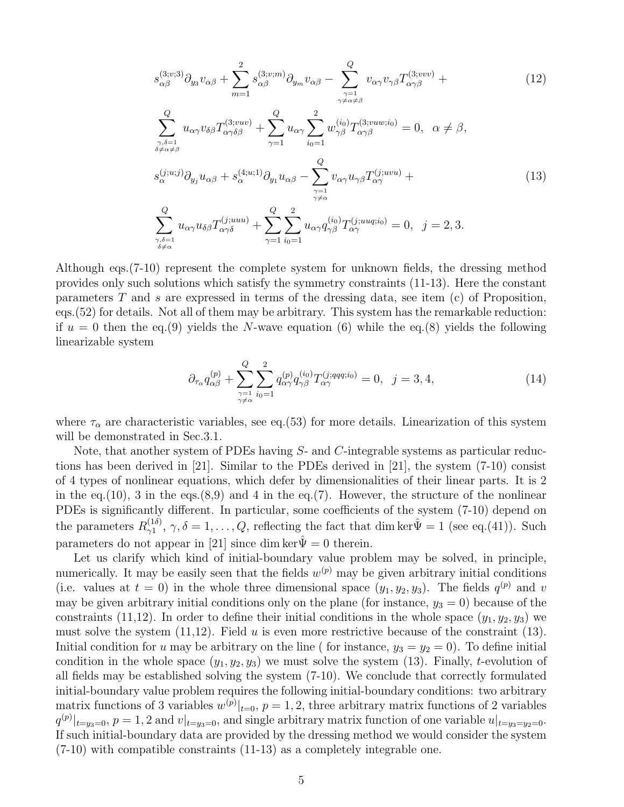$$
s_{\alpha\beta}^{(3;v;3)}\partial_{y_3}v_{\alpha\beta} + \sum_{m=1}^2 s_{\alpha\beta}^{(3;v;m)}\partial_{y_m}v_{\alpha\beta} - \sum_{\substack{\gamma=1 \ \gamma \neq \alpha \neq \beta}}^Q v_{\alpha\gamma}v_{\gamma\beta}T_{\alpha\gamma\beta}^{(3;vvv)} +
$$
\n
$$
\sum_{\substack{\gamma,\delta=1 \ \delta \neq \alpha \neq \beta}}^Q u_{\alpha\gamma}v_{\delta\beta}T_{\alpha\gamma\delta\beta}^{(3;vw)} + \sum_{\gamma=1}^Q u_{\alpha\gamma}\sum_{i_0=1}^2 w_{\gamma\beta}^{(i_0)}T_{\alpha\gamma\beta}^{(3;vuv;i_0)} = 0, \quad \alpha \neq \beta,
$$
\n
$$
s_{\alpha}^{(j;u;j)}\partial_{y_j}u_{\alpha\beta} + s_{\alpha}^{(4;u;1)}\partial_{y_1}u_{\alpha\beta} - \sum_{\substack{\gamma=1 \ \gamma \neq \alpha}}^Q v_{\alpha\gamma}u_{\gamma\beta}T_{\alpha\gamma}^{(j;uvu)} +
$$
\n
$$
\sum_{\substack{\gamma,\delta=1 \ \delta \neq \alpha}}^Q u_{\alpha\gamma}u_{\delta\beta}T_{\alpha\gamma\delta}^{(j;uuu)} + \sum_{\gamma=1}^Q \sum_{i_0=1}^2 u_{\alpha\gamma}q_{\gamma\beta}^{(i_0)}T_{\alpha\gamma}^{(j;uuq;i_0)} = 0, \quad j = 2, 3.
$$
\n(13)

Although eqs.(7-10) represent the complete system for unknown fields, the dressing method provides only such solutions which satisfy the symmetry constraints (11-13). Here the constant parameters  $T$  and  $s$  are expressed in terms of the dressing data, see item (c) of Proposition, eqs.(52) for details. Not all of them may be arbitrary. This system has the remarkable reduction: if  $u = 0$  then the eq.(9) yields the N-wave equation (6) while the eq.(8) yields the following linearizable system

$$
\partial_{\tau_{\alpha}} q_{\alpha\beta}^{(p)} + \sum_{\substack{\gamma=1 \ \gamma \neq \alpha}}^{Q} \sum_{i_0=1}^{2} q_{\alpha\gamma}^{(p)} q_{\gamma\beta}^{(i_0)} T_{\alpha\gamma}^{(j;qqq;i_0)} = 0, \ \ j = 3, 4,
$$
\n(14)

where  $\tau_{\alpha}$  are characteristic variables, see eq.(53) for more details. Linearization of this system will be demonstrated in Sec.3.1.

Note, that another system of PDEs having S- and C-integrable systems as particular reductions has been derived in [21]. Similar to the PDEs derived in [21], the system (7-10) consist of 4 types of nonlinear equations, which defer by dimensionalities of their linear parts. It is 2 in the eq.(10), 3 in the eqs.(8,9) and 4 in the eq.(7). However, the structure of the nonlinear PDEs is significantly different. In particular, some coefficients of the system (7-10) depend on the parameters  $R_{\gamma 1}^{(1\delta)}$  $\gamma_1^{(1\delta)}$ ,  $\gamma, \delta = 1, \ldots, Q$ , reflecting the fact that dim ker  $\hat{\Psi} = 1$  (see eq.(41)). Such parameters do not appear in [21] since dim ker $\hat{\Psi} = 0$  therein.

Let us clarify which kind of initial-boundary value problem may be solved, in principle, numerically. It may be easily seen that the fields  $w^{(p)}$  may be given arbitrary initial conditions (i.e. values at  $t = 0$ ) in the whole three dimensional space  $(y_1, y_2, y_3)$ . The fields  $q^{(p)}$  and v may be given arbitrary initial conditions only on the plane (for instance,  $y_3 = 0$ ) because of the constraints (11,12). In order to define their initial conditions in the whole space  $(y_1, y_2, y_3)$  we must solve the system  $(11,12)$ . Field u is even more restrictive because of the constraint  $(13)$ . Initial condition for u may be arbitrary on the line ( for instance,  $y_3 = y_2 = 0$ ). To define initial condition in the whole space  $(y_1, y_2, y_3)$  we must solve the system (13). Finally, t-evolution of all fields may be established solving the system (7-10). We conclude that correctly formulated initial-boundary value problem requires the following initial-boundary conditions: two arbitrary matrix functions of 3 variables  $w^{(p)}|_{t=0}$ ,  $p=1,2$ , three arbitrary matrix functions of 2 variables  $|q^{(p)}|_{t=y_3=0}, p=1, 2$  and  $v|_{t=y_3=0}$ , and single arbitrary matrix function of one variable  $u|_{t=y_3=y_2=0}$ . If such initial-boundary data are provided by the dressing method we would consider the system (7-10) with compatible constraints (11-13) as a completely integrable one.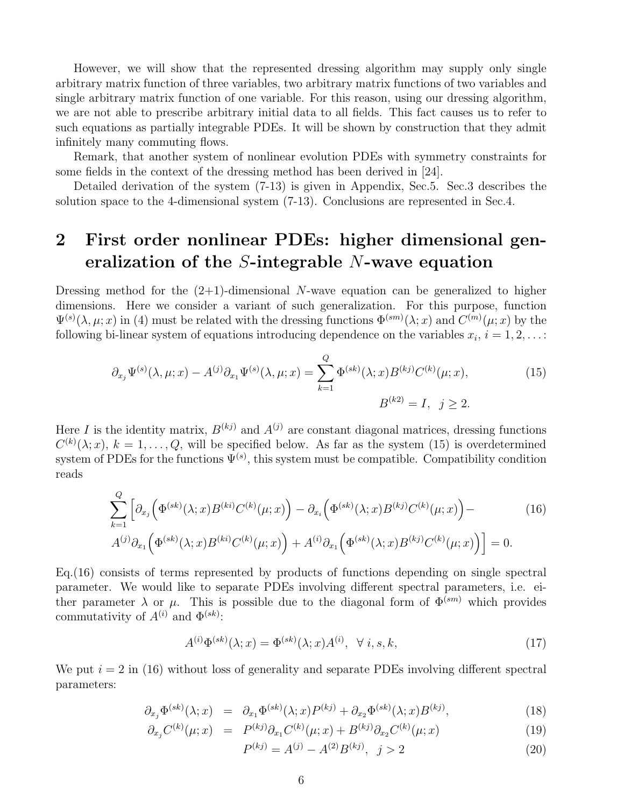However, we will show that the represented dressing algorithm may supply only single arbitrary matrix function of three variables, two arbitrary matrix functions of two variables and single arbitrary matrix function of one variable. For this reason, using our dressing algorithm, we are not able to prescribe arbitrary initial data to all fields. This fact causes us to refer to such equations as partially integrable PDEs. It will be shown by construction that they admit infinitely many commuting flows.

Remark, that another system of nonlinear evolution PDEs with symmetry constraints for some fields in the context of the dressing method has been derived in [24].

Detailed derivation of the system (7-13) is given in Appendix, Sec.5. Sec.3 describes the solution space to the 4-dimensional system (7-13). Conclusions are represented in Sec.4.

## 2 First order nonlinear PDEs: higher dimensional generalization of the S-integrable N-wave equation

Dressing method for the  $(2+1)$ -dimensional N-wave equation can be generalized to higher dimensions. Here we consider a variant of such generalization. For this purpose, function  $\Psi^{(s)}(\lambda,\mu;x)$  in (4) must be related with the dressing functions  $\Phi^{(sm)}(\lambda;x)$  and  $C^{(m)}(\mu;x)$  by the following bi-linear system of equations introducing dependence on the variables  $x_i$ ,  $i = 1, 2, \ldots$ :

$$
\partial_{x_j} \Psi^{(s)}(\lambda, \mu; x) - A^{(j)} \partial_{x_1} \Psi^{(s)}(\lambda, \mu; x) = \sum_{k=1}^Q \Phi^{(sk)}(\lambda; x) B^{(kj)} C^{(k)}(\mu; x),
$$
\n
$$
B^{(k2)} = I, \ \ j \ge 2.
$$
\n(15)

Here I is the identity matrix,  $B^{(kj)}$  and  $A^{(j)}$  are constant diagonal matrices, dressing functions  $C^{(k)}(\lambda; x)$ ,  $k = 1, \ldots, Q$ , will be specified below. As far as the system (15) is overdetermined system of PDEs for the functions  $\Psi^{(s)}$ , this system must be compatible. Compatibility condition reads

$$
\sum_{k=1}^{Q} \left[ \partial_{x_j} \left( \Phi^{(sk)}(\lambda; x) B^{(ki)} C^{(k)}(\mu; x) \right) - \partial_{x_i} \left( \Phi^{(sk)}(\lambda; x) B^{(kj)} C^{(k)}(\mu; x) \right) - A^{(j)} \partial_{x_1} \left( \Phi^{(sk)}(\lambda; x) B^{(ki)} C^{(k)}(\mu; x) \right) + A^{(i)} \partial_{x_1} \left( \Phi^{(sk)}(\lambda; x) B^{(kj)} C^{(k)}(\mu; x) \right) \right] = 0.
$$
\n(16)

Eq.(16) consists of terms represented by products of functions depending on single spectral parameter. We would like to separate PDEs involving different spectral parameters, i.e. either parameter  $\lambda$  or  $\mu$ . This is possible due to the diagonal form of  $\Phi^{(sm)}$  which provides commutativity of  $A^{(i)}$  and  $\Phi^{(sk)}$ :

$$
A^{(i)}\Phi^{(sk)}(\lambda;x) = \Phi^{(sk)}(\lambda;x)A^{(i)}, \quad \forall \ i, s, k,
$$
\n
$$
(17)
$$

We put  $i = 2$  in (16) without loss of generality and separate PDEs involving different spectral parameters:

$$
\partial_{x_j} \Phi^{(sk)}(\lambda; x) = \partial_{x_1} \Phi^{(sk)}(\lambda; x) P^{(kj)} + \partial_{x_2} \Phi^{(sk)}(\lambda; x) B^{(kj)}, \tag{18}
$$

$$
\partial_{x_j} C^{(k)}(\mu; x) = P^{(kj)} \partial_{x_1} C^{(k)}(\mu; x) + B^{(kj)} \partial_{x_2} C^{(k)}(\mu; x) \tag{19}
$$

$$
P^{(kj)} = A^{(j)} - A^{(2)}B^{(kj)}, \quad j > 2
$$
\n<sup>(20)</sup>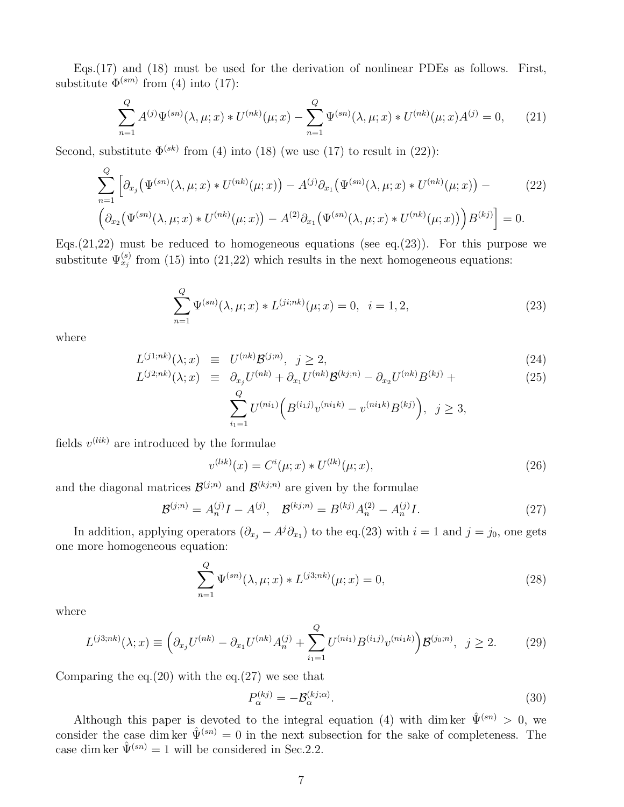Eqs.(17) and (18) must be used for the derivation of nonlinear PDEs as follows. First, substitute  $\Phi^{(sm)}$  from (4) into (17):

$$
\sum_{n=1}^{Q} A^{(j)} \Psi^{(sn)}(\lambda, \mu; x) * U^{(nk)}(\mu; x) - \sum_{n=1}^{Q} \Psi^{(sn)}(\lambda, \mu; x) * U^{(nk)}(\mu; x) A^{(j)} = 0,
$$
 (21)

Second, substitute  $\Phi^{(sk)}$  from (4) into (18) (we use (17) to result in (22)):

$$
\sum_{n=1}^{Q} \left[ \partial_{x_j} \left( \Psi^{(sn)}(\lambda, \mu; x) * U^{(nk)}(\mu; x) \right) - A^{(j)} \partial_{x_1} \left( \Psi^{(sn)}(\lambda, \mu; x) * U^{(nk)}(\mu; x) \right) - \left( 22 \right) \left( \partial_{x_2} \left( \Psi^{(sn)}(\lambda, \mu; x) * U^{(nk)}(\mu; x) \right) - A^{(2)} \partial_{x_1} \left( \Psi^{(sn)}(\lambda, \mu; x) * U^{(nk)}(\mu; x) \right) \right) B^{(kj)} \right] = 0.
$$
\n(22)

Eqs.  $(21,22)$  must be reduced to homogeneous equations (see eq.  $(23)$ ). For this purpose we substitute  $\Psi_{x_j}^{(s)}$  from (15) into (21,22) which results in the next homogeneous equations:

$$
\sum_{n=1}^{Q} \Psi^{(sn)}(\lambda, \mu; x) * L^{(j i; nk)}(\mu; x) = 0, \quad i = 1, 2,
$$
\n(23)

where

$$
L^{(j1;nk)}(\lambda; x) \equiv U^{(nk)} \mathcal{B}^{(j;n)}, \ j \ge 2,
$$
\n(24)

$$
L^{(j2;nk)}(\lambda; x) \equiv \partial_{x_j} U^{(nk)} + \partial_{x_1} U^{(nk)} \mathcal{B}^{(kj;n)} - \partial_{x_2} U^{(nk)} B^{(kj)} + \tag{25}
$$

$$
\sum_{i_1=1}^{Q} U^{(ni_1)}\Big(B^{(i_1j)}v^{(ni_1k)} - v^{(ni_1k)}B^{(kj)}\Big), \ \ j \ge 3,
$$

fields  $v^{(lik)}$  are introduced by the formulae

$$
v^{(lik)}(x) = C^{i}(\mu; x) * U^{(lk)}(\mu; x), \qquad (26)
$$

and the diagonal matrices  $\mathcal{B}^{(j;n)}$  and  $\mathcal{B}^{(kj;n)}$  are given by the formulae

$$
\mathcal{B}^{(j;n)} = A_n^{(j)}I - A^{(j)}, \quad \mathcal{B}^{(kj;n)} = B^{(kj)}A_n^{(2)} - A_n^{(j)}I. \tag{27}
$$

In addition, applying operators  $(\partial_{x_j} - A^j \partial_{x_1})$  to the eq.(23) with  $i = 1$  and  $j = j_0$ , one gets one more homogeneous equation:

$$
\sum_{n=1}^{Q} \Psi^{(sn)}(\lambda, \mu; x) * L^{(j3;nk)}(\mu; x) = 0,
$$
\n(28)

where

$$
L^{(j3;nk)}(\lambda; x) \equiv \left(\partial_{x_j} U^{(nk)} - \partial_{x_1} U^{(nk)} A_n^{(j)} + \sum_{i_1=1}^Q U^{(ni_1)} B^{(i_1 j)} v^{(ni_1 k)}\right) \mathcal{B}^{(j_0; n)}, \quad j \ge 2. \tag{29}
$$

Comparing the eq. $(20)$  with the eq. $(27)$  we see that

$$
P_{\alpha}^{(kj)} = -\mathcal{B}_{\alpha}^{(kj;\alpha)}.
$$
\n(30)

Although this paper is devoted to the integral equation (4) with dim ker  $\hat{\Psi}^{(sn)} > 0$ , we consider the case dim ker  $\hat{\Psi}^{(sn)} = 0$  in the next subsection for the sake of completeness. The case dim ker  $\hat{\Psi}^{(sn)} = 1$  will be considered in Sec.2.2.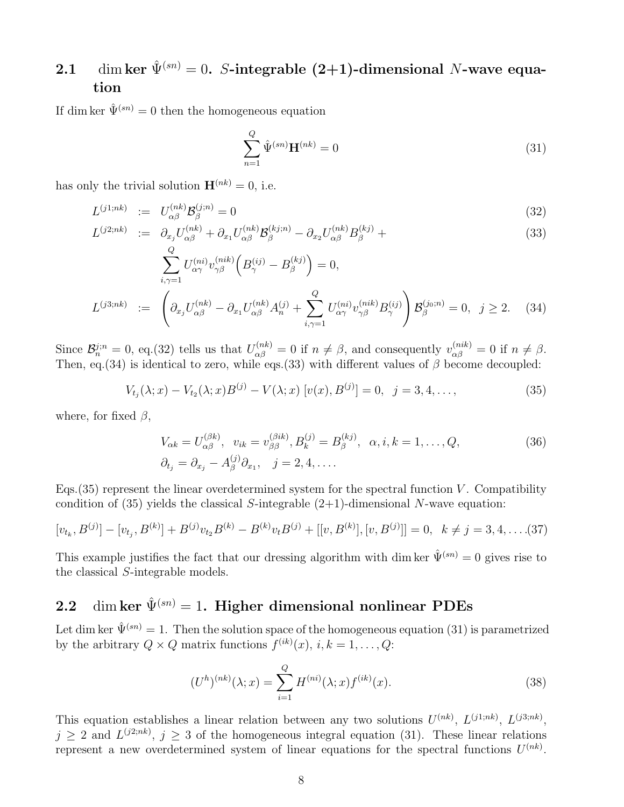### 2.1 dim ker  $\hat{\Psi}^{(sn)} = 0$ . S-integrable (2+1)-dimensional N-wave equation

If dim ker  $\hat{\Psi}^{(sn)} = 0$  then the homogeneous equation

$$
\sum_{n=1}^{Q} \hat{\Psi}^{(sn)} \mathbf{H}^{(nk)} = 0
$$
\n(31)

has only the trivial solution  $\mathbf{H}^{(nk)} = 0$ , i.e.

$$
L^{(j1;nk)} \quad := \quad U_{\alpha\beta}^{(nk)} \mathcal{B}_{\beta}^{(j;n)} = 0 \tag{32}
$$

$$
L^{(j2;nk)} := \partial_{x_j} U_{\alpha\beta}^{(nk)} + \partial_{x_1} U_{\alpha\beta}^{(nk)} \mathcal{B}_{\beta}^{(kj;n)} - \partial_{x_2} U_{\alpha\beta}^{(nk)} B_{\beta}^{(kj)} + \tag{33}
$$

$$
\sum_{i,\gamma=1}^{Q} U_{\alpha\gamma}^{(ni)} v_{\gamma\beta}^{(nik)} \left( B_{\gamma}^{(ij)} - B_{\beta}^{(kj)} \right) = 0,
$$
\n
$$
L^{(j3;nk)} := \left( \partial_{x_j} U_{\alpha\beta}^{(nk)} - \partial_{x_1} U_{\alpha\beta}^{(nk)} A_n^{(j)} + \sum_{i,\gamma=1}^{Q} U_{\alpha\gamma}^{(ni)} v_{\gamma\beta}^{(nik)} B_{\gamma}^{(ij)} \right) \mathcal{B}_{\beta}^{(j_0;n)} = 0, \ \ j \ge 2.
$$
\n(34)

Since  $\mathcal{B}_n^{j;n} = 0$ , eq.(32) tells us that  $U_{\alpha\beta}^{(nk)} = 0$  if  $n \neq \beta$ , and consequently  $v_{\alpha\beta}^{(nik)} = 0$  if  $n \neq \beta$ . Then, eq.(34) is identical to zero, while eqs.(33) with different values of  $\beta$  become decoupled:

$$
V_{t_j}(\lambda; x) - V_{t_2}(\lambda; x)B^{(j)} - V(\lambda; x)[v(x), B^{(j)}] = 0, \ \ j = 3, 4, \dots,
$$
\n(35)

where, for fixed  $\beta$ ,

$$
V_{\alpha k} = U_{\alpha \beta}^{(\beta k)}, \quad v_{ik} = v_{\beta \beta}^{(\beta i k)}, B_k^{(j)} = B_\beta^{(kj)}, \quad \alpha, i, k = 1, \dots, Q,
$$
  
\n
$$
\partial_{t_j} = \partial_{x_j} - A_\beta^{(j)} \partial_{x_1}, \quad j = 2, 4, \dots
$$
\n(36)

Eqs.  $(35)$  represent the linear overdetermined system for the spectral function V. Compatibility condition of  $(35)$  yields the classical S-integrable  $(2+1)$ -dimensional N-wave equation:

$$
[v_{t_k}, B^{(j)}] - [v_{t_j}, B^{(k)}] + B^{(j)}v_{t_2}B^{(k)} - B^{(k)}v_tB^{(j)} + [[v, B^{(k)}], [v, B^{(j)}]] = 0, \quad k \neq j = 3, 4, \dots (37)
$$

This example justifies the fact that our dressing algorithm with dim ker  $\hat{\Psi}^{(sn)} = 0$  gives rise to the classical S-integrable models.

## 2.2 dim ker  $\hat{\Psi}^{(sn)} = 1$ . Higher dimensional nonlinear PDEs

Let dim ker  $\hat{\Psi}^{(sn)} = 1$ . Then the solution space of the homogeneous equation (31) is parametrized by the arbitrary  $Q \times Q$  matrix functions  $f^{(ik)}(x)$ ,  $i, k = 1, \ldots, Q$ :

$$
(U^{h})^{(nk)}(\lambda; x) = \sum_{i=1}^{Q} H^{(ni)}(\lambda; x) f^{(ik)}(x).
$$
 (38)

This equation establishes a linear relation between any two solutions  $U^{(nk)}$ ,  $L^{(j1;nk)}$ ,  $L^{(j3;nk)}$ ,  $j \geq 2$  and  $L^{(j2;nk)}$ ,  $j \geq 3$  of the homogeneous integral equation (31). These linear relations represent a new overdetermined system of linear equations for the spectral functions  $U^{(nk)}$ .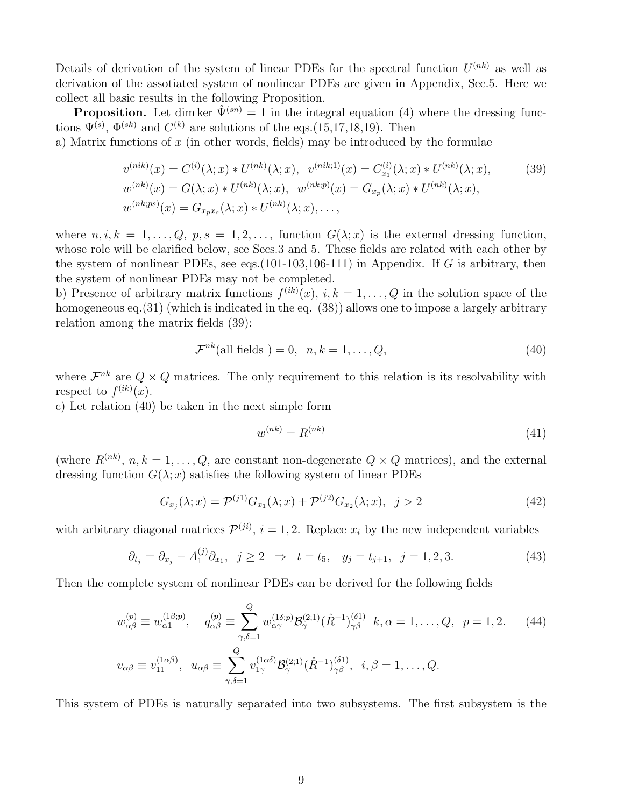Details of derivation of the system of linear PDEs for the spectral function  $U^{(nk)}$  as well as derivation of the assotiated system of nonlinear PDEs are given in Appendix, Sec.5. Here we collect all basic results in the following Proposition.

**Proposition.** Let dim ker  $\hat{\Psi}^{(sn)} = 1$  in the integral equation (4) where the dressing functions  $\Psi^{(s)}$ ,  $\Phi^{(sk)}$  and  $C^{(k)}$  are solutions of the eqs. (15,17,18,19). Then

a) Matrix functions of  $x$  (in other words, fields) may be introduced by the formulae

$$
v^{(nik)}(x) = C^{(i)}(\lambda; x) * U^{(nk)}(\lambda; x), \quad v^{(nik;1)}(x) = C^{(i)}_{x_1}(\lambda; x) * U^{(nk)}(\lambda; x),
$$
  
\n
$$
w^{(nk)}(x) = G(\lambda; x) * U^{(nk)}(\lambda; x), \quad w^{(nk;p)}(x) = G_{x_p}(\lambda; x) * U^{(nk)}(\lambda; x),
$$
  
\n
$$
w^{(nk;ps)}(x) = G_{x_p x_s}(\lambda; x) * U^{(nk)}(\lambda; x), \dots,
$$
\n(39)

where  $n, i, k = 1, \ldots, Q, p, s = 1, 2, \ldots$ , function  $G(\lambda; x)$  is the external dressing function, whose role will be clarified below, see Secs.3 and 5. These fields are related with each other by the system of nonlinear PDEs, see eqs.  $(101-103,106-111)$  in Appendix. If G is arbitrary, then the system of nonlinear PDEs may not be completed.

b) Presence of arbitrary matrix functions  $f^{(ik)}(x)$ ,  $i, k = 1, \ldots, Q$  in the solution space of the homogeneous eq.(31) (which is indicated in the eq. (38)) allows one to impose a largely arbitrary relation among the matrix fields (39):

$$
\mathcal{F}^{nk}(\text{all fields}) = 0, \quad n, k = 1, \dots, Q,\tag{40}
$$

where  $\mathcal{F}^{nk}$  are  $Q \times Q$  matrices. The only requirement to this relation is its resolvability with respect to  $f^{(ik)}(x)$ .

c) Let relation (40) be taken in the next simple form

$$
w^{(nk)} = R^{(nk)} \tag{41}
$$

(where  $R^{(nk)}$ ,  $n, k = 1, ..., Q$ , are constant non-degenerate  $Q \times Q$  matrices), and the external dressing function  $G(\lambda; x)$  satisfies the following system of linear PDEs

$$
G_{x_j}(\lambda; x) = \mathcal{P}^{(j1)} G_{x_1}(\lambda; x) + \mathcal{P}^{(j2)} G_{x_2}(\lambda; x), \ \ j > 2 \tag{42}
$$

with arbitrary diagonal matrices  $\mathcal{P}^{(ji)}$ ,  $i = 1, 2$ . Replace  $x_i$  by the new independent variables

$$
\partial_{t_j} = \partial_{x_j} - A_1^{(j)} \partial_{x_1}, \ \ j \ge 2 \ \ \Rightarrow \ \ t = t_5, \ \ y_j = t_{j+1}, \ \ j = 1, 2, 3. \tag{43}
$$

Then the complete system of nonlinear PDEs can be derived for the following fields

$$
w_{\alpha\beta}^{(p)} \equiv w_{\alpha1}^{(1\beta;p)}, \quad q_{\alpha\beta}^{(p)} \equiv \sum_{\gamma,\delta=1}^{Q} w_{\alpha\gamma}^{(1\delta;p)} \mathcal{B}_{\gamma}^{(2;1)}(\hat{R}^{-1})_{\gamma\beta}^{(\delta 1)} k, \alpha = 1, \dots, Q, \quad p = 1, 2. \tag{44}
$$

$$
v_{\alpha\beta} \equiv v_{11}^{(1\alpha\beta)}, \quad u_{\alpha\beta} \equiv \sum_{\gamma,\delta=1}^{Q} v_{1\gamma}^{(1\alpha\delta)} \mathcal{B}_{\gamma}^{(2;1)}(\hat{R}^{-1})_{\gamma\beta}^{(\delta 1)}, \quad i, \beta = 1, \dots, Q.
$$

This system of PDEs is naturally separated into two subsystems. The first subsystem is the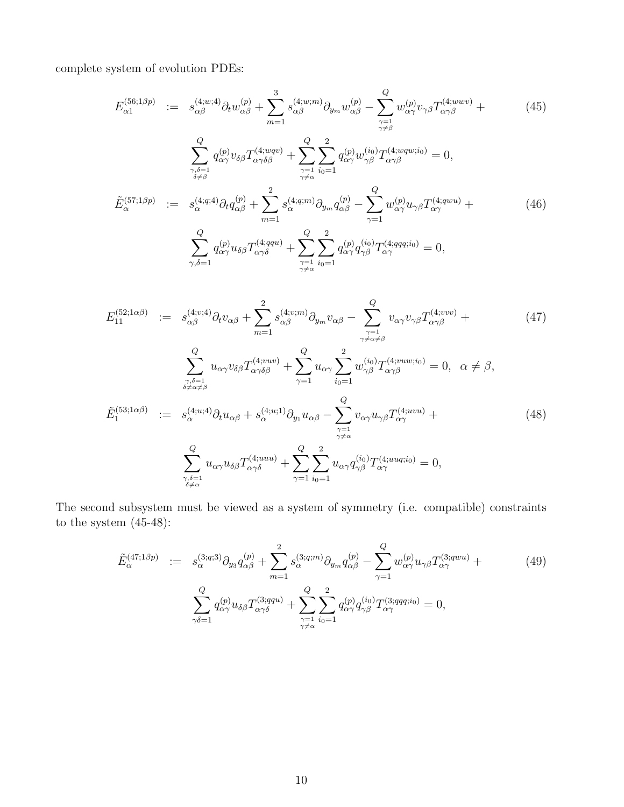complete system of evolution PDEs:

$$
E_{\alpha 1}^{(56;1\beta p)} := s_{\alpha\beta}^{(4;w;4)} \partial_t w_{\alpha\beta}^{(p)} + \sum_{m=1}^3 s_{\alpha\beta}^{(4;w;m)} \partial_{y_m} w_{\alpha\beta}^{(p)} - \sum_{\substack{\gamma=1 \\ \gamma \neq \beta}}^Q w_{\alpha\gamma}^{(p)} v_{\gamma\beta} T_{\alpha\gamma\beta}^{(4;ww)} + (45)
$$
\n
$$
\sum_{\substack{\gamma,\delta=1 \\ \delta \neq \beta}}^Q q_{\alpha\gamma}^{(p)} v_{\delta\beta} T_{\alpha\gamma\delta\beta}^{(4;wqv)} + \sum_{\substack{\gamma=1 \\ \gamma \neq \alpha}}^Q \sum_{i_0=1}^2 q_{\alpha\gamma}^{(p)} w_{\gamma\beta}^{(i_0)} T_{\alpha\gamma\beta}^{(4;wqv,i_0)} = 0,
$$
\n
$$
\tilde{E}_{\alpha}^{(57;1\beta p)} := s_{\alpha}^{(4;q;4)} \partial_t q_{\alpha\beta}^{(p)} + \sum_{m=1}^2 s_{\alpha}^{(4;q;m)} \partial_{y_m} q_{\alpha\beta}^{(p)} - \sum_{\gamma=1}^Q w_{\alpha\gamma}^{(p)} u_{\gamma\beta} T_{\alpha\gamma}^{(4;qwu)} + (46)
$$
\n
$$
\sum_{\gamma,\delta=1}^Q q_{\alpha\gamma}^{(p)} u_{\delta\beta} T_{\alpha\gamma\delta}^{(4;qqu)} + \sum_{\gamma=1}^Q \sum_{i_0=1}^2 q_{\alpha\gamma}^{(p)} q_{\gamma\beta}^{(i_0)} T_{\alpha\gamma}^{(4;qq;i_0)} = 0,
$$
\n(46)

$$
E_{11}^{(52;1\alpha\beta)} := s_{\alpha\beta}^{(4;v;4)} \partial_t v_{\alpha\beta} + \sum_{m=1}^2 s_{\alpha\beta}^{(4;v;m)} \partial_{y_m} v_{\alpha\beta} - \sum_{\substack{\gamma=1 \ \gamma \neq \alpha \neq \beta}}^Q v_{\alpha\gamma} v_{\gamma\beta} T_{\alpha\gamma\beta}^{(4;vw)} +
$$
\n
$$
\sum_{\substack{\gamma,\delta=1 \ \delta \neq \alpha \neq \beta}}^Q u_{\alpha\gamma} v_{\delta\beta} T_{\alpha\gamma\delta\beta}^{(4;vw)} + \sum_{\gamma=1}^Q u_{\alpha\gamma} \sum_{i_0=1}^2 w_{\gamma\beta}^{(i_0)} T_{\alpha\gamma\beta}^{(4;vuv;i_0)} = 0, \quad \alpha \neq \beta,
$$
\n
$$
\tilde{E}_1^{(53;1\alpha\beta)} := s_{\alpha}^{(4;u;4)} \partial_t u_{\alpha\beta} + s_{\alpha}^{(4;u;1)} \partial_{y_1} u_{\alpha\beta} - \sum_{\substack{\gamma=1 \ \gamma \neq \alpha}}^Q v_{\alpha\gamma} u_{\gamma\beta} T_{\alpha\gamma}^{(4;uvu)} +
$$
\n
$$
\sum_{\substack{\gamma,\delta=1 \ \delta \neq \alpha}}^Q u_{\alpha\gamma} u_{\delta\beta} T_{\alpha\gamma\delta}^{(4;uuu)} + \sum_{\gamma=1}^Q \sum_{i_0=1}^2 u_{\alpha\gamma} q_{\gamma\beta}^{(i_0)} T_{\alpha\gamma}^{(4;uuq;i_0)} = 0,
$$
\n
$$
(48)
$$

The second subsystem must be viewed as a system of symmetry (i.e. compatible) constraints to the system (45-48):

$$
\tilde{E}_{\alpha}^{(47;1\beta p)} := s_{\alpha}^{(3;q;3)} \partial_{y_3} q_{\alpha\beta}^{(p)} + \sum_{m=1}^{2} s_{\alpha}^{(3;q;m)} \partial_{y_m} q_{\alpha\beta}^{(p)} - \sum_{\gamma=1}^{Q} w_{\alpha\gamma}^{(p)} u_{\gamma\beta} T_{\alpha\gamma}^{(3;quu)} +
$$
\n
$$
\sum_{\gamma\delta=1}^{Q} q_{\alpha\gamma}^{(p)} u_{\delta\beta} T_{\alpha\gamma\delta}^{(3;qqu)} + \sum_{\substack{\gamma=1 \ \gamma \neq \alpha}}^{Q} \sum_{i_0=1}^{2} q_{\alpha\gamma}^{(p)} q_{\gamma\beta}^{(i_0)} T_{\alpha\gamma}^{(3;qq;i_0)} = 0,
$$
\n(49)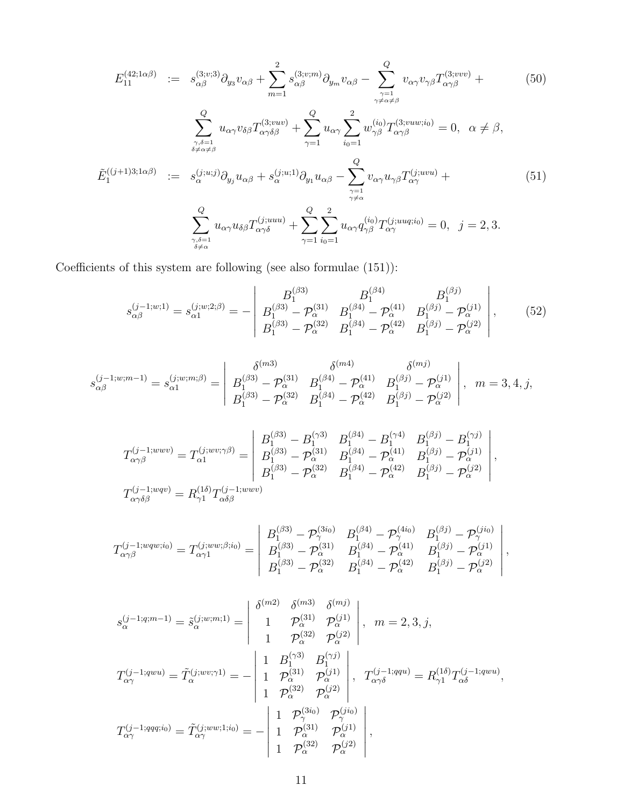$$
E_{11}^{(42;1\alpha\beta)} := s_{\alpha\beta}^{(3;v;3)} \partial_{y_3} v_{\alpha\beta} + \sum_{m=1}^2 s_{\alpha\beta}^{(3;v;m)} \partial_{y_m} v_{\alpha\beta} - \sum_{\substack{\gamma=1 \ \gamma \neq \alpha \neq \beta}}^Q v_{\alpha\gamma} v_{\gamma\beta} T_{\alpha\gamma\beta}^{(3;vvv)} + (50)
$$
  

$$
\sum_{\substack{\gamma,\delta=1 \ \delta \neq \alpha \neq \beta}}^Q u_{\alpha\gamma} v_{\delta\beta} T_{\alpha\gamma\delta\beta}^{(3;vwv)} + \sum_{\gamma=1}^Q u_{\alpha\gamma} \sum_{i_0=1}^2 w_{\gamma\beta}^{(i_0)} T_{\alpha\gamma\beta}^{(3;vuv;i_0)} = 0, \quad \alpha \neq \beta,
$$

$$
\tilde{E}_1^{((j+1)3;1\alpha\beta)} := s_{\alpha}^{(j;u;j)} \partial_{y_j} u_{\alpha\beta} + s_{\alpha}^{(j;u;1)} \partial_{y_1} u_{\alpha\beta} - \sum_{\substack{\gamma=1 \ \gamma \neq \alpha}}^Q v_{\alpha\gamma} u_{\gamma\beta} T_{\alpha\gamma}^{(j;uvu)} + \sum_{\substack{\gamma \neq \alpha \ \delta \neq \alpha}}^Q v_{\alpha\gamma} u_{\delta\beta} T_{\alpha\gamma\delta}^{(j;uuu)} + \sum_{\substack{\gamma=1 \ \delta \neq \alpha}}^Q u_{\alpha\gamma} u_{\delta\beta} T_{\alpha\gamma\delta}^{(j;uuu)} + \sum_{\gamma=1}^Q v_{\alpha\gamma} q_{\gamma\beta}^{(i_0)} T_{\alpha\gamma}^{(j;uuq;i_0)} = 0, \quad j = 2, 3.
$$
 (51)

Coefficients of this system are following (see also formulae (151)):

$$
s_{\alpha\beta}^{(j-1;w;1)} = s_{\alpha 1}^{(j;w;2;\beta)} = -\begin{vmatrix} B_1^{(\beta 3)} & B_1^{(\beta 4)} & B_1^{(\beta j)} \\ B_1^{(\beta 3)} - \mathcal{P}_{\alpha}^{(31)} & B_1^{(\beta 4)} - \mathcal{P}_{\alpha}^{(41)} & B_1^{(\beta j)} - \mathcal{P}_{\alpha}^{(j1)} \\ B_1^{(\beta 3)} - \mathcal{P}_{\alpha}^{(32)} & B_1^{(\beta 4)} - \mathcal{P}_{\alpha}^{(42)} & B_1^{(\beta j)} - \mathcal{P}_{\alpha}^{(j2)} \end{vmatrix},
$$
(52)

$$
s_{\alpha\beta}^{(j-1;w;m-1)} = s_{\alpha 1}^{(j;w;m;\beta)} = \begin{vmatrix} \delta^{(m3)} & \delta^{(m4)} & \delta^{(mj)} \\ B_1^{(\beta 3)} - \mathcal{P}_{\alpha}^{(31)} & B_1^{(\beta 4)} - \mathcal{P}_{\alpha}^{(41)} & B_1^{(\beta j)} - \mathcal{P}_{\alpha}^{(j1)} \\ B_1^{(\beta 3)} - \mathcal{P}_{\alpha}^{(32)} & B_1^{(\beta 4)} - \mathcal{P}_{\alpha}^{(42)} & B_1^{(\beta j)} - \mathcal{P}_{\alpha}^{(j2)} \end{vmatrix}, \quad m = 3, 4, j,
$$

$$
T_{\alpha\gamma\beta}^{(j-1;wwv)} = T_{\alpha1}^{(j;ww;\gamma\beta)} = \begin{vmatrix} B_1^{(\beta 3)} - B_1^{(\gamma 3)} & B_1^{(\beta 4)} - B_1^{(\gamma 4)} & B_1^{(\beta j)} - B_1^{(\gamma j)} \\ B_1^{(\beta 3)} - \mathcal{P}_{\alpha}^{(\beta 1)} & B_1^{(\beta 4)} - \mathcal{P}_{\alpha}^{(41)} & B_1^{(\beta j)} - \mathcal{P}_{\alpha}^{(1)} \\ B_1^{(\beta 3)} - \mathcal{P}_{\alpha}^{(32)} & B_1^{(\beta 4)} - \mathcal{P}_{\alpha}^{(42)} & B_1^{(\beta j)} - \mathcal{P}_{\alpha}^{(22)} \\ B_1^{(\gamma 1;wwv)} = R_{\gamma 1}^{(1\delta)} T_{\alpha\delta\beta}^{(j-1;wwv)}
$$

$$
T_{\alpha\gamma\beta}^{(j-1; wqw; i_0)} = T_{\alpha\gamma 1}^{(j; ww; \beta; i_0)} = \begin{vmatrix} B_1^{(\beta 3)} - \mathcal{P}_{\gamma}^{(3i_0)} & B_1^{(\beta 4)} - \mathcal{P}_{\gamma}^{(4i_0)} & B_1^{(\beta j)} - \mathcal{P}_{\gamma}^{(j i_0)} \\ B_1^{(\beta 3)} - \mathcal{P}_{\alpha}^{(31)} & B_1^{(\beta 4)} - \mathcal{P}_{\alpha}^{(41)} & B_1^{(\beta j)} - \mathcal{P}_{\alpha}^{(j 1)} \\ B_1^{(\beta 3)} - \mathcal{P}_{\alpha}^{(32)} & B_1^{(\beta 4)} - \mathcal{P}_{\alpha}^{(42)} & B_1^{(\beta j)} - \mathcal{P}_{\alpha}^{(j 2)} \end{vmatrix},
$$

$$
s_{\alpha}^{(j-1;q;m-1)} = \tilde{s}_{\alpha}^{(j;w;m;1)} = \begin{vmatrix} \delta^{(m2)} & \delta^{(m3)} & \delta^{(mj)} \\ 1 & \mathcal{P}_{\alpha}^{(31)} & \mathcal{P}_{\alpha}^{(j1)} \\ 1 & \mathcal{P}_{\alpha}^{(32)} & \mathcal{P}_{\alpha}^{(j2)} \end{vmatrix}, m = 2,3, j,
$$
  
\n
$$
T_{\alpha\gamma}^{(j-1;qwu)} = \tilde{T}_{\alpha}^{(j;ww;\gamma1)} = -\begin{vmatrix} 1 & B_1^{(\gamma3)} & B_1^{(\gammaj)} \\ 1 & \mathcal{P}_{\alpha}^{(31)} & \mathcal{P}_{\alpha}^{(j1)} \\ 1 & \mathcal{P}_{\alpha}^{(32)} & \mathcal{P}_{\alpha}^{(j2)} \end{vmatrix}, T_{\alpha\gamma\delta}^{(j-1;qqu)} = R_{\gamma1}^{(1\delta)}T_{\alpha\delta}^{(j-1;qwu)},
$$
  
\n
$$
T_{\alpha\gamma}^{(j-1;qqq;i_0)} = \tilde{T}_{\alpha\gamma}^{(j;ww;1;i_0)} = -\begin{vmatrix} 1 & \mathcal{P}_{\gamma}^{(31)} & \mathcal{P}_{\gamma}^{(j1)} \\ 1 & \mathcal{P}_{\alpha}^{(31)} & \mathcal{P}_{\alpha}^{(j1)} \\ 1 & \mathcal{P}_{\alpha}^{(32)} & \mathcal{P}_{\alpha}^{(j2)} \end{vmatrix},
$$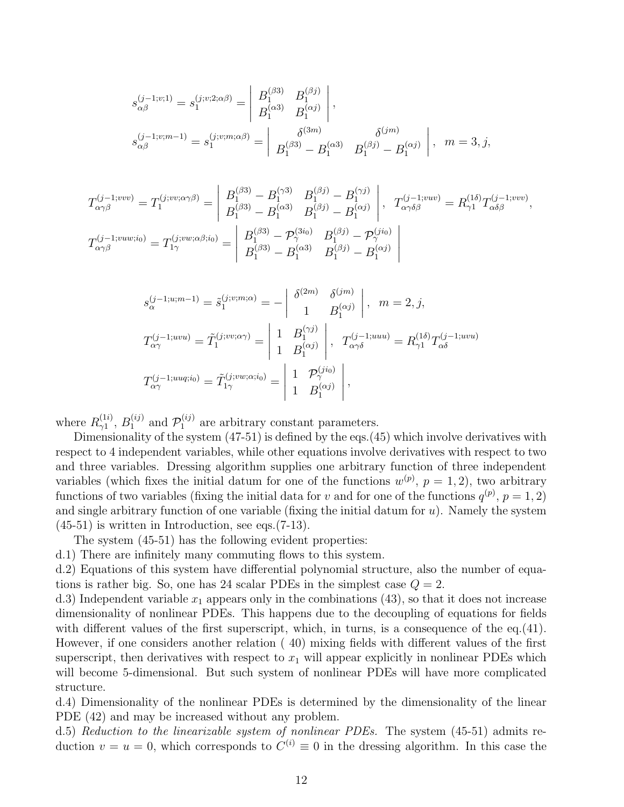$$
s_{\alpha\beta}^{(j-1;v;1)} = s_1^{(j;v;2;\alpha\beta)} = \begin{vmatrix} B_1^{(\beta 3)} & B_1^{(\beta j)} \\ B_1^{(\alpha 3)} & B_1^{(\alpha j)} \end{vmatrix},
$$
  
\n
$$
s_{\alpha\beta}^{(j-1;v;m-1)} = s_1^{(j;v;m;\alpha\beta)} = \begin{vmatrix} \delta^{(3m)} & \delta^{(jm)} \\ B_1^{(\beta 3)} - B_1^{(\alpha 3)} & B_1^{(\beta j)} - B_1^{(\alpha j)} \end{vmatrix}, m = 3, j,
$$

$$
T_{\alpha\gamma\beta}^{(j-1;vw)} = T_1^{(j;vv;\alpha\gamma\beta)} = \begin{vmatrix} B_1^{(\beta 3)} - B_1^{(\gamma 3)} & B_1^{(\beta j)} - B_1^{(\gamma j)} \\ B_1^{(\beta 3)} - B_1^{(\alpha 3)} & B_1^{(\beta j)} - B_1^{(\alpha j)} \end{vmatrix}, T_{\alpha\gamma\delta\beta}^{(j-1;vw)} = R_{\gamma 1}^{(1\delta)} T_{\alpha\delta\beta}^{(j-1;vw)},
$$
  

$$
T_{\alpha\gamma\beta}^{(j-1;vuw;i_0)} = T_{1\gamma}^{(j;vw;\alpha\beta;i_0)} = \begin{vmatrix} B_1^{(\beta 3)} - \mathcal{P}_{\gamma}^{(3i_0)} & B_1^{(\beta j)} - \mathcal{P}_{\gamma}^{(ji_0)} \\ B_1^{(\beta 3)} - B_1^{(\alpha 3)} & B_1^{(\beta j)} - B_1^{(\alpha j)} \end{vmatrix}
$$

$$
s_{\alpha}^{(j-1;u;m-1)} = \tilde{s}_1^{(j;v;m;\alpha)} = -\begin{vmatrix} \delta^{(2m)} & \delta^{(jm)} \\ 1 & B_1^{(\alpha j)} \end{vmatrix}, \quad m = 2, j,
$$
  

$$
T_{\alpha\gamma}^{(j-1;uvu)} = \tilde{T}_1^{(j;vv;\alpha\gamma)} = \begin{vmatrix} 1 & B_1^{(\gamma j)} \\ 1 & B_1^{(\alpha j)} \end{vmatrix}, \quad T_{\alpha\gamma\delta}^{(j-1;uuu)} = R_{\gamma 1}^{(1\delta)} T_{\alpha\delta}^{(j-1;uvu)}
$$
  

$$
T_{\alpha\gamma}^{(j-1;uuq;i_0)} = \tilde{T}_{1\gamma}^{(j;vw;\alpha;i_0)} = \begin{vmatrix} 1 & \mathcal{P}_{\gamma}^{(ji_0)} \\ 1 & B_1^{(\alpha j)} \end{vmatrix},
$$

where  $R_{\gamma 1}^{(1i)}$  $\gamma_1^{(1i)}$ ,  $B_1^{(ij)}$  and  $\mathcal{P}_1^{(ij)}$  are arbitrary constant parameters.

Dimensionality of the system (47-51) is defined by the eqs.(45) which involve derivatives with respect to 4 independent variables, while other equations involve derivatives with respect to two and three variables. Dressing algorithm supplies one arbitrary function of three independent variables (which fixes the initial datum for one of the functions  $w^{(p)}$ ,  $p = 1, 2$ ), two arbitrary functions of two variables (fixing the initial data for v and for one of the functions  $q^{(p)}$ ,  $p = 1, 2$ ) and single arbitrary function of one variable (fixing the initial datum for  $u$ ). Namely the system (45-51) is written in Introduction, see eqs.(7-13).

The system (45-51) has the following evident properties:

d.1) There are infinitely many commuting flows to this system.

d.2) Equations of this system have differential polynomial structure, also the number of equations is rather big. So, one has 24 scalar PDEs in the simplest case  $Q = 2$ .

d.3) Independent variable  $x_1$  appears only in the combinations (43), so that it does not increase dimensionality of nonlinear PDEs. This happens due to the decoupling of equations for fields with different values of the first superscript, which, in turns, is a consequence of the eq.(41). However, if one considers another relation ( 40) mixing fields with different values of the first superscript, then derivatives with respect to  $x_1$  will appear explicitly in nonlinear PDEs which will become 5-dimensional. But such system of nonlinear PDEs will have more complicated structure.

d.4) Dimensionality of the nonlinear PDEs is determined by the dimensionality of the linear PDE  $(42)$  and may be increased without any problem.

d.5) Reduction to the linearizable system of nonlinear PDEs. The system (45-51) admits reduction  $v = u = 0$ , which corresponds to  $C^{(i)} \equiv 0$  in the dressing algorithm. In this case the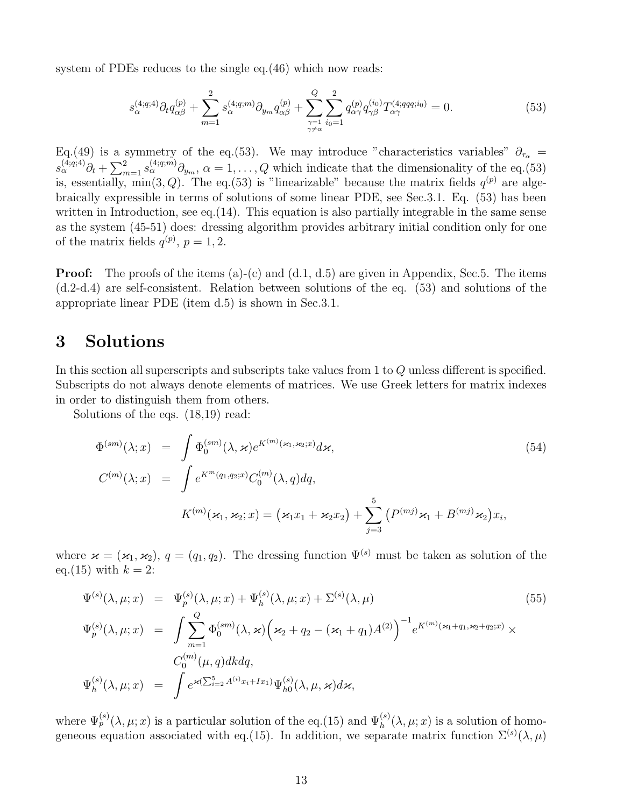system of PDEs reduces to the single eq. (46) which now reads:

$$
s_{\alpha}^{(4;q;4)} \partial_t q_{\alpha\beta}^{(p)} + \sum_{m=1}^2 s_{\alpha}^{(4;q;m)} \partial_{y_m} q_{\alpha\beta}^{(p)} + \sum_{\substack{\gamma=1 \ \gamma \neq \alpha}}^Q \sum_{i_0=1}^2 q_{\alpha\gamma}^{(p)} q_{\gamma\beta}^{(i_0)} T_{\alpha\gamma}^{(4;qq;qi_0)} = 0. \tag{53}
$$

Eq.(49) is a symmetry of the eq.(53). We may introduce "characteristics variables"  $\partial_{\tau_{\alpha}} =$  $s_{\alpha}^{(4;q;4)}\partial_t + \sum_{m=1}^2 s_{\alpha}^{(4;q;m)}\partial_{y_m}, \ \alpha = 1,\ldots,Q$  which indicate that the dimensionality of the eq.(53) is, essentially, min(3, Q). The eq.(53) is "linearizable" because the matrix fields  $q^{(p)}$  are algebraically expressible in terms of solutions of some linear PDE, see Sec.3.1. Eq. (53) has been written in Introduction, see eq. (14). This equation is also partially integrable in the same sense as the system (45-51) does: dressing algorithm provides arbitrary initial condition only for one of the matrix fields  $q^{(p)}$ ,  $p = 1, 2$ .

**Proof:** The proofs of the items (a)-(c) and (d.1, d.5) are given in Appendix, Sec.5. The items (d.2-d.4) are self-consistent. Relation between solutions of the eq. (53) and solutions of the appropriate linear PDE (item d.5) is shown in Sec.3.1.

### 3 Solutions

In this section all superscripts and subscripts take values from 1 to Q unless different is specified. Subscripts do not always denote elements of matrices. We use Greek letters for matrix indexes in order to distinguish them from others.

Solutions of the eqs. (18,19) read:

$$
\Phi^{(sm)}(\lambda; x) = \int \Phi_0^{(sm)}(\lambda, \varkappa) e^{K^{(m)}(\varkappa_1, \varkappa_2; x)} d\varkappa,
$$
\n
$$
C^{(m)}(\lambda; x) = \int e^{K^m(q_1, q_2; x)} C_0^{(m)}(\lambda, q) dq,
$$
\n
$$
K^{(m)}(\varkappa_1, \varkappa_2; x) = (\varkappa_1 x_1 + \varkappa_2 x_2) + \sum_{j=3}^5 \left( P^{(mj)} \varkappa_1 + B^{(mj)} \varkappa_2 \right) x_i,
$$
\n(54)

where  $\varkappa = (\varkappa_1, \varkappa_2)$ ,  $q = (q_1, q_2)$ . The dressing function  $\Psi^{(s)}$  must be taken as solution of the eq.(15) with  $k = 2$ :

$$
\Psi^{(s)}(\lambda, \mu; x) = \Psi_p^{(s)}(\lambda, \mu; x) + \Psi_h^{(s)}(\lambda, \mu; x) + \Sigma^{(s)}(\lambda, \mu)
$$
\n
$$
\Psi_p^{(s)}(\lambda, \mu; x) = \int \sum_{m=1}^Q \Phi_0^{(sm)}(\lambda, \varkappa) \left(\varkappa_2 + q_2 - (\varkappa_1 + q_1)A^{(2)}\right)^{-1} e^{K^{(m)}(\varkappa_1 + q_1, \varkappa_2 + q_2; x)} \times C_0^{(m)}(\mu, q) dk dq,
$$
\n
$$
\Psi_h^{(s)}(\lambda, \mu; x) = \int e^{\varkappa(\sum_{i=2}^5 A^{(i)} x_i + I x_1)} \Psi_{h0}^{(s)}(\lambda, \mu, \varkappa) d\varkappa,
$$
\n(55)

where  $\Psi_p^{(s)}(\lambda,\mu;x)$  is a particular solution of the eq.(15) and  $\Psi_h^{(s)}(\lambda,\mu;x)$  is a solution of homogeneous equation associated with eq.(15). In addition, we separate matrix function  $\Sigma^{(s)}(\lambda,\mu)$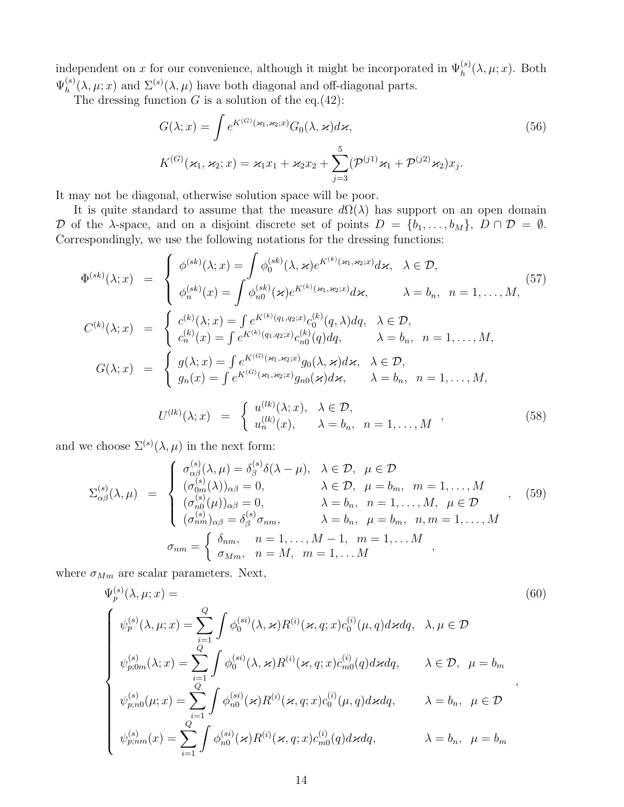independent on x for our convenience, although it might be incorporated in  $\Psi_h^{(s)}(\lambda,\mu;x)$ . Both  $\Psi^{(s)}_h$  $h_h^{(s)}(\lambda, \mu; x)$  and  $\Sigma^{(s)}(\lambda, \mu)$  have both diagonal and off-diagonal parts.

The dressing function  $G$  is a solution of the eq.(42):

$$
G(\lambda; x) = \int e^{K^{(G)}(\varkappa_1, \varkappa_2; x)} G_0(\lambda, \varkappa) d\varkappa,
$$
\n
$$
K^{(G)}(\varkappa_1, \varkappa_2; x) = \varkappa_1 x_1 + \varkappa_2 x_2 + \sum_{j=3}^5 (\mathcal{P}^{(j1)} \varkappa_1 + \mathcal{P}^{(j2)} \varkappa_2) x_j.
$$
\n
$$
(56)
$$

It may not be diagonal, otherwise solution space will be poor.

It is quite standard to assume that the measure  $d\Omega(\lambda)$  has support on an open domain D of the  $\lambda$ -space, and on a disjoint discrete set of points  $D = \{b_1, \ldots, b_M\}, D \cap D = \emptyset$ . Correspondingly, we use the following notations for the dressing functions:

$$
\Phi^{(sk)}(\lambda; x) = \begin{cases}\n\phi^{(sk)}(\lambda; x) = \int \phi_0^{(sk)}(\lambda, \varkappa) e^{K^{(k)}(\varkappa_1, \varkappa_2; x)} d\varkappa, & \lambda \in \mathcal{D}, \\
\phi_n^{(sk)}(x) = \int \phi_n^{(sk)}(\varkappa) e^{K^{(k)}(\varkappa_1, \varkappa_2; x)} d\varkappa, & \lambda = b_n, n = 1, ..., M,\n\end{cases}
$$
\n
$$
C^{(k)}(\lambda; x) = \begin{cases}\n c^{(k)}(\lambda; x) = \int e^{K^{(k)}(q_1, q_2; x)} c_0^{(k)}(q, \lambda) dq, & \lambda \in \mathcal{D}, \\
 c_n^{(k)}(x) = \int e^{K^{(k)}(q_1, q_2; x)} c_{n_0}^{(k)}(q) dq, & \lambda = b_n, n = 1, ..., M,\n\end{cases}
$$
\n
$$
G(\lambda; x) = \begin{cases}\ng(\lambda; x) = \int e^{K^{(G)}(\varkappa_1, \varkappa_2; x)} g_0(\lambda, \varkappa) d\varkappa, & \lambda \in \mathcal{D}, \\
g_n(x) = \int e^{K^{(G)}(\varkappa_1, \varkappa_2; x)} g_{n_0}(\varkappa) d\varkappa, & \lambda = b_n, n = 1, ..., M,\n\end{cases}
$$
\n
$$
C^{(lk)}(\lambda; x) = \begin{cases}\ng(\lambda; x) = \int e^{K^{(k)}(\varkappa_1, \varkappa_2; x)} g_0(\lambda, \varkappa) d\varkappa, & \lambda = b_n, n = 1, ..., M,\n\end{cases}
$$

$$
U^{(lk)}(\lambda; x) = \begin{cases} u^{(lk)}(\lambda; x), & \lambda \in \mathcal{D}, \\ u_n^{(lk)}(x), & \lambda = b_n, \ n = 1, \dots, M \end{cases}
$$
 (58)

and we choose  $\Sigma^{(s)}(\lambda,\mu)$  in the next form:

$$
\Sigma_{\alpha\beta}^{(s)}(\lambda,\mu) = \begin{cases}\n\sigma_{\alpha\beta}^{(s)}(\lambda,\mu) = \delta_{\beta}^{(s)}\delta(\lambda-\mu), & \lambda \in \mathcal{D}, \quad \mu \in \mathcal{D} \\
(\sigma_{0m}^{(s)}(\lambda))_{\alpha\beta} = 0, & \lambda \in \mathcal{D}, \quad \mu = b_m, \quad m = 1,\ldots,M \\
(\sigma_{n0}^{(s)}(\mu))_{\alpha\beta} = 0, & \lambda = b_n, \quad n = 1,\ldots,M, \quad \mu \in \mathcal{D} \\
(\sigma_{nm}^{(s)})_{\alpha\beta} = \delta_{\beta}^{(s)}\sigma_{nm}, & \lambda = b_n, \quad \mu = b_m, \quad n, m = 1,\ldots,M \\
\sigma_{nm} = \begin{cases}\n\delta_{nm}, & n = 1,\ldots,M-1, \quad m = 1,\ldots,M \\
\sigma_{Mm}, & n = M, \quad m = 1,\ldots,M\n\end{cases},\n\end{cases}
$$
\n(59)

where  $\sigma_{Mm}$  are scalar parameters. Next,

$$
\Psi_{p}^{(s)}(\lambda, \mu; x) =
$$
\n
$$
\begin{cases}\n\psi_{p}^{(s)}(\lambda, \mu; x) = \sum_{i=1}^{Q} \int \phi_{0}^{(si)}(\lambda, \varkappa) R^{(i)}(\varkappa, q; x) c_{0}^{(i)}(\mu, q) d\varkappa dq, \quad \lambda, \mu \in \mathcal{D} \\
\psi_{p;0m}^{(s)}(\lambda; x) = \sum_{i=1}^{Q} \int \phi_{0}^{(si)}(\lambda, \varkappa) R^{(i)}(\varkappa, q; x) c_{m0}^{(i)}(q) d\varkappa dq, \quad \lambda \in \mathcal{D}, \quad \mu = b_{m} \\
\psi_{p;0m}^{(s)}(\mu; x) = \sum_{i=1}^{Q} \int \phi_{n0}^{(si)}(\varkappa) R^{(i)}(\varkappa, q; x) c_{0}^{(i)}(\mu, q) d\varkappa dq, \quad \lambda = b_{n}, \quad \mu \in \mathcal{D} \\
\psi_{p;nm}^{(s)}(x) = \sum_{i=1}^{Q} \int \phi_{n0}^{(si)}(\varkappa) R^{(i)}(\varkappa, q; x) c_{m0}^{(i)}(q) d\varkappa dq, \quad \lambda = b_{n}, \quad \mu = b_{m}\n\end{cases}
$$
\n(60)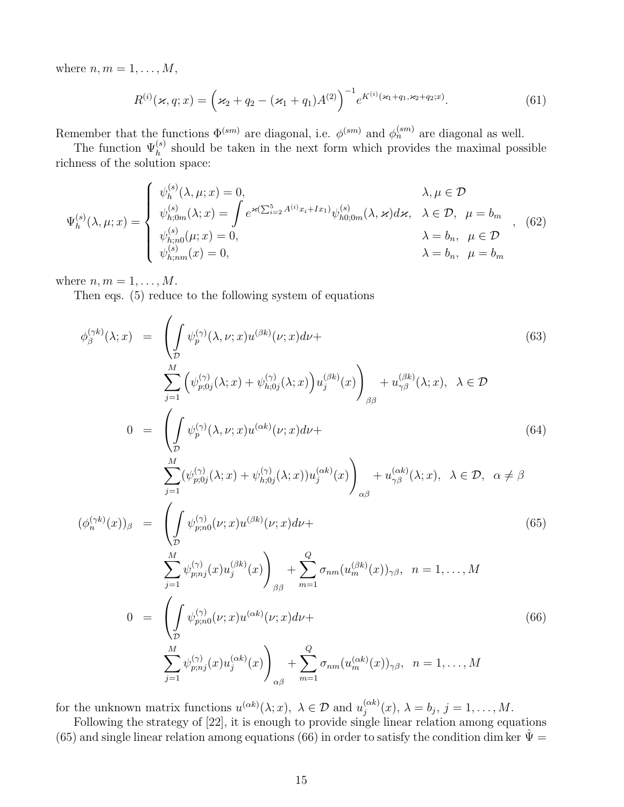where  $n, m = 1, \ldots, M$ ,

$$
R^{(i)}(\varkappa, q; x) = \left(\varkappa_2 + q_2 - (\varkappa_1 + q_1)A^{(2)}\right)^{-1} e^{K^{(i)}(\varkappa_1 + q_1, \varkappa_2 + q_2; x)}.
$$
\n(61)

Remember that the functions  $\Phi^{(sm)}$  are diagonal, i.e.  $\phi^{(sm)}$  and  $\phi^{(sm)}_n$  are diagonal as well.

The function  $\Psi_h^{(s)}$  should be taken in the next form which provides the maximal possible richness of the solution space:

$$
\Psi_{h}^{(s)}(\lambda, \mu; x) = \begin{cases} \psi_{h}^{(s)}(\lambda, \mu; x) = 0, & \lambda, \mu \in \mathcal{D} \\ \psi_{h; 0m}^{(s)}(\lambda; x) = \int e^{\varkappa(\sum_{i=2}^{5} A^{(i)} x_{i} + I x_{1})} \psi_{h0; 0m}^{(s)}(\lambda, \nu) d\varkappa, & \lambda \in \mathcal{D}, \ \mu = b_{m} \\ \psi_{h; n0}^{(s)}(\mu; x) = 0, & \lambda = b_{n}, \ \mu \in \mathcal{D} \\ \psi_{h; nm}^{(s)}(x) = 0, & \lambda = b_{n}, \ \mu = b_{m} \end{cases}
$$
 (62)

where  $n, m = 1, \ldots, M$ .

Then eqs. (5) reduce to the following system of equations

$$
\phi_{\beta}^{(\gamma k)}(\lambda; x) = \left( \int_{\mathcal{D}} \psi_{p}^{(\gamma)}(\lambda, \nu; x) u^{(\beta k)}(\nu; x) d\nu + \sum_{j=1}^{M} \left( \psi_{p;0j}^{(\gamma)}(\lambda; x) + \psi_{h;0j}^{(\gamma)}(\lambda; x) \right) u_{j}^{(\beta k)}(x) \right)_{\beta\beta} + u_{\gamma\beta}^{(\beta k)}(\lambda; x), \ \lambda \in \mathcal{D}
$$
\n
$$
0 = \left( \int_{\mathcal{D}} \psi_{p}^{(\gamma)}(\lambda, \nu; x) u^{(\alpha k)}(\nu; x) d\nu + \right)
$$
\n(64)

$$
\sum_{j=1}^{M} (\psi_{p;0j}^{(\gamma)}(\lambda; x) + \psi_{h;0j}^{(\gamma)}(\lambda; x)) u_j^{(\alpha k)}(x) \Bigg)_{\alpha \beta} + u_{\gamma \beta}^{(\alpha k)}(\lambda; x), \ \lambda \in \mathcal{D}, \ \alpha \neq \beta
$$

$$
(\phi_n^{(\gamma k)}(x))_\beta = \left( \int_{\mathcal{D}} \psi_{p;n0}^{(\gamma)}(\nu; x) u^{(\beta k)}(\nu; x) d\nu + \frac{\sum_{j=1}^M \psi_{p;nj}^{(\gamma)}(x) u_j^{(\beta k)}(x)}{\sum_{j=1}^M \psi_{p;nj}^{(\gamma)}(x) u_j^{(\beta k)}(x)} \right)_{\beta\beta} + \sum_{m=1}^Q \sigma_{nm}(u_m^{(\beta k)}(x))_{\gamma\beta}, \quad n = 1, ..., M
$$
\n
$$
0 = \left( \int_{\mathcal{D}} \psi_{p;n0}^{(\gamma)}(\nu; x) u^{(\alpha k)}(\nu; x) d\nu + \frac{\sum_{j=1}^M \psi_{p;nj}^{(\gamma)}(x) u_j^{(\alpha k)}(x)}{\sum_{j=1}^M \psi_{p;nj}^{(\gamma)}(x) u_j^{(\alpha k)}(x)} \right) + \sum_{j=1}^Q \sigma_{nm}(u_m^{(\alpha k)}(x))_{\gamma\beta}, \quad n = 1, ..., M
$$
\n(65)

for the unknown matrix functions  $u^{(\alpha k)}(\lambda; x)$ ,  $\lambda \in \mathcal{D}$  and  $u_j^{(\alpha k)}$  $j^{(\alpha\kappa)}(x),\,\lambda=b_j,\,j=1,\ldots,M.$ 

αβ

 $j=1$ 

Following the strategy of [22], it is enough to provide single linear relation among equations (65) and single linear relation among equations (66) in order to satisfy the condition dim ker  $\hat{\Psi} =$ 

 $m=1$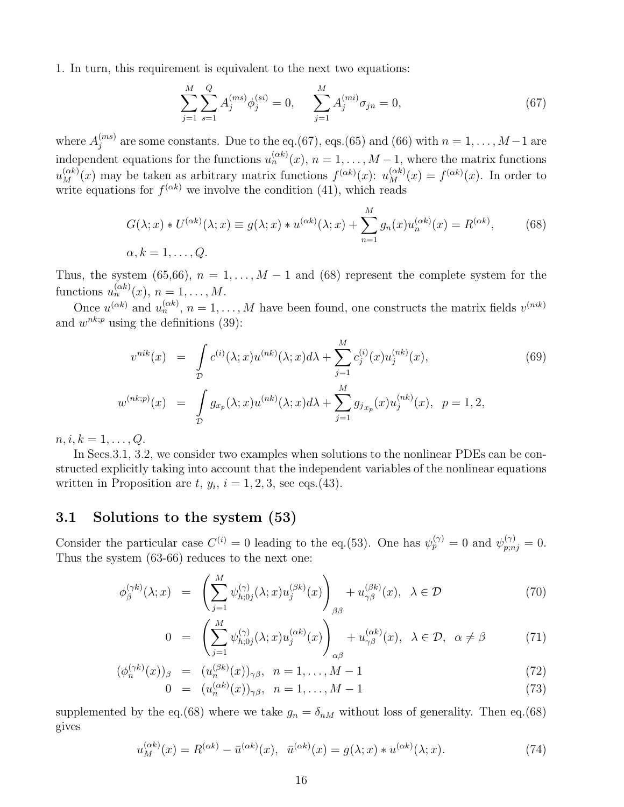1. In turn, this requirement is equivalent to the next two equations:

$$
\sum_{j=1}^{M} \sum_{s=1}^{Q} A_j^{(ms)} \phi_j^{(si)} = 0, \qquad \sum_{j=1}^{M} A_j^{(mi)} \sigma_{jn} = 0,
$$
\n(67)

where  $A_i^{(ms)}$  $j_j^{(ms)}$  are some constants. Due to the eq.(67), eqs.(65) and (66) with  $n = 1, ..., M-1$  are independent equations for the functions  $u_n^{(\alpha k)}(x)$ ,  $n = 1, \ldots, M-1$ , where the matrix functions  $u_M^{(\alpha k)}(x)$  may be taken as arbitrary matrix functions  $f^{(\alpha k)}(x)$ :  $u_M^{(\alpha k)}(x) = f^{(\alpha k)}(x)$ . In order to write equations for  $f^{(\alpha k)}$  we involve the condition (41), which reads

$$
G(\lambda; x) * U^{(\alpha k)}(\lambda; x) \equiv g(\lambda; x) * u^{(\alpha k)}(\lambda; x) + \sum_{n=1}^{M} g_n(x) u_n^{(\alpha k)}(x) = R^{(\alpha k)},
$$
\n
$$
\alpha, k = 1, \dots, Q.
$$
\n(68)

Thus, the system (65,66),  $n = 1, \ldots, M-1$  and (68) represent the complete system for the functions  $u_n^{(\alpha k)}(x), n = 1, \ldots, M$ .

Once  $u^{(\alpha k)}$  and  $u_n^{(\alpha k)}$ ,  $n = 1, ..., M$  have been found, one constructs the matrix fields  $v^{(nik)}$ and  $w^{nk;p}$  using the definitions (39):

$$
v^{nik}(x) = \int_{\mathcal{D}} c^{(i)}(\lambda; x) u^{(nk)}(\lambda; x) d\lambda + \sum_{j=1}^{M} c_j^{(i)}(x) u_j^{(nk)}(x),
$$
  

$$
w^{(nk;p)}(x) = \int_{\mathcal{D}} g_{x_p}(\lambda; x) u^{(nk)}(\lambda; x) d\lambda + \sum_{j=1}^{M} g_{j_{x_p}}(x) u_j^{(nk)}(x), \quad p = 1, 2,
$$
 (69)

 $n, i, k = 1, \ldots, Q.$ 

In Secs. 3.1, 3.2, we consider two examples when solutions to the nonlinear PDEs can be constructed explicitly taking into account that the independent variables of the nonlinear equations written in Proposition are  $t, y_i, i = 1, 2, 3$ , see eqs.(43).

#### 3.1 Solutions to the system (53)

Consider the particular case  $C^{(i)} = 0$  leading to the eq.(53). One has  $\psi_p^{(\gamma)} = 0$  and  $\psi_{p,nj}^{(\gamma)} = 0$ . Thus the system (63-66) reduces to the next one:

$$
\phi_{\beta}^{(\gamma k)}(\lambda; x) = \left( \sum_{j=1}^{M} \psi_{h;0j}^{(\gamma)}(\lambda; x) u_j^{(\beta k)}(x) \right)_{\beta \beta} + u_{\gamma \beta}^{(\beta k)}(x), \ \lambda \in \mathcal{D}
$$
\n(70)

$$
0 = \left(\sum_{j=1}^{M} \psi_{h;0j}^{(\gamma)}(\lambda;x) u_j^{(\alpha k)}(x)\right)_{\alpha\beta} + u_{\gamma\beta}^{(\alpha k)}(x), \ \lambda \in \mathcal{D}, \ \alpha \neq \beta \tag{71}
$$

$$
(\phi_n^{(\gamma k)}(x))_\beta = (u_n^{(\beta k)}(x))_{\gamma \beta}, \quad n = 1, ..., M - 1
$$
  
\n
$$
0 = (u_n^{(\alpha k)}(x))_{\gamma \beta}, \quad n = 1, ..., M - 1
$$
\n(73)

supplemented by the eq.(68) where we take  $g_n = \delta_{nM}$  without loss of generality. Then eq.(68) gives

$$
u_M^{(\alpha k)}(x) = R^{(\alpha k)} - \bar{u}^{(\alpha k)}(x), \quad \bar{u}^{(\alpha k)}(x) = g(\lambda; x) * u^{(\alpha k)}(\lambda; x). \tag{74}
$$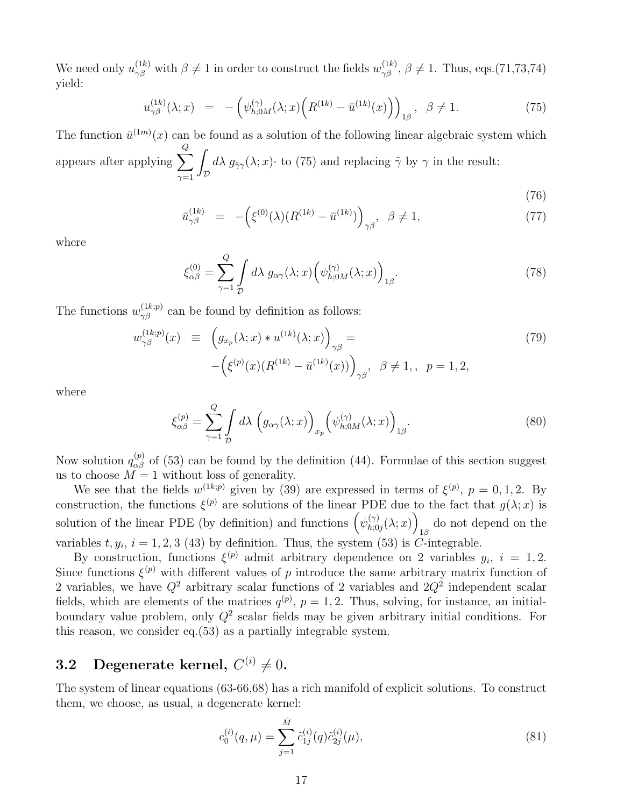We need only  $u_{\gamma\beta}^{(1k)}$  with  $\beta\neq 1$  in order to construct the fields  $w_{\gamma\beta}^{(1k)}$ ,  $\beta\neq 1$ . Thus, eqs.(71,73,74) yield:

$$
u_{\gamma\beta}^{(1k)}(\lambda;x) = -(\psi_{h;0M}^{(\gamma)}(\lambda;x) \Big( R^{(1k)} - \bar{u}^{(1k)}(x) \Big) \Big)_{1\beta}, \ \ \beta \neq 1. \tag{75}
$$

The function  $\bar{u}^{(1m)}(x)$  can be found as a solution of the following linear algebraic system which appears after applying  $\sum$ Q  $_{\gamma=1}$ Z  $\int_{\mathcal{D}} d\lambda g_{\tilde{\gamma}\gamma}(\lambda; x) \cdot$  to (75) and replacing  $\tilde{\gamma}$  by  $\gamma$  in the result:

(76)

$$
\bar{u}_{\gamma\beta}^{(1k)} = -(\xi^{(0)}(\lambda)(R^{(1k)} - \bar{u}^{(1k)})\big)_{\gamma\beta}, \ \beta \neq 1, \tag{77}
$$

where

$$
\xi_{\alpha\beta}^{(0)} = \sum_{\gamma=1}^{Q} \int d\lambda \ g_{\alpha\gamma}(\lambda; x) \left( \psi_{h;0M}^{(\gamma)}(\lambda; x) \right)_{1\beta}.
$$
 (78)

The functions  $w_{\gamma\beta}^{(1k;p)}$  can be found by definition as follows:

$$
w_{\gamma\beta}^{(1k;p)}(x) \equiv \left(g_{x_p}(\lambda; x) * u^{(1k)}(\lambda; x)\right)_{\gamma\beta} =
$$
  
 
$$
-\left(\xi^{(p)}(x)(R^{(1k)} - \bar{u}^{(1k)}(x))\right)_{\gamma\beta}, \ \beta \neq 1, \ p = 1, 2,
$$
 (79)

where

$$
\xi_{\alpha\beta}^{(p)} = \sum_{\gamma=1}^{Q} \int d\lambda \left( g_{\alpha\gamma}(\lambda; x) \right)_{x_p} \left( \psi_{h;0M}^{(\gamma)}(\lambda; x) \right)_{1\beta}.
$$
 (80)

Now solution  $q_{\alpha\beta}^{(p)}$  of (53) can be found by the definition (44). Formulae of this section suggest us to choose  $M = 1$  without loss of generality.

We see that the fields  $w^{(1k;p)}$  given by (39) are expressed in terms of  $\xi^{(p)}$ ,  $p = 0, 1, 2$ . By construction, the functions  $\xi^{(p)}$  are solutions of the linear PDE due to the fact that  $g(\lambda; x)$  is solution of the linear PDE (by definition) and functions  $(\psi_{h,0}^{(\gamma)})$  $\binom{(\gamma)}{h;0j}(\lambda;x)\bigg)$ do not depend on the  $_{1\beta}$ variables  $t, y_i, i = 1, 2, 3$  (43) by definition. Thus, the system (53) is C-integrable.

By construction, functions  $\xi^{(p)}$  admit arbitrary dependence on 2 variables  $y_i$ ,  $i = 1, 2$ . Since functions  $\xi^{(p)}$  with different values of p introduce the same arbitrary matrix function of 2 variables, we have  $Q^2$  arbitrary scalar functions of 2 variables and  $2Q^2$  independent scalar fields, which are elements of the matrices  $q^{(p)}$ ,  $p = 1, 2$ . Thus, solving, for instance, an initialboundary value problem, only  $Q^2$  scalar fields may be given arbitrary initial conditions. For this reason, we consider eq.(53) as a partially integrable system.

## **3.2** Degenerate kernel,  $C^{(i)} \neq 0$ .

The system of linear equations (63-66,68) has a rich manifold of explicit solutions. To construct them, we choose, as usual, a degenerate kernel:

$$
c_0^{(i)}(q,\mu) = \sum_{j=1}^{\tilde{M}} \tilde{c}_{1j}^{(i)}(q) \tilde{c}_{2j}^{(i)}(\mu), \qquad (81)
$$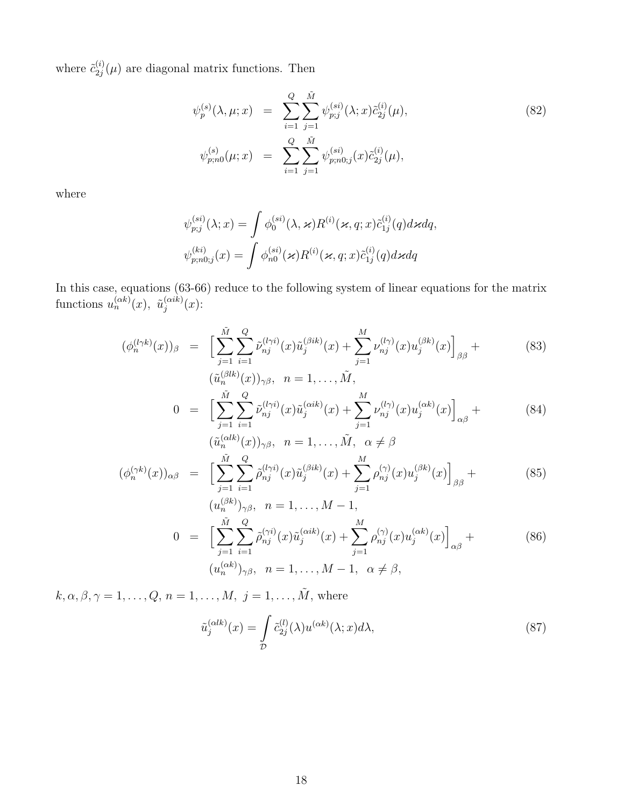where  $\tilde{c}_{2i}^{(i)}$  $2j^{(i)}_{2j}(\mu)$  are diagonal matrix functions. Then

$$
\psi_p^{(s)}(\lambda, \mu; x) = \sum_{i=1}^Q \sum_{j=1}^{\tilde{M}} \psi_{p;j}^{(si)}(\lambda; x) \tilde{c}_{2j}^{(i)}(\mu),
$$
\n
$$
\psi_{p;n0}^{(s)}(\mu; x) = \sum_{i=1}^Q \sum_{j=1}^{\tilde{M}} \psi_{p;n0;j}^{(si)}(x) \tilde{c}_{2j}^{(i)}(\mu),
$$
\n(82)

where

$$
\psi_{p;j}^{(si)}(\lambda; x) = \int \phi_0^{(si)}(\lambda, \varkappa) R^{(i)}(\varkappa, q; x) \tilde{c}_{1j}^{(i)}(q) d\varkappa dq,
$$
  

$$
\psi_{p;n0;j}^{(ki)}(x) = \int \phi_{n0}^{(si)}(\varkappa) R^{(i)}(\varkappa, q; x) \tilde{c}_{1j}^{(i)}(q) d\varkappa dq
$$

In this case, equations (63-66) reduce to the following system of linear equations for the matrix functions  $u_n^{(\alpha k)}(x)$ ,  $\tilde{u}_i^{(\alpha i k)}$  $j^{(\alpha i\kappa)}(x)$ :

$$
(\phi_n^{(l\gamma k)}(x))_\beta = \left[ \sum_{j=1}^{\tilde{M}} \sum_{i=1}^Q \tilde{\nu}_{nj}^{(l\gamma i)}(x) \tilde{u}_j^{(\beta i k)}(x) + \sum_{j=1}^M \nu_{nj}^{(l\gamma)}(x) u_j^{(\beta k)}(x) \right]_{\beta\beta} +
$$
\n
$$
(\tilde{u}_n^{(\beta l k)}(x))_{\gamma\beta}, \quad n = 1, \dots, \tilde{M},
$$
\n(83)

$$
0 = \left[ \sum_{j=1}^{\tilde{M}} \sum_{i=1}^{Q} \tilde{\nu}_{nj}^{(l\gamma i)}(x) \tilde{u}_j^{(\alpha ik)}(x) + \sum_{j=1}^{M} \nu_{nj}^{(l\gamma)}(x) u_j^{(\alpha k)}(x) \right]_{\alpha\beta} +
$$
\n
$$
(\tilde{u}_n^{(\alpha lk)}(x))_{\gamma\beta}, \quad n = 1, \dots, \tilde{M}, \quad \alpha \neq \beta
$$
\n(84)

$$
(\phi_n^{(\gamma k)}(x))_{\alpha\beta} = \left[ \sum_{j=1}^{\tilde{M}} \sum_{i=1}^Q \tilde{\rho}_{nj}^{(l\gamma i)}(x) \tilde{u}_j^{(\beta i k)}(x) + \sum_{j=1}^M \rho_{nj}^{(\gamma)}(x) u_j^{(\beta k)}(x) \right]_{\beta\beta} +
$$
(85)

$$
(u_n^{(\beta k)})_{\gamma\beta}, \quad n = 1, ..., M - 1,
$$
  
\n
$$
0 = \left[\sum_{j=1}^{\tilde{M}} \sum_{i=1}^{Q} \tilde{\rho}_{nj}^{(\gamma i)}(x) \tilde{u}_j^{(\alpha i k)}(x) + \sum_{j=1}^{M} \rho_{nj}^{(\gamma)}(x) u_j^{(\alpha k)}(x)\right]_{\alpha\beta} + (86)
$$
  
\n
$$
(u_n^{(\alpha k)})_{\gamma\beta}, \quad n = 1, ..., M - 1, \quad \alpha \neq \beta,
$$

 $k, \alpha, \beta, \gamma = 1, \ldots, Q, n = 1, \ldots, M, j = 1, \ldots, \tilde{M}$ , where

$$
\tilde{u}_j^{(\alpha lk)}(x) = \int_{\mathcal{D}} \tilde{c}_{2j}^{(l)}(\lambda) u^{(\alpha k)}(\lambda; x) d\lambda,
$$
\n(87)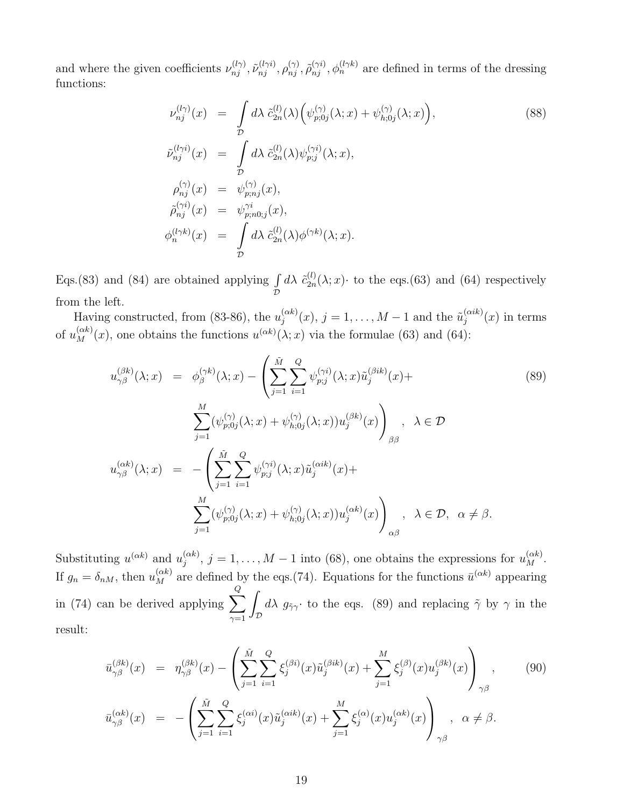and where the given coefficients  $\nu_{nj}^{(l\gamma)}$ ,  $\tilde{\nu}_{nj}^{(l\gamma i)}$ ,  $\rho_{nj}^{(\gamma)}$ ,  $\tilde{\rho}_{nj}^{(\gamma i)}$ ,  $\phi_n^{(l\gamma k)}$  are defined in terms of the dressing functions:

$$
\nu_{nj}^{(l\gamma)}(x) = \int_{\mathcal{D}} d\lambda \ \tilde{c}_{2n}^{(l)}(\lambda) \Big( \psi_{p;0j}^{(\gamma)}(\lambda; x) + \psi_{h;0j}^{(\gamma)}(\lambda; x) \Big),
$$
\n
$$
\tilde{\nu}_{nj}^{(l\gamma i)}(x) = \int_{\mathcal{D}} d\lambda \ \tilde{c}_{2n}^{(l)}(\lambda) \psi_{p;j}^{(\gamma i)}(\lambda; x),
$$
\n
$$
\rho_{nj}^{(\gamma)}(x) = \psi_{p;nj}^{(\gamma)}(x),
$$
\n
$$
\tilde{\rho}_{nj}^{(\gamma i)}(x) = \psi_{p;n0;j}^{(\gamma i)}(x),
$$
\n
$$
\phi_{n}^{(l\gamma k)}(x) = \int_{\mathcal{D}} d\lambda \ \tilde{c}_{2n}^{(l)}(\lambda) \phi^{(\gamma k)}(\lambda; x).
$$
\n(88)

Eqs.(83) and (84) are obtained applying  $\int$  $\check{\mathcal{D}}$  $d\lambda$   $\tilde{c}_{2n}^{(l)}$  $_{2n}^{(l)}(\lambda; x)$  to the eqs.(63) and (64) respectively from the left.

Having constructed, from (83-86), the  $u_j^{(\alpha k)}$  $j_j^{(\alpha k)}(x), j = 1, \ldots, M-1$  and the  $\tilde{u}_j^{(\alpha i k)}$  $j^{(\alpha i\kappa)}(x)$  in terms of  $u_M^{(\alpha k)}(x)$ , one obtains the functions  $u^{(\alpha k)}(\lambda; x)$  via the formulae (63) and (64):

$$
u_{\gamma\beta}^{(\beta k)}(\lambda; x) = \phi_{\beta}^{(\gamma k)}(\lambda; x) - \left(\sum_{j=1}^{\tilde{M}} \sum_{i=1}^{Q} \psi_{p;j}^{(\gamma i)}(\lambda; x) \tilde{u}_{j}^{(\beta i k)}(x) + \sum_{j=1}^{M} (\psi_{p;0j}^{(\gamma)}(\lambda; x) + \psi_{h;0j}^{(\gamma)}(\lambda; x)) u_{j}^{(\beta k)}(x)\right)_{\beta\beta}, \quad \lambda \in \mathcal{D}
$$
  

$$
u_{\gamma\beta}^{(\alpha k)}(\lambda; x) = -\left(\sum_{j=1}^{\tilde{M}} \sum_{i=1}^{Q} \psi_{p;j}^{(\gamma i)}(\lambda; x) \tilde{u}_{j}^{(\alpha i k)}(x) + \sum_{j=1}^{M} (\psi_{p;0j}^{(\gamma)}(\lambda; x) + \psi_{h;0j}^{(\gamma)}(\lambda; x)) u_{j}^{(\alpha k)}(x)\right)_{\alpha\beta}, \quad \lambda \in \mathcal{D}, \quad \alpha \neq \beta.
$$
  
(89)

Substituting  $u^{(\alpha k)}$  and  $u^{(\alpha k)}_i$  $j_j^{(\alpha k)}$ ,  $j = 1, ..., M - 1$  into (68), one obtains the expressions for  $u_M^{(\alpha k)}$ . If  $g_n = \delta_{nM}$ , then  $u_M^{(\alpha k)}$  are defined by the eqs.(74). Equations for the functions  $\bar{u}^{(\alpha k)}$  appearing in (74) can be derived applying  $\sum$ Q  $_{\gamma=1}$ Z  $\int_{\mathcal{D}} d\lambda g_{\tilde{\gamma}\gamma}$  to the eqs. (89) and replacing  $\tilde{\gamma}$  by  $\gamma$  in the result:

$$
\bar{u}_{\gamma\beta}^{(\beta k)}(x) = \eta_{\gamma\beta}^{(\beta k)}(x) - \left(\sum_{j=1}^{\tilde{M}} \sum_{i=1}^{Q} \xi_j^{(\beta i)}(x) \tilde{u}_j^{(\beta i k)}(x) + \sum_{j=1}^{M} \xi_j^{(\beta)}(x) u_j^{(\beta k)}(x)\right)_{\gamma\beta},
$$
\n
$$
\bar{u}_{\gamma\beta}^{(\alpha k)}(x) = -\left(\sum_{j=1}^{\tilde{M}} \sum_{i=1}^{Q} \xi_j^{(\alpha i)}(x) \tilde{u}_j^{(\alpha i k)}(x) + \sum_{j=1}^{M} \xi_j^{(\alpha)}(x) u_j^{(\alpha k)}(x)\right)_{\gamma\beta}, \quad \alpha \neq \beta.
$$
\n(90)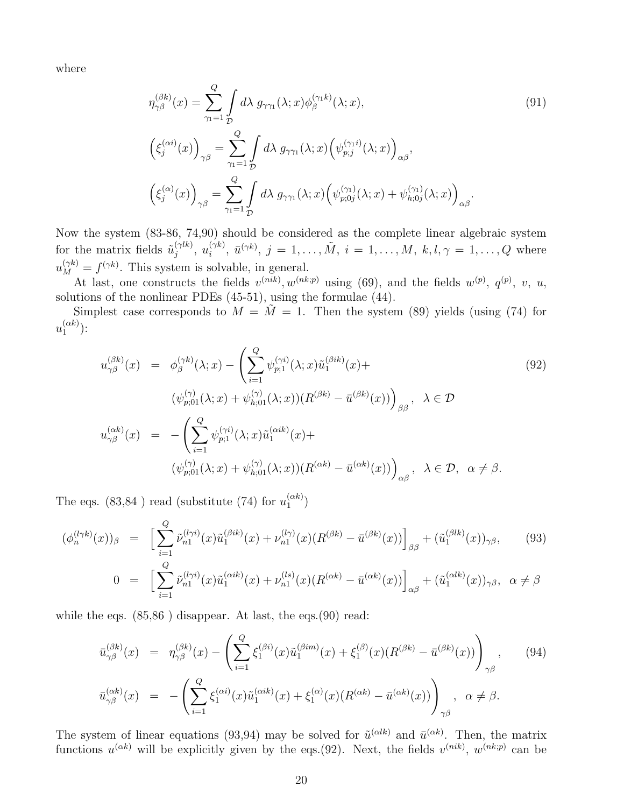where

$$
\eta_{\gamma\beta}^{(\beta k)}(x) = \sum_{\gamma_1=1}^{Q} \int d\lambda \ g_{\gamma\gamma_1}(\lambda; x) \phi_{\beta}^{(\gamma_1 k)}(\lambda; x),
$$
\n
$$
\left(\xi_j^{(\alpha i)}(x)\right)_{\gamma\beta} = \sum_{\gamma_1=1}^{Q} \int d\lambda \ g_{\gamma\gamma_1}(\lambda; x) \left(\psi_{p;j}^{(\gamma_1 i)}(\lambda; x)\right)_{\alpha\beta},
$$
\n
$$
\left(\xi_j^{(\alpha)}(x)\right)_{\gamma\beta} = \sum_{\gamma_1=1}^{Q} \int d\lambda \ g_{\gamma\gamma_1}(\lambda; x) \left(\psi_{p;0j}^{(\gamma_1)}(\lambda; x) + \psi_{h;0j}^{(\gamma_1)}(\lambda; x)\right)_{\alpha\beta}.
$$
\n(91)

Now the system (83-86, 74,90) should be considered as the complete linear algebraic system for the matrix fields  $\tilde{u}_i^{(\gamma lk)}$  $j^{(\gamma l k)},\; u_i^{(\gamma k)}$  $i^{(\gamma k)}$ ,  $\bar{u}^{(\gamma k)}$ ,  $j = 1, ..., \tilde{M}$ ,  $i = 1, ..., M$ ,  $k, l, \gamma = 1, ..., Q$  where  $u_M^{(\gamma k)} = f^{(\gamma k)}$ . This system is solvable, in general.

At last, one constructs the fields  $v^{(nik)}$ ,  $w^{(nk;p)}$  using (69), and the fields  $w^{(p)}$ ,  $q^{(p)}$ ,  $v$ ,  $u$ , solutions of the nonlinear PDEs (45-51), using the formulae (44).

Simplest case corresponds to  $M = M = 1$ . Then the system (89) yields (using (74) for  $u_1^{(\alpha k)}$  $\binom{(\alpha\kappa)}{1}$ :

$$
u_{\gamma\beta}^{(\beta k)}(x) = \phi_{\beta}^{(\gamma k)}(\lambda; x) - \left(\sum_{i=1}^{Q} \psi_{p;1}^{(\gamma i)}(\lambda; x) \tilde{u}_{1}^{(\beta i k)}(x) +
$$
  
\n
$$
(\psi_{p;01}^{(\gamma)}(\lambda; x) + \psi_{h;01}^{(\gamma)}(\lambda; x))(R^{(\beta k)} - \bar{u}^{(\beta k)}(x))\right)_{\beta\beta}, \quad \lambda \in \mathcal{D}
$$
  
\n
$$
u_{\gamma\beta}^{(\alpha k)}(x) = -\left(\sum_{i=1}^{Q} \psi_{p;1}^{(\gamma i)}(\lambda; x) \tilde{u}_{1}^{(\alpha i k)}(x) +
$$
  
\n
$$
(\psi_{p;01}^{(\gamma)}(\lambda; x) + \psi_{h;01}^{(\gamma)}(\lambda; x))(R^{(\alpha k)} - \bar{u}^{(\alpha k)}(x))\right)_{\alpha\beta}, \quad \lambda \in \mathcal{D}, \quad \alpha \neq \beta.
$$
\n(92)

The eqs. (83,84) read (substitute (74) for  $u_1^{(\alpha k)}$  $\binom{(\alpha \kappa)}{1}$ 

$$
(\phi_n^{(l\gamma k)}(x))_\beta = \left[ \sum_{i=1}^Q \tilde{\nu}_{n1}^{(l\gamma i)}(x) \tilde{u}_1^{(\beta i k)}(x) + \nu_{n1}^{(l\gamma)}(x) (R^{(\beta k)} - \bar{u}^{(\beta k)}(x)) \right]_{\beta\beta} + (\tilde{u}_1^{(\beta l k)}(x))_{\gamma\beta}, \tag{93}
$$

$$
0 = \left[ \sum_{i=1}^{Q} \tilde{\nu}_{n1}^{(l\gamma i)}(x) \tilde{u}_1^{(\alpha ik)}(x) + \nu_{n1}^{(ls)}(x) (R^{(\alpha k)} - \bar{u}^{(\alpha k)}(x)) \right]_{\alpha\beta} + (\tilde{u}_1^{(\alpha lk)}(x))_{\gamma\beta}, \ \alpha \neq \beta
$$

while the eqs.  $(85,86)$  disappear. At last, the eqs.  $(90)$  read:

$$
\bar{u}_{\gamma\beta}^{(\beta k)}(x) = \eta_{\gamma\beta}^{(\beta k)}(x) - \left(\sum_{i=1}^{Q} \xi_1^{(\beta i)}(x)\tilde{u}_1^{(\beta im)}(x) + \xi_1^{(\beta)}(x)(R^{(\beta k)} - \bar{u}^{(\beta k)}(x))\right)_{\gamma\beta}, \qquad (94)
$$
  

$$
\bar{u}_{\gamma\beta}^{(\alpha k)}(x) = -\left(\sum_{i=1}^{Q} \xi_1^{(\alpha i)}(x)\tilde{u}_1^{(\alpha ik)}(x) + \xi_1^{(\alpha)}(x)(R^{(\alpha k)} - \bar{u}^{(\alpha k)}(x))\right)_{\gamma\beta}, \quad \alpha \neq \beta.
$$

The system of linear equations (93,94) may be solved for  $\tilde{u}^{(\alpha k)}$  and  $\bar{u}^{(\alpha k)}$ . Then, the matrix functions  $u^{(\alpha k)}$  will be explicitly given by the eqs.(92). Next, the fields  $v^{(nik)}$ ,  $w^{(nk;p)}$  can be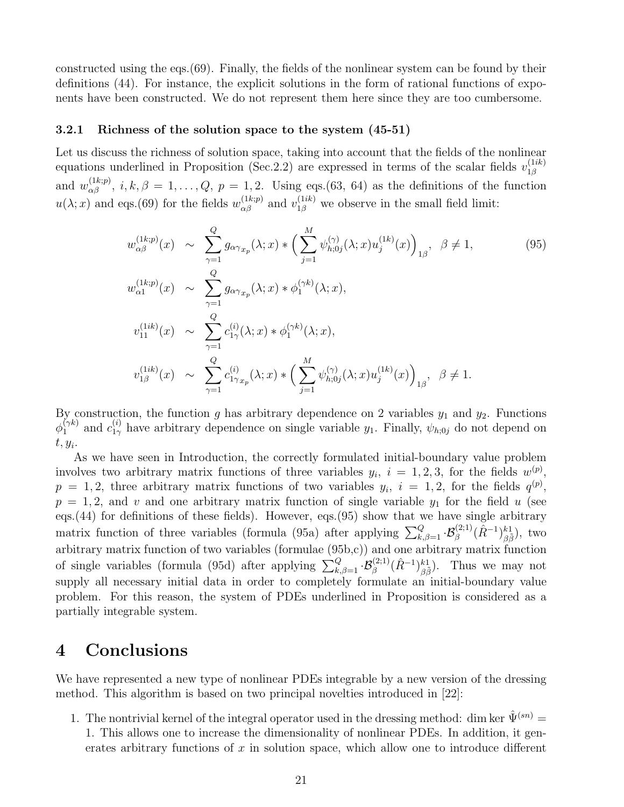constructed using the eqs.(69). Finally, the fields of the nonlinear system can be found by their definitions (44). For instance, the explicit solutions in the form of rational functions of exponents have been constructed. We do not represent them here since they are too cumbersome.

#### 3.2.1 Richness of the solution space to the system (45-51)

Let us discuss the richness of solution space, taking into account that the fields of the nonlinear equations underlined in Proposition (Sec. 2.2) are expressed in terms of the scalar fields  $v_{1\beta}^{(1ik)}$  $1\beta$ and  $w_{\alpha\beta}^{(1k;p)}$ ,  $i, k, \beta = 1, \ldots, Q$ ,  $p = 1, 2$ . Using eqs.(63, 64) as the definitions of the function  $u(\lambda; x)$  and eqs.(69) for the fields  $w_{\alpha\beta}^{(1k;p)}$  and  $v_{1\beta}^{(1ik)}$  we observe in the small field limit:

$$
w_{\alpha\beta}^{(1k;p)}(x) \sim \sum_{\gamma=1}^{Q} g_{\alpha\gamma_{x_{p}}}(\lambda; x) * \left(\sum_{j=1}^{M} \psi_{h;0j}^{(\gamma)}(\lambda; x) u_{j}^{(1k)}(x)\right)_{1\beta}, \ \beta \neq 1,
$$
\n
$$
w_{\alpha1}^{(1k;p)}(x) \sim \sum_{\gamma=1}^{Q} g_{\alpha\gamma_{x_{p}}}(\lambda; x) * \phi_{1}^{(\gamma k)}(\lambda; x),
$$
\n
$$
v_{11}^{(1ik)}(x) \sim \sum_{\gamma=1}^{Q} c_{1\gamma}^{(i)}(\lambda; x) * \phi_{1}^{(\gamma k)}(\lambda; x),
$$
\n
$$
v_{1\beta}^{(1ik)}(x) \sim \sum_{\gamma=1}^{Q} c_{1\gamma_{x_{p}}}^{(i)}(\lambda; x) * \left(\sum_{j=1}^{M} \psi_{h;0j}^{(\gamma)}(\lambda; x) u_{j}^{(1k)}(x)\right)_{1\beta}, \ \beta \neq 1.
$$
\n(95)

By construction, the function g has arbitrary dependence on 2 variables  $y_1$  and  $y_2$ . Functions  $\phi_1^{(\gamma k)}$  and  $c_{1\gamma}^{(i)}$  have arbitrary dependence on single variable  $y_1$ . Finally,  $\psi_{h;0j}$  do not depend on  $t, y_i$ .

As we have seen in Introduction, the correctly formulated initial-boundary value problem involves two arbitrary matrix functions of three variables  $y_i$ ,  $i = 1, 2, 3$ , for the fields  $w^{(p)}$ ,  $p = 1, 2$ , three arbitrary matrix functions of two variables  $y_i$ ,  $i = 1, 2$ , for the fields  $q^{(p)}$ ,  $p = 1, 2$ , and v and one arbitrary matrix function of single variable  $y_1$  for the field u (see eqs.(44) for definitions of these fields). However, eqs.(95) show that we have single arbitrary matrix function of three variables (formula (95a) after applying  $\sum_{k,\beta=1}^Q \cdot \mathcal{B}_{\beta}^{(2;1)}(\hat{R}^{-1})_{\beta\tilde{\beta}}^{k}$ ), two arbitrary matrix function of two variables (formulae (95b,c)) and one arbitrary matrix function of single variables (formula (95d) after applying  $\sum_{k,\beta=1}^Q \cdot \mathcal{B}_{\beta}^{(2;1)}(\hat{R}^{-1})_{\beta\tilde{\beta}}^{k}$ ). Thus we may not supply all necessary initial data in order to completely formulate an initial-boundary value problem. For this reason, the system of PDEs underlined in Proposition is considered as a partially integrable system.

### 4 Conclusions

We have represented a new type of nonlinear PDEs integrable by a new version of the dressing method. This algorithm is based on two principal novelties introduced in [22]:

- 1. The nontrivial kernel of the integral operator used in the dressing method: dim ker  $\hat{\Psi}^{(sn)}$  =
	- 1. This allows one to increase the dimensionality of nonlinear PDEs. In addition, it generates arbitrary functions of  $x$  in solution space, which allow one to introduce different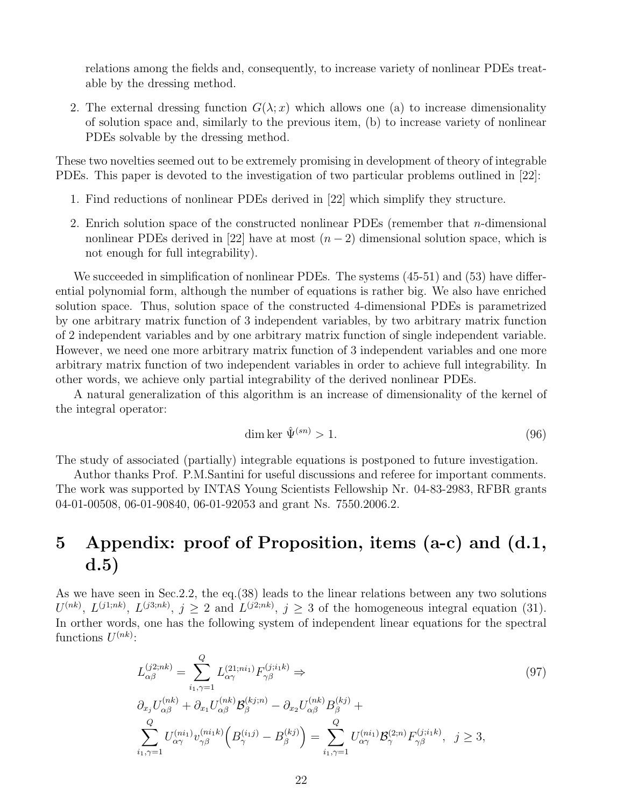relations among the fields and, consequently, to increase variety of nonlinear PDEs treatable by the dressing method.

2. The external dressing function  $G(\lambda; x)$  which allows one (a) to increase dimensionality of solution space and, similarly to the previous item, (b) to increase variety of nonlinear PDEs solvable by the dressing method.

These two novelties seemed out to be extremely promising in development of theory of integrable PDEs. This paper is devoted to the investigation of two particular problems outlined in [22]:

- 1. Find reductions of nonlinear PDEs derived in [22] which simplify they structure.
- 2. Enrich solution space of the constructed nonlinear PDEs (remember that  $n$ -dimensional nonlinear PDEs derived in [22] have at most  $(n-2)$  dimensional solution space, which is not enough for full integrability).

We succeeded in simplification of nonlinear PDEs. The systems  $(45-51)$  and  $(53)$  have differential polynomial form, although the number of equations is rather big. We also have enriched solution space. Thus, solution space of the constructed 4-dimensional PDEs is parametrized by one arbitrary matrix function of 3 independent variables, by two arbitrary matrix function of 2 independent variables and by one arbitrary matrix function of single independent variable. However, we need one more arbitrary matrix function of 3 independent variables and one more arbitrary matrix function of two independent variables in order to achieve full integrability. In other words, we achieve only partial integrability of the derived nonlinear PDEs.

A natural generalization of this algorithm is an increase of dimensionality of the kernel of the integral operator:

$$
\dim \ker \hat{\Psi}^{(sn)} > 1. \tag{96}
$$

The study of associated (partially) integrable equations is postponed to future investigation.

Author thanks Prof. P.M.Santini for useful discussions and referee for important comments. The work was supported by INTAS Young Scientists Fellowship Nr. 04-83-2983, RFBR grants 04-01-00508, 06-01-90840, 06-01-92053 and grant Ns. 7550.2006.2.

## 5 Appendix: proof of Proposition, items (a-c) and (d.1, d.5)

As we have seen in Sec.2.2, the eq.(38) leads to the linear relations between any two solutions  $U^{(nk)}$ ,  $L^{(j1;nk)}$ ,  $L^{(j3;nk)}$ ,  $j \geq 2$  and  $L^{(j2;nk)}$ ,  $j \geq 3$  of the homogeneous integral equation (31). In orther words, one has the following system of independent linear equations for the spectral functions  $U^{(nk)}$ :

$$
L_{\alpha\beta}^{(j2;nk)} = \sum_{i_1,\gamma=1}^{Q} L_{\alpha\gamma}^{(21;ni_1)} F_{\gamma\beta}^{(j;i_1k)} \Rightarrow
$$
  
\n
$$
\partial_{x_j} U_{\alpha\beta}^{(nk)} + \partial_{x_1} U_{\alpha\beta}^{(nk)} \mathcal{B}_{\beta}^{(kj;n)} - \partial_{x_2} U_{\alpha\beta}^{(nk)} B_{\beta}^{(kj)} + \sum_{i_1,\gamma=1}^{Q} U_{\alpha\gamma}^{(ni_1)} v_{\gamma\beta}^{(ni_1k)} \left( B_{\gamma}^{(i_1j)} - B_{\beta}^{(kj)} \right) = \sum_{i_1,\gamma=1}^{Q} U_{\alpha\gamma}^{(ni_1)} \mathcal{B}_{\gamma}^{(2;n)} F_{\gamma\beta}^{(j;i_1k)}, \quad j \ge 3,
$$
\n
$$
(97)
$$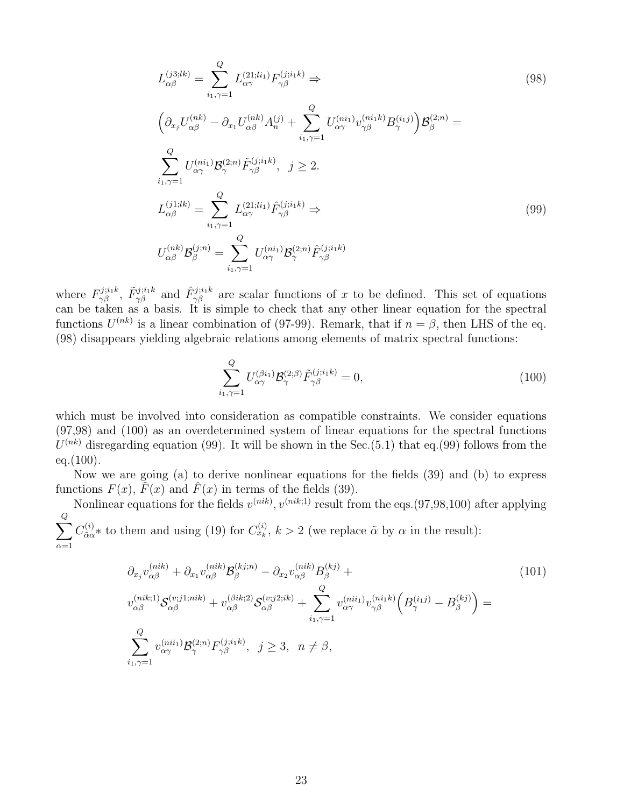$$
L_{\alpha\beta}^{(j3;lk)} = \sum_{i_1,\gamma=1}^{Q} L_{\alpha\gamma}^{(21;li_1)} F_{\gamma\beta}^{(j;i_1k)} \Rightarrow
$$
\n
$$
\left(\partial_{x_j} U_{\alpha\beta}^{(nk)} - \partial_{x_1} U_{\alpha\beta}^{(nk)} A_n^{(j)} + \sum_{i_1,\gamma=1}^{Q} U_{\alpha\gamma}^{(ni_1)} v_{\gamma\beta}^{(ni_1k)} B_n^{(i_1j)}\right) \mathcal{B}_{\beta}^{(2;n)} =
$$
\n
$$
\sum_{i_1,\gamma=1}^{Q} U_{\alpha\gamma}^{(ni_1)} \mathcal{B}_{\gamma}^{(2;n)} \tilde{F}_{\gamma\beta}^{(j;i_1k)}, \quad j \ge 2.
$$
\n
$$
L_{\alpha\beta}^{(j1;lk)} = \sum_{i_1,\gamma=1}^{Q} L_{\alpha\gamma}^{(21;li_1)} \hat{F}_{\gamma\beta}^{(j;i_1k)} \Rightarrow
$$
\n
$$
U_{\alpha\beta}^{(nk)} \mathcal{B}_{\beta}^{(j;n)} = \sum_{i_1,\gamma=1}^{Q} U_{\alpha\gamma}^{(ni_1)} \mathcal{B}_{\gamma}^{(2;n)} \hat{F}_{\gamma\beta}^{(j;i_1k)}
$$
\n
$$
(99)
$$

where  $F_{\gamma\beta}^{j;i_1k}$ ,  $\tilde{F}_{\gamma\beta}^{j;i_1k}$  and  $\hat{F}_{\gamma\beta}^{j;i_1k}$  are scalar functions of x to be defined. This set of equations can be taken as a basis. It is simple to check that any other linear equation for the spectral functions  $U^{(nk)}$  is a linear combination of (97-99). Remark, that if  $n = \beta$ , then LHS of the eq. (98) disappears yielding algebraic relations among elements of matrix spectral functions:

$$
\sum_{i_1,\gamma=1}^Q U_{\alpha\gamma}^{(\beta i_1)} \mathcal{B}_{\gamma}^{(2;\beta)} \tilde{F}_{\gamma\beta}^{(j;i_1k)} = 0,
$$
\n(100)

which must be involved into consideration as compatible constraints. We consider equations (97,98) and (100) as an overdetermined system of linear equations for the spectral functions  $U^{(nk)}$  disregarding equation (99). It will be shown in the Sec.(5.1) that eq.(99) follows from the  $eq.(100).$ 

Now we are going (a) to derive nonlinear equations for the fields (39) and (b) to express functions  $F(x)$ ,  $\tilde{F}(x)$  and  $\hat{F}(x)$  in terms of the fields (39).

Nonlinear equations for the fields  $v^{(nik)}$ ,  $v^{(nik;1)}$  result from the eqs.(97,98,100) after applying  $\sum$ Q  $C^{(i)}_{\tilde{\alpha}\alpha}$  $\alpha_{\alpha}^{(i)}$  to them and using (19) for  $C_{x_k}^{(i)}$ ,  $k > 2$  (we replace  $\tilde{\alpha}$  by  $\alpha$  in the result):

 $\alpha=1$ 

$$
\partial_{x_j} v_{\alpha\beta}^{(nik)} + \partial_{x_1} v_{\alpha\beta}^{(nik)} \mathcal{B}_{\beta}^{(kj;n)} - \partial_{x_2} v_{\alpha\beta}^{(nik)} B_{\beta}^{(kj)} + \nv_{\alpha\beta}^{(nik;1)} \mathcal{S}_{\alpha\beta}^{(v;j1;nik)} + v_{\alpha\beta}^{(\beta ik;2)} \mathcal{S}_{\alpha\beta}^{(v;j2;ik)} + \sum_{i_1,\gamma=1}^{Q} v_{\alpha\gamma}^{(ni_1)} v_{\gamma\beta}^{(ni_1)} \left( B_{\gamma}^{(i_1 j)} - B_{\beta}^{(k j)} \right) = \n\sum_{i_1,\gamma=1}^{Q} v_{\alpha\gamma}^{(ni_1)} \mathcal{B}_{\gamma}^{(2;n)} F_{\gamma\beta}^{(j;i_k)}, \quad j \ge 3, \quad n \neq \beta,
$$
\n(101)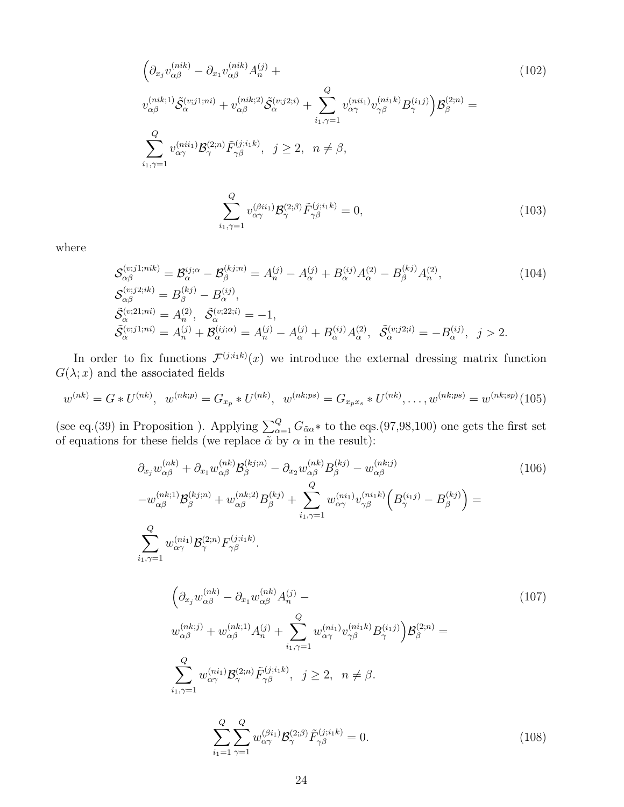$$
\left(\partial_{x_j} v_{\alpha\beta}^{(nik)} - \partial_{x_1} v_{\alpha\beta}^{(nik)} A_n^{(j)} + v_{\alpha\beta}^{(nik;2)} \tilde{S}_{\alpha}^{(v;j1;ni)} + v_{\alpha\beta}^{(nik;2)} \tilde{S}_{\alpha}^{(v;j2;i)} + \sum_{i_1,\gamma=1}^Q v_{\alpha\gamma}^{(nii_1)} v_{\gamma\beta}^{(ni_1k)} B_{\gamma}^{(i_1j)}\right) \mathcal{B}_{\beta}^{(2;n)} =
$$
\n
$$
\sum_{i_1,\gamma=1}^Q v_{\alpha\gamma}^{(nii_1)} \mathcal{B}_{\gamma}^{(2;n)} \tilde{F}_{\gamma\beta}^{(j;i_1k)}, \quad j \ge 2, \quad n \neq \beta,
$$
\n(102)

$$
\sum_{i_1,\gamma=1}^Q v_{\alpha\gamma}^{(\beta ii_1)} \mathcal{B}_{\gamma}^{(2;\beta)} \tilde{F}_{\gamma\beta}^{(j;i_1k)} = 0,
$$
\n(103)

where

$$
\mathcal{S}_{\alpha\beta}^{(v;j1;nik)} = \mathcal{B}_{\alpha}^{ij;\alpha} - \mathcal{B}_{\beta}^{(kj;n)} = A_{n}^{(j)} - A_{\alpha}^{(j)} + B_{\alpha}^{(ij)}A_{\alpha}^{(2)} - B_{\beta}^{(kj)}A_{n}^{(2)},
$$
\n
$$
\mathcal{S}_{\alpha\beta}^{(v;j2;ik)} = B_{\beta}^{(kj)} - B_{\alpha}^{(ij)},
$$
\n
$$
\tilde{\mathcal{S}}_{\alpha}^{(v;21;ni)} = A_{n}^{(2)}, \quad \tilde{\mathcal{S}}_{\alpha}^{(v;22;i)} = -1,
$$
\n
$$
\tilde{\mathcal{S}}_{\alpha}^{(v;1;ni)} = A_{n}^{(j)} + \mathcal{B}_{\alpha}^{(ij;\alpha)} = A_{n}^{(j)} - A_{\alpha}^{(j)} + B_{\alpha}^{(ij)}A_{\alpha}^{(2)}, \quad \tilde{\mathcal{S}}_{\alpha}^{(v;j2;i)} = -B_{\alpha}^{(ij)}, \quad j > 2.
$$
\n(104)

In order to fix functions  $\mathcal{F}^{(j;i_1k)}(x)$  we introduce the external dressing matrix function  $G(\lambda; x)$  and the associated fields

$$
w^{(nk)} = G * U^{(nk)}, \quad w^{(nk;p)} = G_{x_p} * U^{(nk)}, \quad w^{(nk;ps)} = G_{x_p x_s} * U^{(nk)}, \dots, w^{(nk;ps)} = w^{(nk;sp)}(105)
$$

(see eq.(39) in Proposition ). Applying  $\sum_{\alpha=1}^{Q} G_{\alpha\alpha} *$  to the eqs.(97,98,100) one gets the first set of equations for these fields (we replace  $\tilde{\alpha}$  by  $\alpha$  in the result):

$$
\partial_{x_j} w_{\alpha\beta}^{(nk)} + \partial_{x_1} w_{\alpha\beta}^{(nk)} \mathcal{B}_{\beta}^{(kj;n)} - \partial_{x_2} w_{\alpha\beta}^{(nk)} B_{\beta}^{(kj)} - w_{\alpha\beta}^{(nk;j)} \n- w_{\alpha\beta}^{(nk;1)} \mathcal{B}_{\beta}^{(kj;n)} + w_{\alpha\beta}^{(nk;2)} B_{\beta}^{(kj)} + \sum_{i_1,\gamma=1}^{Q} w_{\alpha\gamma}^{(ni_1)} v_{\gamma\beta}^{(ni_1k)} \left( B_{\gamma}^{(i_1j)} - B_{\beta}^{(kj)} \right) = \n\sum_{i_1,\gamma=1}^{Q} w_{\alpha\gamma}^{(ni_1)} \mathcal{B}_{\gamma}^{(2;n)} F_{\gamma\beta}^{(j;i_1k)}.
$$
\n(106)

$$
\left(\partial_{x_j} w_{\alpha\beta}^{(nk)} - \partial_{x_1} w_{\alpha\beta}^{(nk)} A_n^{(j)} - \right)
$$
\n
$$
w_{\alpha\beta}^{(nk;j)} + w_{\alpha\beta}^{(nk;1)} A_n^{(j)} + \sum_{i_1,\gamma=1}^Q w_{\alpha\gamma}^{(ni_1)} v_{\gamma\beta}^{(ni_1k)} B_n^{(i_1j)}\right) \mathcal{B}_{\beta}^{(2;n)} =
$$
\n
$$
\sum_{i_1,\gamma=1}^Q w_{\alpha\gamma}^{(ni_1)} \mathcal{B}_{\gamma}^{(2;n)} \tilde{F}_{\gamma\beta}^{(j;i_1k)}, \quad j \ge 2, \quad n \ne \beta.
$$
\n(107)

$$
\sum_{i_1=1}^{Q} \sum_{\gamma=1}^{Q} w_{\alpha\gamma}^{(\beta i_1)} \mathcal{B}_{\gamma}^{(2;\beta)} \tilde{F}_{\gamma\beta}^{(j;i_1k)} = 0.
$$
 (108)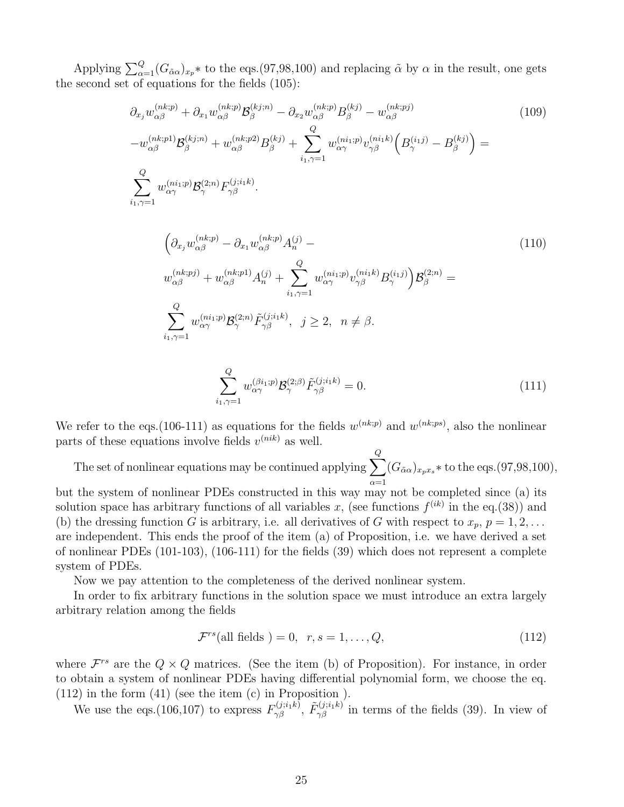Applying  $\sum_{\alpha=1}^{Q} (G_{\alpha\alpha})_{x_p} *$  to the eqs.(97,98,100) and replacing  $\tilde{\alpha}$  by  $\alpha$  in the result, one gets the second set of equations for the fields (105):

$$
\partial_{x_j} w_{\alpha\beta}^{(nk;p)} + \partial_{x_1} w_{\alpha\beta}^{(nk;p)} \mathcal{B}_{\beta}^{(kj;n)} - \partial_{x_2} w_{\alpha\beta}^{(nk;p)} B_{\beta}^{(kj)} - w_{\alpha\beta}^{(nk;pj)} \n-w_{\alpha\beta}^{(nk;p1)} \mathcal{B}_{\beta}^{(kj;n)} + w_{\alpha\beta}^{(nk;p2)} B_{\beta}^{(kj)} + \sum_{i_1,\gamma=1}^{Q} w_{\alpha\gamma}^{(ni_1;p)} v_{\gamma\beta}^{(ni_1;k)} \left( B_{\gamma}^{(i_1 j)} - B_{\beta}^{(k j)} \right) = \n\sum_{i_1,\gamma=1}^{Q} w_{\alpha\gamma}^{(ni_1;p)} \mathcal{B}_{\gamma}^{(2;n)} F_{\gamma\beta}^{(j;i_1 k)}.
$$
\n(109)

$$
\left(\partial_{x_j} w_{\alpha\beta}^{(nk;p)} - \partial_{x_1} w_{\alpha\beta}^{(nk;p)} A_n^{(j)} - \right)
$$
\n
$$
w_{\alpha\beta}^{(nk;pj)} + w_{\alpha\beta}^{(nk;p1)} A_n^{(j)} + \sum_{i_1,\gamma=1}^Q w_{\alpha\gamma}^{(ni_1;p)} v_{\gamma\beta}^{(ni_1 k)} B_\gamma^{(i_1 j)}\right) \mathcal{B}_{\beta}^{(2;n)} =
$$
\n
$$
\sum_{i_1,\gamma=1}^Q w_{\alpha\gamma}^{(ni_1;p)} \mathcal{B}_{\gamma}^{(2;n)} \tilde{F}_{\gamma\beta}^{(j;i_1 k)}, \quad j \ge 2, \quad n \neq \beta.
$$
\n(110)

$$
\sum_{i_1,\gamma=1}^Q w_{\alpha\gamma}^{(\beta i_1;p)} \mathcal{B}_{\gamma}^{(2;\beta)} \tilde{F}_{\gamma\beta}^{(j;i_1k)} = 0.
$$
\n(111)

We refer to the eqs.(106-111) as equations for the fields  $w^{(nk;p)}$  and  $w^{(nk;ps)}$ , also the nonlinear parts of these equations involve fields  $v^{(nik)}$  as well.

The set of nonlinear equations may be continued applying  $\sum$ Q  $\alpha=1$  $(G_{\tilde{\alpha}\alpha})_{x_px_s}$  \* to the eqs.(97,98,100),

but the system of nonlinear PDEs constructed in this way may not be completed since (a) its solution space has arbitrary functions of all variables x, (see functions  $f^{(ik)}$  in the eq.(38)) and (b) the dressing function G is arbitrary, i.e. all derivatives of G with respect to  $x_p$ ,  $p = 1, 2, \ldots$ are independent. This ends the proof of the item (a) of Proposition, i.e. we have derived a set of nonlinear PDEs (101-103), (106-111) for the fields (39) which does not represent a complete system of PDEs.

Now we pay attention to the completeness of the derived nonlinear system.

In order to fix arbitrary functions in the solution space we must introduce an extra largely arbitrary relation among the fields

$$
\mathcal{F}^{rs}(\text{all fields}) = 0, r, s = 1, \dots, Q,\tag{112}
$$

where  $\mathcal{F}^{rs}$  are the  $Q \times Q$  matrices. (See the item (b) of Proposition). For instance, in order to obtain a system of nonlinear PDEs having differential polynomial form, we choose the eq. (112) in the form (41) (see the item (c) in Proposition ).

We use the eqs.(106,107) to express  $F_{\gamma\beta}^{(j;i_1k)}$ ,  $\tilde{F}_{\gamma\beta}^{(j;i_1k)}$  in terms of the fields (39). In view of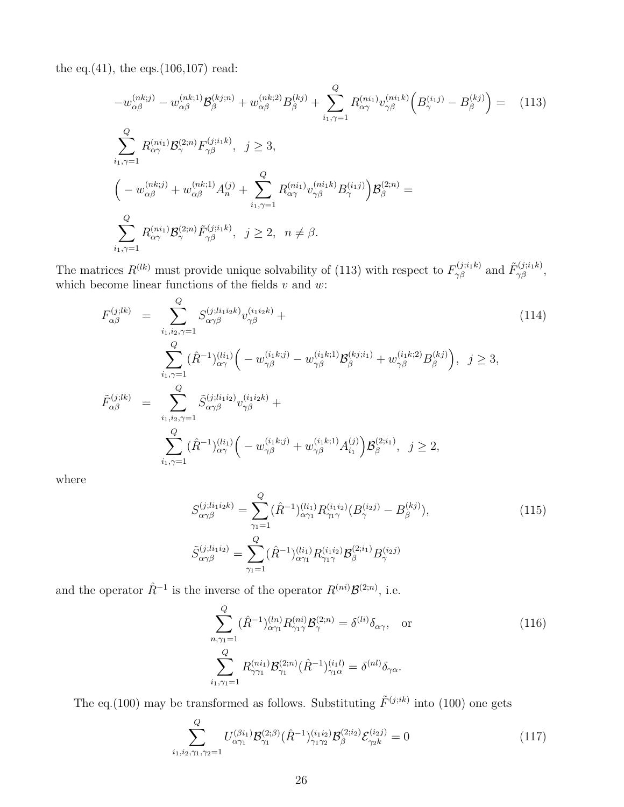the eq. $(41)$ , the eqs. $(106, 107)$  read:

$$
-w_{\alpha\beta}^{(nk;j)} - w_{\alpha\beta}^{(nk;1)} \mathcal{B}_{\beta}^{(kj;n)} + w_{\alpha\beta}^{(nk;2)} B_{\beta}^{(kj)} + \sum_{i_1,\gamma=1}^{Q} R_{\alpha\gamma}^{(ni_1)} v_{\gamma\beta}^{(ni_1k)} \left( B_{\gamma}^{(i_1j)} - B_{\beta}^{(kj)} \right) = (113)
$$
  

$$
\sum_{i_1,\gamma=1}^{Q} R_{\alpha\gamma}^{(ni_1)} \mathcal{B}_{\gamma}^{(2;n)} F_{\gamma\beta}^{(j;i_1k)}, \quad j \ge 3,
$$

$$
\left( -w_{\alpha\beta}^{(nk;j)} + w_{\alpha\beta}^{(nk;1)} A_{n}^{(j)} + \sum_{i_1,\gamma=1}^{Q} R_{\alpha\gamma}^{(ni_1)} v_{\gamma\beta}^{(ni_1k)} B_{\gamma}^{(i_1j)} \right) \mathcal{B}_{\beta}^{(2;n)} =
$$

$$
\sum_{i_1,\gamma=1}^{Q} R_{\alpha\gamma}^{(ni_1)} \mathcal{B}_{\gamma}^{(2;n)} \tilde{F}_{\gamma\beta}^{(j;i_1k)}, \quad j \ge 2, \quad n \ne \beta.
$$

The matrices  $R^{(lk)}$  must provide unique solvability of (113) with respect to  $F^{(j;i_1k)}_{\gamma\beta}$  and  $\tilde{F}^{(j;i_1k)}_{\gamma\beta}$ , which become linear functions of the fields  $v$  and  $w$ :

$$
F_{\alpha\beta}^{(j;lk)} = \sum_{i_1, i_2, \gamma=1}^Q S_{\alpha\gamma\beta}^{(j;li_1i_2k)} v_{\gamma\beta}^{(i_1i_2k)} +
$$
  
\n
$$
\sum_{i_1, \gamma=1}^Q (\hat{R}^{-1})_{\alpha\gamma}^{(li_1)} \Big( -w_{\gamma\beta}^{(i_1k;j)} - w_{\gamma\beta}^{(i_1k;1)} \mathcal{B}_{\beta}^{(kj;i_1)} + w_{\gamma\beta}^{(i_1k;2)} B_{\beta}^{(kj)} \Big), \quad j \ge 3,
$$
  
\n
$$
\tilde{F}_{\alpha\beta}^{(j;lk)} = \sum_{i_1, i_2, \gamma=1}^Q \tilde{S}_{\alpha\gamma\beta}^{(j;li_1i_2)} v_{\gamma\beta}^{(i_1i_2k)} +
$$
  
\n
$$
\sum_{i_1, \gamma=1}^Q (\hat{R}^{-1})_{\alpha\gamma}^{(li_1)} \Big( -w_{\gamma\beta}^{(i_1k;j)} + w_{\gamma\beta}^{(i_1k;1)} A_{i_1}^{(j)} \Big) \mathcal{B}_{\beta}^{(2;i_1)}, \quad j \ge 2,
$$
\n
$$
(114)
$$

where

$$
S_{\alpha\gamma\beta}^{(j;li_1i_2k)} = \sum_{\gamma_1=1}^{Q} (\hat{R}^{-1})_{\alpha\gamma_1}^{(li_1)} R_{\gamma_1\gamma}^{(i_1i_2)} (B_{\gamma}^{(i_2j)} - B_{\beta}^{(kj)}),
$$
\n
$$
\tilde{S}_{\alpha\gamma\beta}^{(j;li_1i_2)} = \sum_{\gamma_1=1}^{Q} (\hat{R}^{-1})_{\alpha\gamma_1}^{(li_1)} R_{\gamma_1\gamma}^{(i_1i_2)} \mathcal{B}_{\beta}^{(2;i_1)} B_{\gamma}^{(i_2j)}
$$
\n(115)

and the operator  $\hat{R}^{-1}$  is the inverse of the operator  $R^{(ni)}\mathcal{B}^{(2;n)}$ , i.e.

$$
\sum_{n,\gamma_1=1}^{Q} (\hat{R}^{-1})_{\alpha\gamma_1}^{(ln)} R_{\gamma_1\gamma}^{(ni)} \mathcal{B}_{\gamma}^{(2;n)} = \delta^{(li)} \delta_{\alpha\gamma}, \text{ or}
$$
\n
$$
\sum_{i_1,\gamma_1=1}^{Q} R_{\gamma\gamma_1}^{(ni_1)} \mathcal{B}_{\gamma_1}^{(2;n)} (\hat{R}^{-1})_{\gamma_1\alpha}^{(i_1l)} = \delta^{(nl)} \delta_{\gamma\alpha}.
$$
\n(116)

The eq.(100) may be transformed as follows. Substituting  $\tilde{F}^{(j;ik)}$  into (100) one gets

$$
\sum_{i_1,i_2,\gamma_1,\gamma_2=1}^Q U_{\alpha\gamma_1}^{(\beta i_1)} \mathcal{B}_{\gamma_1}^{(2;\beta)} (\hat{R}^{-1})_{\gamma_1\gamma_2}^{(i_1 i_2)} \mathcal{B}_{\beta}^{(2;i_2)} \mathcal{E}_{\gamma_2 k}^{(i_2 j)} = 0 \tag{117}
$$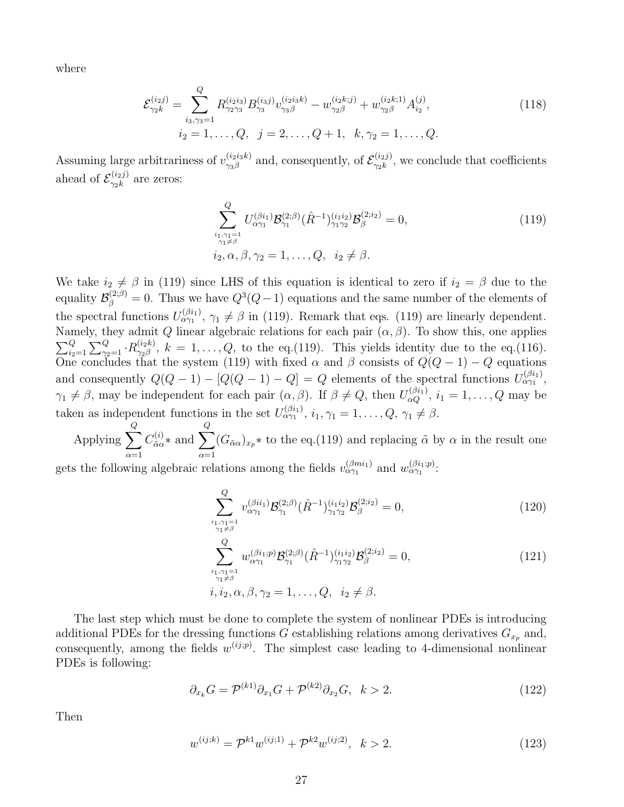where

$$
\mathcal{E}_{\gamma_{2}k}^{(i_{2}j)} = \sum_{i_{3},\gamma_{3}=1}^{Q} R_{\gamma_{2}\gamma_{3}}^{(i_{2}i_{3})} B_{\gamma_{3}}^{(i_{3}j)} v_{\gamma_{3}\beta}^{(i_{2}i_{3}k)} - w_{\gamma_{2}\beta}^{(i_{2}k;j)} + w_{\gamma_{2}\beta}^{(i_{2}k;1)} A_{i_{2}}^{(j)},
$$
\n
$$
i_{2} = 1, \ldots, Q, \quad j = 2, \ldots, Q+1, \quad k, \gamma_{2} = 1, \ldots, Q.
$$
\n(118)

Assuming large arbitrariness of  $v_{\gamma_3\beta}^{(i_2i_3k)}$  $\zeta_{\gamma_3\beta}^{(i_2i_3k)}$  and, consequently, of  $\mathcal{E}_{\gamma_2k}^{(i_2j)}$  $\gamma_{2k}^{(i_2 j)}$ , we conclude that coefficients ahead of  $\mathcal{E}_{\gamma_{2}k}^{(i_{2}j)}$  $\frac{\gamma(2j)}{\gamma_2k}$  are zeros:

$$
\sum_{\substack{i_1,\gamma_1=1\\ \gamma_1\neq \beta}}^Q U_{\alpha\gamma_1}^{(\beta i_1)} \mathcal{B}_{\gamma_1}^{(2;\beta)}(\hat{R}^{-1})_{\gamma_1\gamma_2}^{(i_1 i_2)} \mathcal{B}_{\beta}^{(2;i_2)} = 0,
$$
\n(119)\n  
\n
$$
i_2, \alpha, \beta, \gamma_2 = 1, \dots, Q, \quad i_2 \neq \beta.
$$

We take  $i_2 \neq \beta$  in (119) since LHS of this equation is identical to zero if  $i_2 = \beta$  due to the equality  $\mathcal{B}_{\beta}^{(2;\beta)}=0$ . Thus we have  $Q^3(Q-1)$  equations and the same number of the elements of the spectral functions  $U_{\alpha\gamma_1}^{(\beta_{i_1})}$ ,  $\gamma_1 \neq \beta$  in (119). Remark that eqs. (119) are linearly dependent. Namely, they admit Q linear algebraic relations for each pair  $(\alpha, \beta)$ . To show this, one applies  $\sum_{i_2=1}^Q\sum_{\gamma_2=1}^Q\cdot R^{(i_2k)}_{\gamma_2\beta}$  $\gamma_{2\beta}^{(i_{2}\kappa)}, k = 1, \ldots, Q$ , to the eq.(119). This yields identity due to the eq.(116). One concludes that the system (119) with fixed  $\alpha$  and  $\beta$  consists of  $Q(Q-1) - Q$  equations and consequently  $Q(Q-1) - [Q(Q-1) - Q] = Q$  elements of the spectral functions  $U_{\alpha\gamma_1}^{(\beta i_1)}$ ,  $\gamma_1 \neq \beta$ , may be independent for each pair  $(\alpha, \beta)$ . If  $\beta \neq Q$ , then  $U_{\alpha Q}^{(\beta i_1)}$ ,  $i_1 = 1, \ldots, Q$  may be taken as independent functions in the set  $U_{\alpha\gamma_1}^{(\beta i_1)}, i_1, \gamma_1 = 1, \ldots, Q, \gamma_1 \neq \beta$ . Q Q

Applying  $\sum$  $\alpha=1$  $C^{(i)}_{\tilde{\alpha}\alpha}$  $\alpha_{\tilde{\alpha}\alpha}^{(i)}$ \* and  $\sum$  $\alpha=1$  $(G_{\tilde{\alpha}\alpha})_{x_p}$  \* to the eq.(119) and replacing  $\tilde{\alpha}$  by  $\alpha$  in the result one

gets the following algebraic relations among the fields  $v_{\alpha\gamma_1}^{(\beta m i_1)}$  and  $w_{\alpha\gamma_1}^{(\beta i_1;p)}$ :

$$
\sum_{\substack{i_1,\gamma_1=1\\ \gamma_1\neq \beta}}^Q v_{\alpha\gamma_1}^{(\beta ii_1)} \mathcal{B}_{\gamma_1}^{(2;\beta)}(\hat{R}^{-1})_{\gamma_1\gamma_2}^{(i_1i_2)} \mathcal{B}_{\beta}^{(2;i_2)} = 0,
$$
\n(120)

$$
\sum_{\substack{i_1,\gamma_1=1\\ \gamma_1\neq \beta}}^Q w_{\alpha\gamma_1}^{(\beta i_1;p)} \mathcal{B}_{\gamma_1}^{(2;\beta)}(\hat{R}^{-1})_{\gamma_1\gamma_2}^{(i_1i_2)} \mathcal{B}_{\beta}^{(2;i_2)} = 0,
$$
\n(121)\n  
\n $i, i_2, \alpha, \beta, \gamma_2 = 1, \dots, Q, \quad i_2 \neq \beta.$ 

The last step which must be done to complete the system of nonlinear PDEs is introducing additional PDEs for the dressing functions G establishing relations among derivatives  $G_{x_p}$  and, consequently, among the fields  $w^{(ij;p)}$ . The simplest case leading to 4-dimensional nonlinear PDEs is following:

$$
\partial_{x_k} G = \mathcal{P}^{(k1)} \partial_{x_1} G + \mathcal{P}^{(k2)} \partial_{x_2} G, \quad k > 2. \tag{122}
$$

Then

$$
w^{(ij;k)} = \mathcal{P}^{k1} w^{(ij;1)} + \mathcal{P}^{k2} w^{(ij;2)}, \quad k > 2. \tag{123}
$$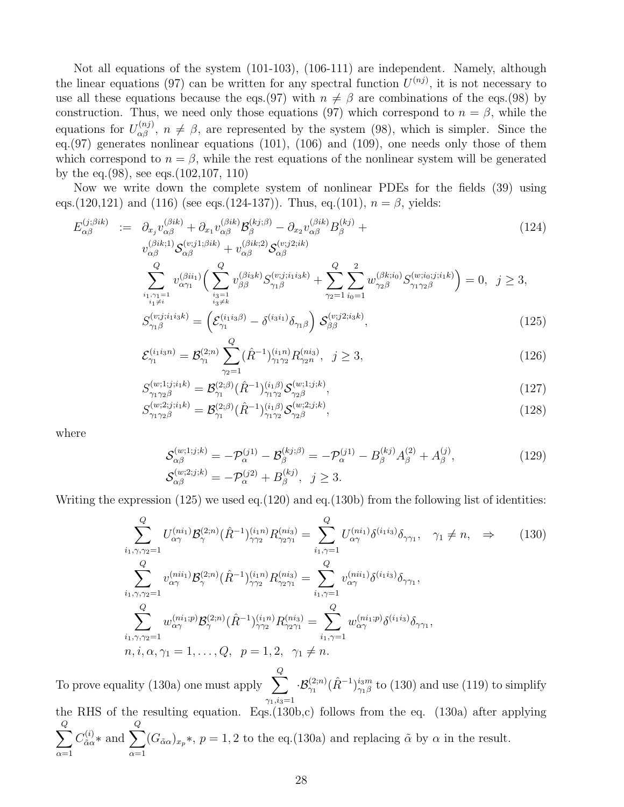Not all equations of the system (101-103), (106-111) are independent. Namely, although the linear equations (97) can be written for any spectral function  $U^{(nj)}$ , it is not necessary to use all these equations because the eqs.(97) with  $n \neq \beta$  are combinations of the eqs.(98) by construction. Thus, we need only those equations (97) which correspond to  $n = \beta$ , while the equations for  $U_{\alpha\beta}^{(nj)}$ ,  $n \neq \beta$ , are represented by the system (98), which is simpler. Since the eq.(97) generates nonlinear equations (101), (106) and (109), one needs only those of them which correspond to  $n = \beta$ , while the rest equations of the nonlinear system will be generated by the eq.(98), see eqs.(102,107, 110)

Now we write down the complete system of nonlinear PDEs for the fields (39) using eqs.(120,121) and (116) (see eqs.(124-137)). Thus, eq.(101),  $n = \beta$ , yields:

$$
E_{\alpha\beta}^{(j;\betaik)} := \partial_{x_j} v_{\alpha\beta}^{(\betaik)} + \partial_{x_1} v_{\alpha\beta}^{(\betaik)} \mathcal{B}_{\beta}^{(kj;\beta)} - \partial_{x_2} v_{\alpha\beta}^{(\betaik)} B_{\beta}^{(kj)} +
$$
  
\n
$$
v_{\alpha\beta}^{(\betaik;1)} \mathcal{S}_{\alpha\beta}^{(v;j1;\betaik)} + v_{\alpha\beta}^{(\betaik;2)} \mathcal{S}_{\alpha\beta}^{(v;j2;ik)}
$$
  
\n
$$
\sum_{\substack{i_1,\gamma_1=1\\i_1\neq i}}^{Q} v_{\alpha\gamma_1}^{(\betaii_1)} \Big(\sum_{\substack{i_3=1\\i_3\neq k}}^{Q} v_{\beta\beta}^{(\betaisk)} S_{\gamma_1\beta}^{(v;j;i_1i_3k)} + \sum_{\gamma_2=1}^{Q} \sum_{i_0=1}^{2} w_{\gamma_2\beta}^{(\betaki_0)} S_{\gamma_1\gamma_2\beta}^{(w;i_0;j;i_1k)} \Big) = 0, \quad j \ge 3,
$$
  
\n
$$
S^{(v;j;i_1i_3k)} = \Big(\mathcal{E}^{(i_1i_3\beta)} - \delta^{(i_3i_1)} \delta_{\alpha\beta} \Big) S_{\alpha\beta}^{(v;j2;i_3k)}.
$$
\n(125)

$$
S_{\gamma_1\beta}^{(v;j;i_1i_3k)} = \left(\mathcal{E}_{\gamma_1}^{(i_1i_3\beta)} - \delta^{(i_3i_1)}\delta_{\gamma_1\beta}\right)\mathcal{S}_{\beta\beta}^{(v;j2;i_3k)},\tag{125}
$$

$$
\mathcal{E}_{\gamma_1}^{(i_1 i_3 n)} = \mathcal{B}_{\gamma_1}^{(2;n)} \sum_{\gamma_2=1}^Q (\hat{R}^{-1})_{\gamma_1 \gamma_2}^{(i_1 n)} R_{\gamma_2 n}^{(ni_3)}, \ \ j \ge 3,
$$
\n(126)

$$
S_{\gamma_1 \gamma_2 \beta}^{(w;1;j;i_1k)} = \mathcal{B}_{\gamma_1}^{(2;\beta)}(\hat{R}^{-1})_{\gamma_1 \gamma_2}^{(i_1\beta)} \mathcal{S}_{\gamma_2 \beta}^{(w;1;j;k)},\tag{127}
$$

$$
S_{\gamma_1 \gamma_2 \beta}^{(w;2;j;i_1k)} = \mathcal{B}_{\gamma_1}^{(2;\beta)}(\hat{R}^{-1})_{\gamma_1 \gamma_2}^{(i_1\beta)} \mathcal{S}_{\gamma_2 \beta}^{(w;2;j;k)},\tag{128}
$$

where

$$
\mathcal{S}_{\alpha\beta}^{(w;1;j;k)} = -\mathcal{P}_{\alpha}^{(j1)} - \mathcal{B}_{\beta}^{(kj;\beta)} = -\mathcal{P}_{\alpha}^{(j1)} - B_{\beta}^{(kj)}A_{\beta}^{(2)} + A_{\beta}^{(j)},
$$
\n
$$
\mathcal{S}_{\alpha\beta}^{(w;2;j;k)} = -\mathcal{P}_{\alpha}^{(j2)} + B_{\beta}^{(kj)}, \quad j \ge 3.
$$
\n(129)

Writing the expression (125) we used eq.(120) and eq.(130b) from the following list of identities:

$$
\sum_{i_1,\gamma,\gamma_2=1}^{Q} U_{\alpha\gamma}^{(ni_1)} \mathcal{B}_{\gamma}^{(2;n)}(\hat{R}^{-1})_{\gamma\gamma_2}^{(i_1n)} R_{\gamma_2\gamma_1}^{(ni_3)} = \sum_{i_1,\gamma=1}^{Q} U_{\alpha\gamma}^{(ni_1)} \delta^{(i_1i_3)} \delta_{\gamma\gamma_1}, \quad \gamma_1 \neq n, \quad \Rightarrow \qquad (130)
$$
\n
$$
\sum_{i_1,\gamma,\gamma_2=1}^{Q} v_{\alpha\gamma}^{(ni_1)} \mathcal{B}_{\gamma}^{(2;n)}(\hat{R}^{-1})_{\gamma\gamma_2}^{(i_1n)} R_{\gamma_2\gamma_1}^{(ni_3)} = \sum_{i_1,\gamma=1}^{Q} v_{\alpha\gamma}^{(ni_1)} \delta^{(i_1i_3)} \delta_{\gamma\gamma_1},
$$
\n
$$
\sum_{i_1,\gamma,\gamma_2=1}^{Q} w_{\alpha\gamma}^{(ni_1;p)} \mathcal{B}_{\gamma}^{(2;n)}(\hat{R}^{-1})_{\gamma\gamma_2}^{(i_1n)} R_{\gamma_2\gamma_1}^{(ni_3)} = \sum_{i_1,\gamma=1}^{Q} w_{\alpha\gamma}^{(ni_1;p)} \delta^{(i_1i_3)} \delta_{\gamma\gamma_1},
$$
\n
$$
n, i, \alpha, \gamma_1 = 1, \dots, Q, \quad p = 1, 2, \quad \gamma_1 \neq n.
$$
\n
$$
(130)
$$

To prove equality (130a) one must apply  $\sum$ Q  $\gamma_1,i_3=1$  $\cdot \mathcal{B}_{\gamma_1}^{(2;n)}(\hat{R}^{-1})_{\gamma_1\beta}^{i_3m}$  $\frac{i_{3}m}{\gamma_{1}\beta}$  to (130) and use (119) to simplify the RHS of the resulting equation. Eqs.(130b,c) follows from the eq. (130a) after applying  $\sum$ Q  $\alpha=1$  $C^{(i)}_{\tilde{\alpha}\alpha}$  $\alpha_{\tilde{\alpha}\alpha}^{(i)}$ \* and  $\sum$ Q  $\alpha=1$  $(G_{\tilde{\alpha}\alpha})_{x_p}$ \*,  $p = 1, 2$  to the eq.(130a) and replacing  $\tilde{\alpha}$  by  $\alpha$  in the result.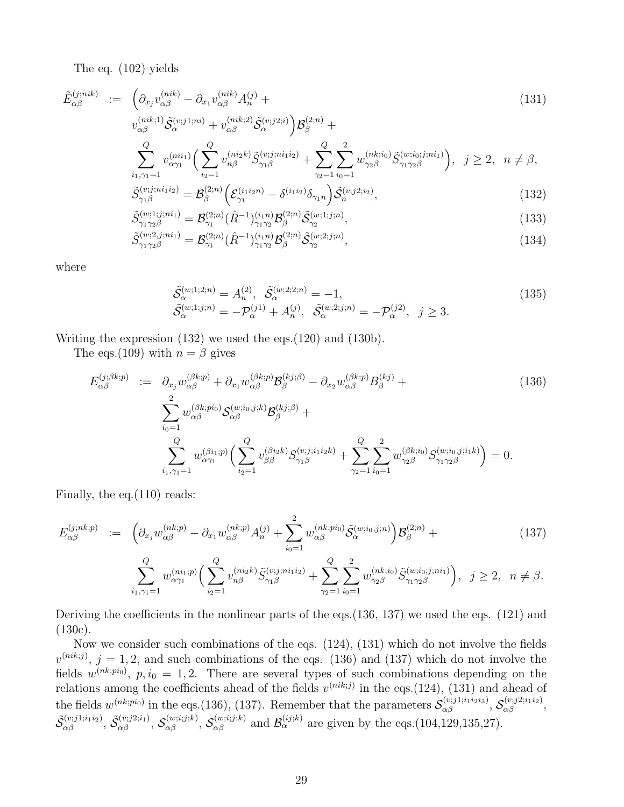The eq. (102) yields

$$
\tilde{E}_{\alpha\beta}^{(j;nik)} := \left( \partial_{x_j} v_{\alpha\beta}^{(nik)} - \partial_{x_1} v_{\alpha\beta}^{(nik)} A_n^{(j)} + \right.
$$
\n
$$
v_{\alpha\beta}^{(nik;1)} \tilde{S}_{\alpha}^{(v;j1;ni)} + v_{\alpha\beta}^{(nik;2)} \tilde{S}_{\alpha}^{(v;j2;i)} \right) \mathcal{B}_{\beta}^{(2;n)} + \left.
$$
\n
$$
\sum_{i_1,\gamma_1=1}^Q v_{\alpha\gamma_1}^{(nii_1)} \Big( \sum_{i_2=1}^Q v_{n\beta}^{(niz_k)} \tilde{S}_{\gamma_1\beta}^{(v;j;ni_1i_2)} + \sum_{\gamma_2=1}^Q \sum_{i_0=1}^2 w_{\gamma_2\beta}^{(nk;i_0)} \tilde{S}_{\gamma_1\gamma_2\beta}^{(w;i_0;j;ni_1)} \Big), \ j \ge 2, \ n \ne \beta,
$$
\n
$$
\tilde{C}^{(v;j;ni_1i_2)} - \mathcal{B}^{(2;n)} \Big( \mathcal{S}^{(i_1i_{2}n)} - \tilde{S}^{(i_1i_{2})} \Big) - \tilde{S}^{(v;j2;i)} \Big)
$$
\n(129)

$$
\tilde{S}_{\gamma_1 \beta}^{(v;j;ni_1i_2)} = \mathcal{B}_{\beta}^{(2;n)} \left( \mathcal{E}_{\gamma_1}^{(i_1i_2n)} - \delta^{(i_1i_2)} \delta_{\gamma_1 n} \right) \tilde{\mathcal{S}}_n^{(v;j2;i_2)},\tag{132}
$$

$$
\tilde{S}_{\gamma_1 \gamma_2 \beta}^{(w;1;j;ni_1)} = \mathcal{B}_{\gamma_1}^{(2;n)} (\hat{R}^{-1})_{\gamma_1 \gamma_2}^{(i_1 n)} \mathcal{B}_{\beta}^{(2;n)} \tilde{\mathcal{S}}_{\gamma_2}^{(w;1;j;n)},\tag{133}
$$

$$
\tilde{S}_{\gamma_1 \gamma_2 \beta}^{(w;2,j;ni_1)} = \mathcal{B}_{\gamma_1}^{(2;n)}(\hat{R}^{-1})_{\gamma_1 \gamma_2}^{(i_1 n)} \mathcal{B}_{\beta}^{(2;n)} \tilde{\mathcal{S}}_{\gamma_2}^{(w;2;j;n)},\tag{134}
$$

where

$$
\begin{aligned}\n\tilde{\mathcal{S}}_{\alpha}^{(w;1;2;n)} &= A_{n}^{(2)}, \quad \tilde{\mathcal{S}}_{\alpha}^{(w;2;2;n)} = -1, \\
\tilde{\mathcal{S}}_{\alpha}^{(w;1;j;n)} &= -\mathcal{P}_{\alpha}^{(j1)} + A_{n}^{(j)}, \quad \tilde{\mathcal{S}}_{\alpha}^{(w;2;j;n)} = -\mathcal{P}_{\alpha}^{(j2)}, \quad j \ge 3.\n\end{aligned} \tag{135}
$$

Writing the expression (132) we used the eqs.(120) and (130b).

The eqs.(109) with  $n = \beta$  gives

$$
E_{\alpha\beta}^{(j;\beta k;p)} := \partial_{x_j} w_{\alpha\beta}^{(\beta k;p)} + \partial_{x_1} w_{\alpha\beta}^{(\beta k;p)} \mathcal{B}_{\beta}^{(k;j,\beta)} - \partial_{x_2} w_{\alpha\beta}^{(\beta k;p)} \mathcal{B}_{\beta}^{(kj)} + \sum_{i_0=1}^2 w_{\alpha\beta}^{(\beta k;pi_0)} \mathcal{S}_{\alpha\beta}^{(w;i_0;j;k)} \mathcal{B}_{\beta}^{(k;j,\beta)} + \sum_{i_0=1}^Q w_{\alpha\gamma_1}^{(\beta k;pi_0)} \left( \sum_{i_2=1}^Q v_{\beta\beta}^{(\beta i_2 k)} \mathcal{S}_{\gamma_1 \beta}^{(v;j;i_1 i_2 k)} + \sum_{\gamma_2=1}^Q \sum_{i_0=1}^2 w_{\gamma_2 \beta}^{(\beta k;i_0)} \mathcal{S}_{\gamma_1 \gamma_2 \beta}^{(w;i_0;j;i_1 k)} \right) = 0.
$$
\n
$$
(136)
$$

Finally, the eq.(110) reads:

$$
E_{\alpha\beta}^{(j;nk;p)} := \left( \partial_{x_j} w_{\alpha\beta}^{(nk;p)} - \partial_{x_1} w_{\alpha\beta}^{(nk;p)} A_n^{(j)} + \sum_{i_0=1}^2 w_{\alpha\beta}^{(nk;pi)} \tilde{\mathcal{S}}_{\alpha}^{(w;i_0;j;n)} \right) \mathcal{B}_{\beta}^{(2;n)} + \tag{137}
$$

$$
\sum_{i_1,\gamma_1=1}^Q w_{\alpha\gamma_1}^{(ni_1;p)} \Big( \sum_{i_2=1}^Q v_{n\beta}^{(ni_2k)} \tilde{S}_{\gamma_1\beta}^{(v;j;ni_1i_2)} + \sum_{\gamma_2=1}^Q \sum_{i_0=1}^2 w_{\gamma_2\beta}^{(nk;i_0)} \tilde{S}_{\gamma_1\gamma_2\beta}^{(w;i_0;j;ni_1)} \Big), \ \ j \ge 2, \ \ n \ne \beta.
$$

Deriving the coefficients in the nonlinear parts of the eqs.(136, 137) we used the eqs. (121) and (130c).

Now we consider such combinations of the eqs. (124), (131) which do not involve the fields  $v^{(nik;j)}$ ,  $j = 1, 2$ , and such combinations of the eqs. (136) and (137) which do not involve the fields  $w^{(nk;pi0)}$ ,  $p, i_0 = 1, 2$ . There are several types of such combinations depending on the relations among the coefficients ahead of the fields  $v^{(nik;j)}$  in the eqs.(124), (131) and ahead of the fields  $w^{(nk;pi_0)}$  in the eqs.(136), (137). Remember that the parameters  $\mathcal{S}_{\alpha\beta}^{(v;j1;i_1i_2i_3)}$ ,  $\mathcal{S}_{\alpha\beta}^{(v;j2;i_1i_2)}$ ,  $\tilde{\mathcal{S}}_{\alpha\beta}^{(v;j1;i_1i_2)}, \tilde{\mathcal{S}}_{\alpha\beta}^{(v;j2;i_1)}, \mathcal{S}_{\alpha\beta}^{(w;i;j;k)}, \mathcal{S}_{\alpha\beta}^{(w;i;j;k)}$  and  $\mathcal{B}_{\alpha}^{(ij;k)}$  are given by the eqs.(104,129,135,27).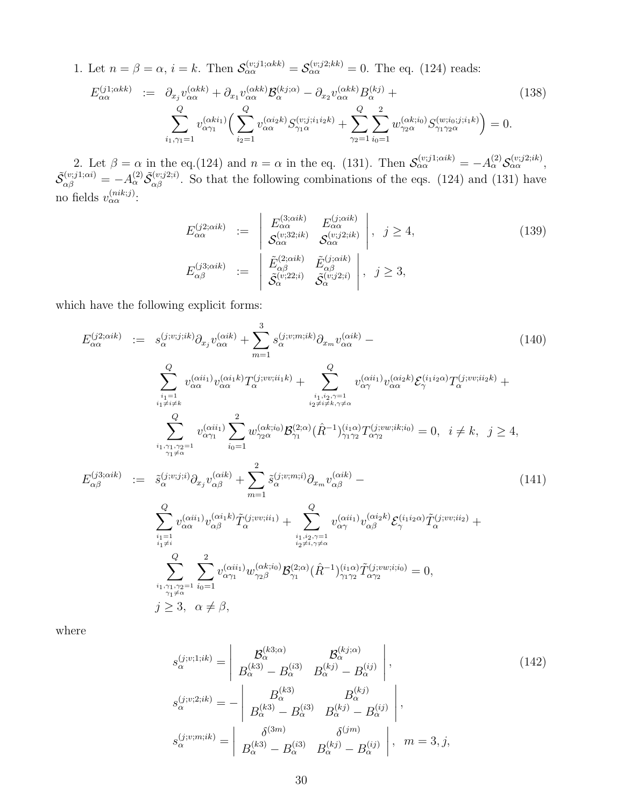1. Let  $n = \beta = \alpha$ ,  $i = k$ . Then  $\mathcal{S}_{\alpha\alpha}^{(v;j1;\alpha k k)} = \mathcal{S}_{\alpha\alpha}^{(v;j2;kk)} = 0$ . The eq. (124) reads:

$$
E_{\alpha\alpha}^{(j1;\alpha kk)} := \partial_{x_j} v_{\alpha\alpha}^{(\alpha kk)} + \partial_{x_1} v_{\alpha\alpha}^{(\alpha kk)} \mathcal{B}_{\alpha}^{(kj;\alpha)} - \partial_{x_2} v_{\alpha\alpha}^{(\alpha kk)} B_{\alpha}^{(kj)} +
$$
  

$$
\sum_{i_1,\gamma_1=1}^{Q} v_{\alpha\gamma_1}^{(\alpha ki_1)} \Big(\sum_{i_2=1}^{Q} v_{\alpha\alpha}^{(\alpha i_2 k)} S_{\gamma_1 \alpha}^{(v;j;i_1 i_2 k)} + \sum_{\gamma_2=1}^{Q} \sum_{i_0=1}^{2} w_{\gamma_2 \alpha}^{(\alpha k;i_0)} S_{\gamma_1 \gamma_2 \alpha}^{(w;i_0;j;i_1 k)} \Big) = 0.
$$
 (138)

2. Let  $\beta = \alpha$  in the eq.(124) and  $n = \alpha$  in the eq. (131). Then  $\mathcal{S}_{\alpha\alpha}^{(v;j1;\alpha ik)} = -A_{\alpha}^{(2)}\mathcal{S}_{\alpha\alpha}^{(v;j2;ik)}$ ,  $\tilde{\mathcal{S}}_{\alpha\beta}^{(v;j1;\alpha i)} = -A_{\alpha}^{(2)} \tilde{\mathcal{S}}_{\alpha\beta}^{(v;j2;i)}$ . So that the following combinations of the eqs. (124) and (131) have no fields  $v_{\alpha\alpha}^{(nik;j)}$ :

$$
E_{\alpha\alpha}^{(j2;\alpha ik)} := \begin{vmatrix} E_{\alpha\alpha}^{(3;\alpha ik)} & E_{\alpha\alpha}^{(j;\alpha ik)} \\ \mathcal{S}_{\alpha\alpha}^{(v;32;ik)} & \mathcal{S}_{\alpha\alpha}^{(v;j2;ik)} \end{vmatrix}, \quad j \ge 4,
$$
\n
$$
E_{\alpha\beta}^{(j3;\alpha ik)} := \begin{vmatrix} \tilde{E}_{\alpha\beta}^{(2;\alpha ik)} & \tilde{E}_{\alpha\beta}^{(j;\alpha ik)} \\ \tilde{\mathcal{S}}_{\alpha}^{(v;22;i)} & \tilde{\mathcal{S}}_{\alpha}^{(v;22;i)} \end{vmatrix}, \quad j \ge 3,
$$
\n
$$
(139)
$$

which have the following explicit forms:

$$
E_{\alpha\alpha}^{(j2;\alphaik)} := s_{\alpha}^{(j;v;j;ik)} \partial_{x_j} v_{\alpha\alpha}^{(\alphaik)} + \sum_{m=1}^3 s_{\alpha}^{(j;v;m;ik)} \partial_{x_m} v_{\alpha\alpha}^{(\alphaik)} - \qquad (140)
$$
\n
$$
\sum_{\substack{i_1=1\\i_1\neq k}}^{Q} v_{\alpha}^{(\alpha ii_1)} v_{\alpha\alpha}^{(\alpha ii_1 k)} T_{\alpha}^{(j;v;i_1 k)} + \sum_{\substack{i_1,i_2,\gamma=1\\i_2\neq i\neq k,\gamma\neq\alpha}}^{Q} v_{\alpha\gamma}^{(\alpha ii_1)} v_{\alpha\alpha}^{(\alpha i_2 k)} \mathcal{E}_{\gamma}^{(i;i_2 \alpha)} T_{\alpha}^{(j;v;i_2 k)} + \sum_{\substack{i_1,i_2,\gamma=1\\i_2\neq i\neq k,\gamma\neq\alpha}}^{Q} v_{\alpha\gamma_1}^{(\alpha ii_1)} \sum_{i_0=1}^2 w_{\gamma_2\alpha}^{(\alpha ki_0)} \mathcal{B}_{\gamma_1}^{(2;\alpha)} (\hat{R}^{-1})_{\gamma_1\gamma_2}^{(i_1)} T_{\alpha\gamma_2}^{(j;vw;ik;i_0)} = 0, \quad i \neq k, \quad j \geq 4,
$$
\n
$$
E_{\alpha\beta}^{(j3;\alphaik)} := \tilde{s}_{\alpha}^{(j;v;j;i)} \partial_{x_j} v_{\alpha\beta}^{(\alpha ik)} + \sum_{m=1}^2 \tilde{s}_{\alpha}^{(j;v;m;i)} \partial_{x_m} v_{\alpha\beta}^{(\alpha ik)} - \sum_{\substack{i_1,i_2,\gamma=1\\i_2\neq i,\gamma\neq\alpha}}^{Q} v_{\alpha\alpha}^{(\alpha ii_1)} v_{\alpha\beta}^{(\alpha i_1 k)} \tilde{T}_{\alpha}^{(j;vv;i_1)} + \sum_{\substack{i_1,i_2,\gamma=1\\i_2\neq i,\gamma\neq\alpha}}^{Q} v_{\alpha\gamma_1}^{(\alpha ii_1)} v_{\gamma_2\beta}^{(\alpha ki_2)} \mathcal{B}_{\gamma_1}^{(2;\alpha)} (\hat{R}^{-1})_{\gamma_1\gamma_2}^{(i_1 \alpha)} \tilde{T}_{\alpha\gamma_2}^{(j;vv;i_2)} +
$$

where

$$
s_{\alpha}^{(j;v;1;ik)} = \begin{vmatrix} \mathcal{B}_{\alpha}^{(k3;\alpha)} & \mathcal{B}_{\alpha}^{(kj;\alpha)} \\ B_{\alpha}^{(k3)} - B_{\alpha}^{(i3)} & B_{\alpha}^{(kj)} - B_{\alpha}^{(ij)} \end{vmatrix},
$$
  
\n
$$
s_{\alpha}^{(j;v;2;ik)} = - \begin{vmatrix} B_{\alpha}^{(k3)} & B_{\alpha}^{(kj)} \\ B_{\alpha}^{(k3)} - B_{\alpha}^{(i3)} & B_{\alpha}^{(kj)} - B_{\alpha}^{(ij)} \end{vmatrix},
$$
  
\n
$$
s_{\alpha}^{(j;v;m;ik)} = \begin{vmatrix} \delta^{(3m)} & \delta^{(jm)} \\ B_{\alpha}^{(k3)} - B_{\alpha}^{(i3)} & B_{\alpha}^{(kj)} - B_{\alpha}^{(ij)} \end{vmatrix}, m = 3, j,
$$
\n(142)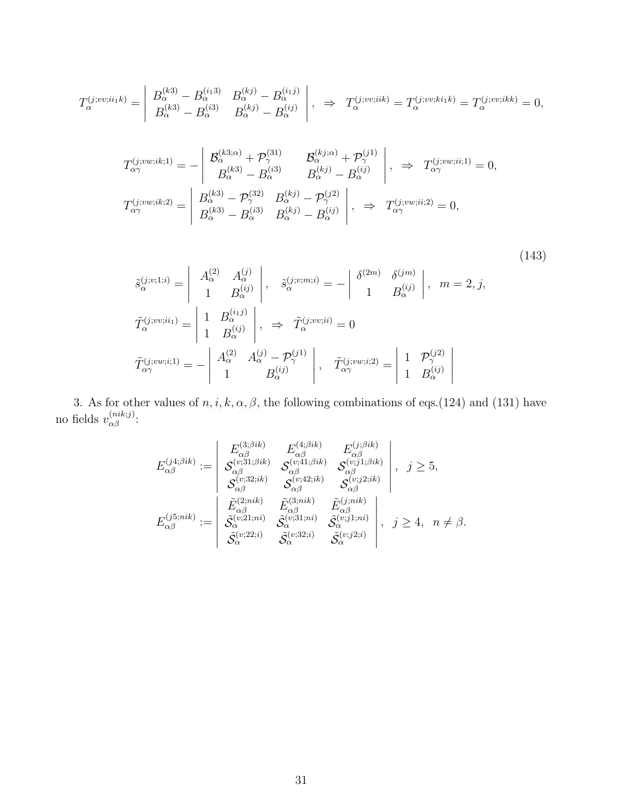$$
T_{\alpha}^{(j;vv;ii_1k)} = \begin{vmatrix} B_{\alpha}^{(k3)} - B_{\alpha}^{(i_13)} & B_{\alpha}^{(kj)} - B_{\alpha}^{(i_1j)} \\ B_{\alpha}^{(k3)} - B_{\alpha}^{(i3)} & B_{\alpha}^{(kj)} - B_{\alpha}^{(ij)} \end{vmatrix}, \Rightarrow T_{\alpha}^{(j;vv;iik)} = T_{\alpha}^{(j;vv;ki_1k)} = T_{\alpha}^{(j;vv;ikk)} = 0,
$$

$$
T_{\alpha\gamma}^{(j;vw;ik;1)} = -\begin{vmatrix} \mathcal{B}_{\alpha}^{(k3;\alpha)} + \mathcal{P}_{\gamma}^{(31)} & \mathcal{B}_{\alpha}^{(kj;\alpha)} + \mathcal{P}_{\gamma}^{(j1)} \\ B_{\alpha}^{(k3)} - B_{\alpha}^{(i3)} & B_{\alpha}^{(kj)} - B_{\alpha}^{(ij)} \end{vmatrix}, \Rightarrow T_{\alpha\gamma}^{(j;vw;ii;1)} = 0,
$$
  

$$
T_{\alpha\gamma}^{(j;vw;ik;2)} = \begin{vmatrix} B_{\alpha}^{(k3)} - \mathcal{P}_{\gamma}^{(32)} & B_{\alpha}^{(kj)} - \mathcal{P}_{\gamma}^{(j2)} \\ B_{\alpha}^{(k3)} - B_{\alpha}^{(i3)} & B_{\alpha}^{(kj)} - B_{\alpha}^{(ij)} \end{vmatrix}, \Rightarrow T_{\alpha\gamma}^{(j;vw;ii;2)} = 0,
$$

$$
\tilde{s}_{\alpha}^{(j;v;1;i)} = \begin{vmatrix} A_{\alpha}^{(2)} & A_{\alpha}^{(j)} \\ 1 & B_{\alpha}^{(ij)} \end{vmatrix}, \quad \tilde{s}_{\alpha}^{(j;v;m;i)} = -\begin{vmatrix} \delta^{(2m)} & \delta^{(jm)} \\ 1 & B_{\alpha}^{(ij)} \end{vmatrix}, \quad m = 2, j,
$$
\n
$$
\tilde{T}_{\alpha}^{(j;vv;ii_1)} = \begin{vmatrix} 1 & B_{\alpha}^{(i,j)} \\ 1 & B_{\alpha}^{(ij)} \end{vmatrix}, \Rightarrow \tilde{T}_{\alpha}^{(j;vv;ii)} = 0
$$
\n
$$
\tilde{T}_{\alpha\gamma}^{(j;vw;i;1)} = -\begin{vmatrix} A_{\alpha}^{(2)} & A_{\alpha}^{(j)} - \mathcal{P}_{\gamma}^{(j1)} \\ 1 & B_{\alpha}^{(ij)} \end{vmatrix}, \quad \tilde{T}_{\alpha\gamma}^{(j;vw;i;2)} = \begin{vmatrix} 1 & \mathcal{P}_{\gamma}^{(j2)} \\ 1 & B_{\alpha}^{(ij)} \end{vmatrix}
$$
\n
$$
(143)
$$

3. As for other values of  $n, i, k, \alpha, \beta$ , the following combinations of eqs.(124) and (131) have no fields  $v_{\alpha\beta}^{(nik;j)}$ :

$$
E_{\alpha\beta}^{(j4;\beta ik)} := \begin{vmatrix} E_{\alpha\beta}^{(3;\beta ik)} & E_{\alpha\beta}^{(4;\beta ik)} & E_{\alpha\beta}^{(j;\beta ik)} \\ S_{\alpha\beta}^{(v;31;\beta ik)} & S_{\alpha\beta}^{(v;41;\beta ik)} & S_{\alpha\beta}^{(v;11;\beta ik)} \\ S_{\alpha\beta}^{(v;32;ik)} & S_{\alpha\beta}^{(v;42;ik)} & S_{\alpha\beta}^{(v;22;ik)} \\ S_{\alpha\beta}^{(v;32;ik)} & S_{\alpha\beta}^{(v;2)} & S_{\alpha\beta}^{(v;2;ik)} \\ E_{\alpha\beta}^{(2;nik)} & \tilde{E}_{\alpha\beta}^{(3;nik)} & \tilde{E}_{\alpha\beta}^{(j;nik)} \\ \tilde{S}_{\alpha}^{(v;21;ni)} & \tilde{S}_{\alpha}^{(v;31;ni)} & \tilde{S}_{\alpha}^{(v;j1;ni)} \\ \tilde{S}_{\alpha}^{(v;22;i)} & \tilde{S}_{\alpha}^{(v;32;i)} & \tilde{S}_{\alpha}^{(v;j2;i)} \end{vmatrix}, j \ge 4, n \neq \beta.
$$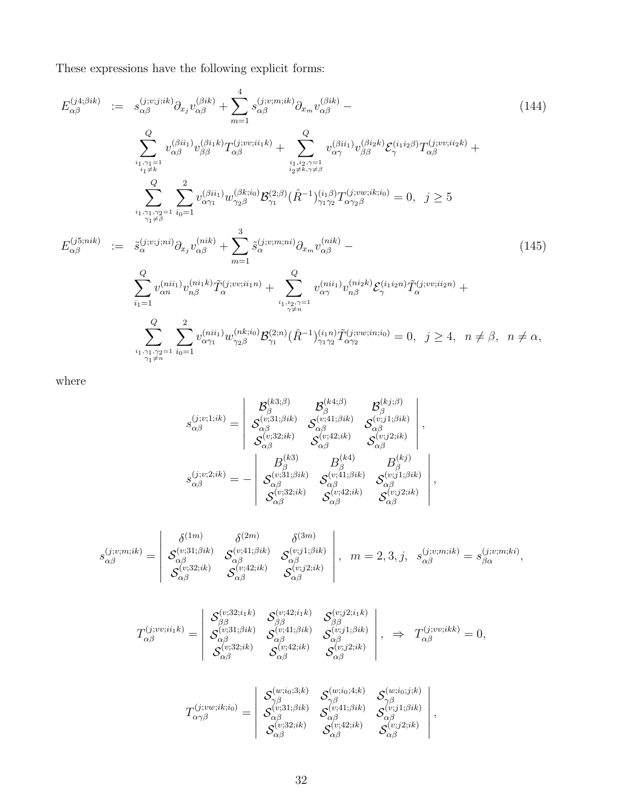These expressions have the following explicit forms:

$$
E_{\alpha\beta}^{(j4;\betaik)} := s_{\alpha\beta}^{(j;v;j;ik)} \partial_{x_j} v_{\alpha\beta}^{(\betaik)} + \sum_{m=1}^4 s_{\alpha\beta}^{(j;v;m;ik)} \partial_{x_m} v_{\alpha\beta}^{(\betaik)} - \qquad (144)
$$
\n
$$
\sum_{\substack{i_1, \gamma_1 = 1 \\ i_1 \neq k}} v_{\alpha\beta}^{(\beta ii_1)} v_{\beta\beta}^{(\beta i_1 k)} T_{\alpha\beta}^{(j;vv;ii_1 k)} + \sum_{\substack{i_1, i_2, \gamma_1 = 1 \\ i_2 \neq k, \gamma \neq \beta}} v_{\alpha\gamma}^{(\beta ii_1)} v_{\beta\beta}^{(\beta i_2 k)} \mathcal{E}_{\gamma}^{(i_1 i_2 \beta)} T_{\alpha\beta}^{(j;vv;ii_2 k)} + \sum_{\substack{i_1, i_2, \gamma_1 = 1 \\ i_2 \neq k, \gamma \neq \beta}} v_{\alpha\gamma_1}^{(\beta ii_1)} w_{\gamma_2\beta}^{(\beta ki_0)} \mathcal{B}_{\gamma_1}^{(2;\beta)} (\hat{R}^{-1})_{\gamma_1\gamma_2}^{(i_1)} T_{\alpha\gamma_2\beta}^{(j;vv;ik;io)} = 0, \quad j \ge 5
$$
\n
$$
E_{\alpha\beta}^{(j5;nik)} := \tilde{s}_{\alpha}^{(j;v;j;ni)} \partial_{x_j} v_{\alpha\beta}^{(nik)} + \sum_{m=1}^3 \tilde{s}_{\alpha}^{(j;v;m;ni)} \partial_{x_m} v_{\alpha\beta}^{(nik)} - \sum_{\substack{i_1, i_2, \gamma_1 = 1 \\ i_2 \neq n}} v_{\alpha\gamma_1}^{(ni;i)} v_{\alpha\beta}^{(ni;k)} \tilde{T}_{\alpha}^{(j;vv;ii_1 n)} + \sum_{\substack{i_1, i_2, \gamma_1 = 1 \\ i_2 \neq n}} v_{\alpha\gamma_1}^{(ni;i)} w_{\gamma_2\beta}^{(nk;io)} \mathcal{B}_{\gamma_1}^{(2;n)} (\hat{R}^{-1})_{\gamma_1\gamma_2}^{(i;iv;in;io)} = 0, \quad j \ge 4, \quad n \neq \beta, \quad n \neq \alpha,
$$
\n
$$
\
$$

where

$$
s_{\alpha\beta}^{(j;v;1;ik)} = \begin{vmatrix} \mathcal{B}_{\beta}^{(k3;\beta)} & \mathcal{B}_{\beta}^{(k4;\beta)} & \mathcal{B}_{\beta}^{(kj;\beta)} \\ \mathcal{S}_{\alpha\beta}^{(v;31;\beta{ik})} & \mathcal{S}_{\alpha\beta}^{(v;41;\beta{ik})} & \mathcal{S}_{\alpha\beta}^{(v;j1;\beta{ik})} \\ \mathcal{S}_{\alpha\beta}^{(v;32;ik)} & \mathcal{S}_{\alpha\beta}^{(v;42;ik)} & \mathcal{S}_{\alpha\beta}^{(v;j2;ik)} \\ \mathcal{S}_{\alpha\beta}^{(k3)} & \mathcal{S}_{\alpha\beta}^{(k4)} & \mathcal{S}_{\alpha\beta}^{(k3)} \\ \mathcal{S}_{\alpha\beta}^{(j;v;2;ik)} = - \begin{vmatrix} B_{\beta}^{(k3)} & B_{\beta}^{(k4)} & B_{\beta}^{(k j)} \\ \mathcal{S}_{\alpha\beta}^{(v;31;\beta{ik})} & \mathcal{S}_{\alpha\beta}^{(v;41;\beta{ik})} & \mathcal{S}_{\alpha\beta}^{(v;11;\beta{ik})} \\ \mathcal{S}_{\alpha\beta}^{(v;32;ik)} & \mathcal{S}_{\alpha\beta}^{(v;42;ik)} & \mathcal{S}_{\alpha\beta}^{(v;2;2;ik)} \end{vmatrix},
$$

$$
s_{\alpha\beta}^{(j;v;m;ik)} = \begin{vmatrix} \delta^{(1m)} & \delta^{(2m)} & \delta^{(3m)} \\ \mathcal{S}_{\alpha\beta}^{(v;31;\beta{ik})} & \mathcal{S}_{\alpha\beta}^{(v;41;\beta{ik})} & \mathcal{S}_{\alpha\beta}^{(v;1;\beta{ik})} \\ \mathcal{S}_{\alpha\beta}^{(v;32;ik)} & \mathcal{S}_{\alpha\beta}^{(v;42;ik)} & \mathcal{S}_{\alpha\beta}^{(v;j2;ik)} \end{vmatrix}, m = 2,3, j, s_{\alpha\beta}^{(j;v;m;ik)} = s_{\beta\alpha}^{(j;v;m;ki)},
$$

$$
T_{\alpha\beta}^{(j;vv;ii_1k)} = \begin{vmatrix} S_{\beta\beta}^{(v;32;i_1k)} & S_{\beta\beta}^{(v;42;i_1k)} & S_{\beta\beta}^{(v;32;i_1k)} \\ S_{\alpha\beta}^{(v;31;\betaik)} & S_{\alpha\beta}^{(v;41;\betaik)} & S_{\alpha\beta}^{(v;11;\betaik)} \\ S_{\alpha\beta}^{(v;32;ik)} & S_{\alpha\beta}^{(v;42;ik)} & S_{\alpha\beta}^{(v;12;ik)} \end{vmatrix}, \Rightarrow T_{\alpha\beta}^{(j;vv;ikk)} = 0,
$$

$$
T_{\alpha\gamma\beta}^{(j;vw;ik;i_0)}=\left|\begin{array}{ccc} \mathcal{S}_{\gamma\beta}^{(w;i_0;3;k)} & \mathcal{S}_{\gamma\beta}^{(w;i_0;4;k)} & \mathcal{S}_{\gamma\beta}^{(w;i_0;j;k)}\\ \mathcal{S}_{\alpha\beta}^{(v;31;\beta ik)} & \mathcal{S}_{\alpha\beta}^{(v;41;\beta ik)} & \mathcal{S}_{\alpha\beta}^{(v;11;\beta ik)}\\ \mathcal{S}_{\alpha\beta}^{(v;32;ik)} & \mathcal{S}_{\alpha\beta}^{(v;42;ik)} & \mathcal{S}_{\alpha\beta}^{(v;12;ik)} \end{array}\right|,
$$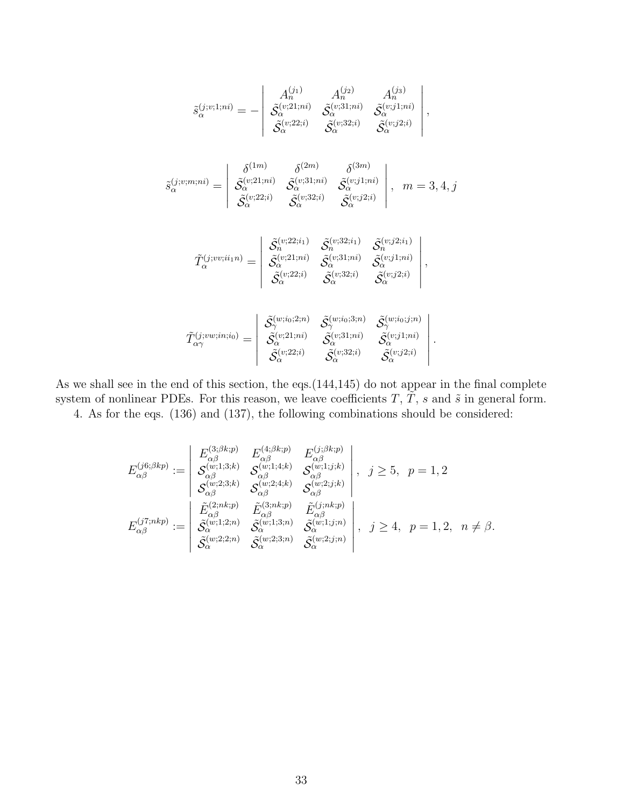$$
\tilde{s}_{\alpha}^{(j;v;1;ni)} = -\begin{vmatrix}\nA_n^{(j_1)} & A_n^{(j_2)} & A_n^{(j_3)} \\
\tilde{S}_{\alpha}^{(v;21;ni)} & \tilde{S}_{\alpha}^{(v;31;ni)} & \tilde{S}_{\alpha}^{(v;j1;ni)} \\
\tilde{S}_{\alpha}^{(v;22;i)} & \tilde{S}_{\alpha}^{(v;32;i)} & \tilde{S}_{\alpha}^{(v;j2;i)}\n\end{vmatrix},
$$
\n
$$
\tilde{s}_{\alpha}^{(j;v;m;ni)} = \begin{vmatrix}\n\delta^{(1m)} & \delta^{(2m)} & \delta^{(3m)} \\
\tilde{S}_{\alpha}^{(v;21;ni)} & \tilde{S}_{\alpha}^{(v;31;ni)} & \tilde{S}_{\alpha}^{(v;1;ni)} \\
\tilde{S}_{\alpha}^{(v;22;i)} & \tilde{S}_{\alpha}^{(v;32;i)} & \tilde{S}_{\alpha}^{(v;2;i)}\n\end{vmatrix}, m = 3, 4, j
$$
\n
$$
\tilde{T}_{\alpha}^{(j;vv;ii;n)} = \begin{vmatrix}\n\tilde{S}_{n}^{(v;22;ii)} & \tilde{S}_{n}^{(v;32;ii)} & \tilde{S}_{n}^{(v;22;i)} \\
\tilde{S}_{\alpha}^{(v;21;ni)} & \tilde{S}_{\alpha}^{(v;31;ni)} & \tilde{S}_{\alpha}^{(v;1;ni)} \\
\tilde{S}_{\alpha}^{(v;22;i)} & \tilde{S}_{\alpha}^{(v;32;i)} & \tilde{S}_{\alpha}^{(v;1;2;i)}\n\end{vmatrix},
$$
\n
$$
\tilde{T}_{\alpha\gamma}^{(j;vw;in;i_0)} = \begin{vmatrix}\n\tilde{S}_{\alpha}^{(w;i_0;2;n)} & \tilde{S}_{\alpha}^{(w;i_0;3;n)} & \tilde{S}_{\alpha}^{(v;i_0;j;n)} \\
\tilde{S}_{\alpha}^{(v;21;ni)} & \tilde{S}_{\alpha}^{(v;31;ni)} & \tilde{S}_{\alpha}^{(v;i_0;j;n)} \\
\tilde{S}_{\alpha}^{(v;22;i)} & \tilde{S}_{\alpha}^{(v;31;ni)} & \til
$$

As we shall see in the end of this section, the eqs.(144,145) do not appear in the final complete system of nonlinear PDEs. For this reason, we leave coefficients  $T, \tilde{T}, s$  and  $\tilde{s}$  in general form. 4. As for the eqs. (136) and (137), the following combinations should be considered:

$$
E_{\alpha\beta}^{(j6;\beta kp)} := \begin{vmatrix} E_{\alpha\beta}^{(3;\beta kp)} & E_{\alpha\beta}^{(4;\beta kp)} & E_{\alpha\beta}^{(j;\beta kp)} \\ S_{\alpha\beta}^{(w;1;3;k)} & S_{\alpha\beta}^{(w;1;4;k)} & S_{\alpha\beta}^{(w;1;j;k)} \\ S_{\alpha\beta}^{(w;2;3;k)} & S_{\alpha\beta}^{(w;2;4;k)} & S_{\alpha\beta}^{(w;2;4;k)} \\ S_{\alpha\beta}^{(w;2;3;k)} & S_{\alpha\beta}^{(w;2;4;k)} & S_{\alpha\beta}^{(w;2;3;k)} \\ E_{\alpha\beta}^{(2;nkp)} & \tilde{E}_{\alpha\beta}^{(3;nkp)} & \tilde{E}_{\alpha\beta}^{(j;nkp)} \\ \tilde{S}_{\alpha}^{(w;1;2;n)} & \tilde{S}_{\alpha}^{(w;1;3;n)} & \tilde{S}_{\alpha}^{(w;1;j;n)} \\ \tilde{S}_{\alpha}^{(w;2;2;n)} & \tilde{S}_{\alpha}^{(w;2;3;n)} & \tilde{S}_{\alpha}^{(w;2;j;n)} \end{vmatrix}, j \ge 4, p = 1, 2, n \neq \beta.
$$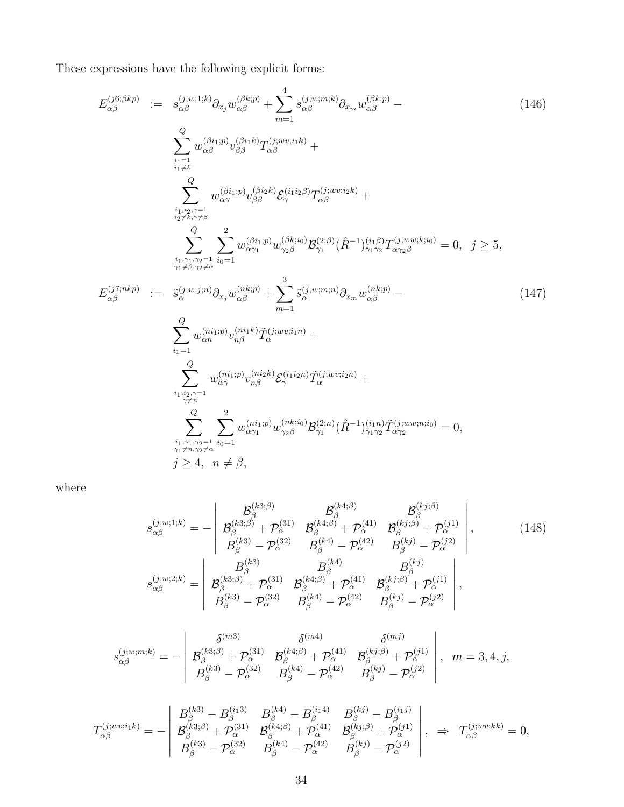These expressions have the following explicit forms:

$$
E_{\alpha\beta}^{(j6;\beta kp)} := s_{\alpha\beta}^{(j;w;1;k)} \partial_{x_j} w_{\alpha\beta}^{(\beta kp)} + \sum_{m=1}^{4} s_{\alpha\beta}^{(j;w;m,k)} \partial_{x_m} w_{\alpha\beta}^{(\beta kp)} - \sum_{\substack{i_1=1 \ i_1 \neq k}}^{Q} w_{\alpha\beta}^{(\beta_{i1};p)} v_{\beta\beta}^{(\beta_{i1};p)} T_{\alpha\beta}^{(j;w;i,k)} + \sum_{\substack{i_1 \neq k \ i_1 \neq k}}^{Q} w_{\alpha\gamma}^{(\beta i_{1};p)} v_{\beta\beta}^{(\beta i_{2};k)} \mathcal{E}_{\gamma}^{(i;u_{2};p)} T_{\alpha\beta}^{(j;w;i,k)} + \sum_{\substack{i_1 \neq j, \gamma=1 \ i_2 \neq k \gamma \neq a}}^{Q} w_{\alpha\gamma}^{(\beta i_{1};p)} w_{\beta\beta}^{(\beta k;i)} \mathcal{B}_{\gamma1}^{(2;\beta)} (\hat{R}^{-1})_{\gamma_1\gamma_2}^{(i_1;\beta)} T_{\alpha\gamma_2\beta}^{(j;ww;ki0)} = 0, \quad j \ge 5, \\
E_{\alpha\beta}^{(j;nkp)} := \tilde{s}_{\alpha}^{(j;w;j;n)} \partial_{x_j} w_{\alpha\beta}^{(nk;p)} + \sum_{m=1}^{3} \tilde{s}_{\alpha}^{(j;w;m;n)} \partial_{x_m} w_{\alpha\beta}^{(nk;p)} - \sum_{i_1=1}^{Q} w_{\alpha n}^{(ni;p)} v_{\alpha\beta}^{(ni;k)} \tilde{T}_{\alpha}^{(j;ww;i,n)} + \sum_{\substack{i_1 \neq j, \gamma=1 \ i_1 \neq k}}^{Q} w_{\alpha\gamma}^{(ni;p)} v_{\alpha\beta}^{(ni;k)} \mathcal{E}_{\gamma}^{(i;uv;i,n)} + \sum_{\substack{i_1 \neq j, \gamma=1 \ i_1 \neq k}}^{Q} w_{\alpha\gamma}^{(ni;p)} v_{\alpha\beta}^{(ni;k)} \mathcal{E}_{\gamma}^{(i;uv;i,n)} + \sum_{\substack{i_1 \neq j, \gamma=1 \ i_1 \neq k}}^{Q} w_{\alpha\gamma}^{(ni;p)} v_{\alpha\beta}^{(n;k)} \mathcal{E}_{\gamma}^{(
$$

where

$$
s_{\alpha\beta}^{(j;w;1;k)} = -\begin{vmatrix} \mathcal{B}_{\beta}^{(k3;\beta)} & \mathcal{B}_{\beta}^{(k4;\beta)} & \mathcal{B}_{\beta}^{(kj;\beta)} \\ \mathcal{B}_{\beta}^{(k3;\beta)} + \mathcal{P}_{\alpha}^{(31)} & \mathcal{B}_{\beta}^{(k4;\beta)} + \mathcal{P}_{\alpha}^{(41)} & \mathcal{B}_{\beta}^{(kj;\beta)} + \mathcal{P}_{\alpha}^{(1)} \\ \mathcal{B}_{\beta}^{(k3)} - \mathcal{P}_{\alpha}^{(32)} & \mathcal{B}_{\beta}^{(k4)} - \mathcal{P}_{\alpha}^{(42)} & \mathcal{B}_{\beta}^{(kj)} - \mathcal{P}_{\alpha}^{(j2)} \end{vmatrix},
$$
(148)  

$$
s_{\alpha\beta}^{(j;w;2;k)} = \begin{vmatrix} B_{\beta}^{(k3)} & B_{\beta}^{(k4)} & B_{\beta}^{(k4)} & B_{\beta}^{(kj)} \\ \mathcal{B}_{\beta}^{(k3;\beta)} + \mathcal{P}_{\alpha}^{(31)} & \mathcal{B}_{\beta}^{(k4;\beta)} + \mathcal{P}_{\alpha}^{(41)} & \mathcal{B}_{\beta}^{(kj;\beta)} + \mathcal{P}_{\alpha}^{(j1)} \\ \mathcal{B}_{\beta}^{(k3)} - \mathcal{P}_{\alpha}^{(32)} & \mathcal{B}_{\beta}^{(k4)} - \mathcal{P}_{\alpha}^{(42)} & \mathcal{B}_{\beta}^{(kj)} - \mathcal{P}_{\alpha}^{(j2)} \end{vmatrix},
$$

$$
s_{\alpha\beta}^{(j;w;m;k)} = -\left|\begin{array}{cc} \delta^{(m3)} & \delta^{(m4)} & \delta^{(mj)} \\ \mathcal{B}_{\beta}^{(k3;\beta)} + \mathcal{P}_{\alpha}^{(31)} & \mathcal{B}_{\beta}^{(k4;\beta)} + \mathcal{P}_{\alpha}^{(41)} & \mathcal{B}_{\beta}^{(kj;\beta)} + \mathcal{P}_{\alpha}^{(j1)} \\ \mathcal{B}_{\beta}^{(k3)} - \mathcal{P}_{\alpha}^{(32)} & \mathcal{B}_{\beta}^{(k4)} - \mathcal{P}_{\alpha}^{(42)} & \mathcal{B}_{\beta}^{(kj)} - \mathcal{P}_{\alpha}^{(j2)} \end{array}\right|, m=3,4,j,
$$

$$
T_{\alpha\beta}^{(j;wv;i_1k)} = -\begin{vmatrix} B_{\beta}^{(k3)} - B_{\beta}^{(i_13)} & B_{\beta}^{(k4)} - B_{\beta}^{(i_14)} & B_{\beta}^{(k j)} - B_{\beta}^{(i_1 j)} \\ \mathcal{B}_{\beta}^{(k3;\beta)} + \mathcal{P}_{\alpha}^{(31)} & \mathcal{B}_{\beta}^{(k4;\beta)} + \mathcal{P}_{\alpha}^{(41)} & \mathcal{B}_{\beta}^{(k j;\beta)} + \mathcal{P}_{\alpha}^{(j1)} \\ B_{\beta}^{(k3)} - \mathcal{P}_{\alpha}^{(32)} & B_{\beta}^{(k4)} - \mathcal{P}_{\alpha}^{(42)} & B_{\beta}^{(k j)} - \mathcal{P}_{\alpha}^{(j2)} \end{vmatrix}, \Rightarrow T_{\alpha\beta}^{(j;wv;kk)} = 0,
$$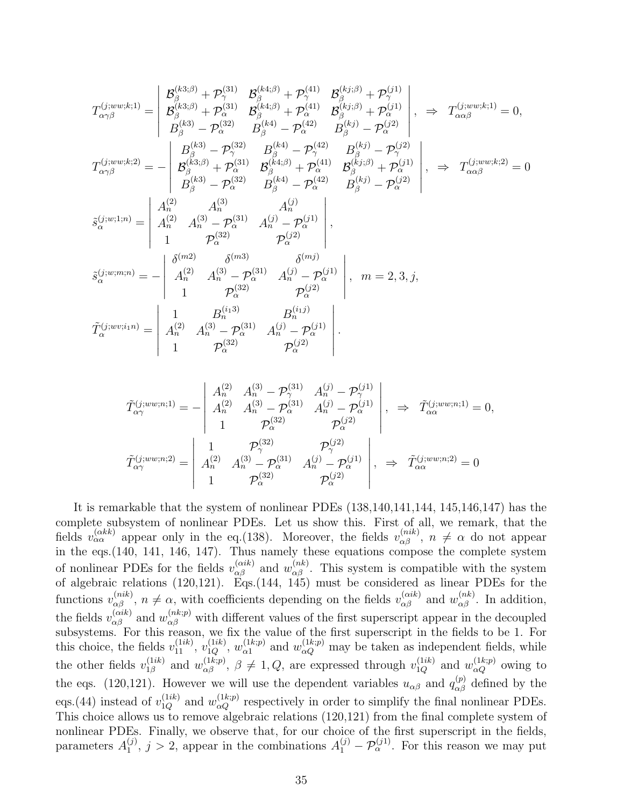$$
T_{\alpha\gamma\beta}^{(j;ww;k;1)} = \begin{vmatrix} \mathcal{B}_{\beta}^{(k3;\beta)} + \mathcal{P}_{\gamma}^{(31)} & \mathcal{B}_{\beta}^{(k4;\beta)} + \mathcal{P}_{\gamma}^{(41)} & \mathcal{B}_{\beta}^{(kj;\beta)} + \mathcal{P}_{\gamma}^{(j1)} \\ \mathcal{B}_{\beta}^{(k3;\beta)} + \mathcal{P}_{\alpha}^{(31)} & \mathcal{B}_{\beta}^{(k4;\beta)} + \mathcal{P}_{\alpha}^{(41)} & \mathcal{B}_{\beta}^{(kj;\beta)} + \mathcal{P}_{\alpha}^{(j1)} \\ \mathcal{B}_{\beta}^{(k3)} - \mathcal{P}_{\alpha}^{(32)} & \mathcal{B}_{\beta}^{(k4)} - \mathcal{P}_{\alpha}^{(42)} & \mathcal{B}_{\beta}^{(kj)} - \mathcal{P}_{\gamma}^{(j2)} \\ \mathcal{B}_{\alpha\gamma\beta}^{(j;ww;k;2)} = - \begin{vmatrix} \mathcal{B}_{\beta}^{(k3;\beta)} + \mathcal{P}_{\alpha}^{(31)} & \mathcal{B}_{\beta}^{(k4;\beta)} + \mathcal{P}_{\alpha}^{(41)} & \mathcal{B}_{\beta}^{(kj)} - \mathcal{P}_{\gamma}^{(j2)} \\ \mathcal{B}_{\beta}^{(k3;\beta)} + \mathcal{P}_{\alpha}^{(31)} & \mathcal{B}_{\beta}^{(k4;\beta)} + \mathcal{P}_{\alpha}^{(41)} & \mathcal{B}_{\beta}^{(kj;\beta)} + \mathcal{P}_{\alpha}^{(j1)} \\ \mathcal{B}_{\beta}^{(k3)} - \mathcal{P}_{\alpha}^{(32)} & \mathcal{B}_{\beta}^{(k4)} - \mathcal{P}_{\alpha}^{(42)} & \mathcal{B}_{\beta}^{(kj)} - \mathcal{P}_{\alpha}^{(j2)} \\ \mathcal{B}_{\alpha}^{(21)} & \mathcal{A}_{\alpha}^{(3)} & \mathcal{A}_{\alpha}^{(j)} \\ 1 & \mathcal{P}_{\alpha}^{(32)} & \mathcal{P}_{\alpha}^{(j2)} \\ 1 & \mathcal{P}_{\alpha}^{(32)} & \mathcal{P}_{\alpha}^{(j2)} \\ \mathcal{S}_{\alpha}^{(j;w;1;n)} = - \begin{vmatrix} \delta^{(m2)}
$$

$$
\tilde{T}_{\alpha\gamma}^{(j;ww;n;1)} = -\begin{vmatrix}\nA_n^{(2)} & A_n^{(3)} - \mathcal{P}_{\gamma}^{(31)} & A_n^{(j)} - \mathcal{P}_{\gamma}^{(j1)} \\
A_n^{(2)} & A_n^{(3)} - \mathcal{P}_{\alpha}^{(31)} & A_n^{(j)} - \mathcal{P}_{\alpha}^{(j1)} \\
1 & \mathcal{P}_{\alpha}^{(32)} & \mathcal{P}_{\alpha}^{(j2)}\n\end{vmatrix}, \Rightarrow \tilde{T}_{\alpha\alpha}^{(j;ww;n;1)} = 0,
$$
\n
$$
\tilde{T}_{\alpha\gamma}^{(j;ww;n;2)} = \begin{vmatrix}\n1 & \mathcal{P}_{\gamma}^{(32)} & \mathcal{P}_{\gamma}^{(j2)} \\
A_n^{(2)} & A_n^{(3)} - \mathcal{P}_{\alpha}^{(31)} & A_n^{(j)} - \mathcal{P}_{\alpha}^{(j1)} \\
1 & \mathcal{P}_{\alpha}^{(32)} & \mathcal{P}_{\alpha}^{(j2)}\n\end{vmatrix}, \Rightarrow \tilde{T}_{\alpha\alpha}^{(j;ww;n;2)} = 0
$$

It is remarkable that the system of nonlinear PDEs (138,140,141,144, 145,146,147) has the complete subsystem of nonlinear PDEs. Let us show this. First of all, we remark, that the fields  $v_{\alpha\alpha}^{(\alpha k k)}$  appear only in the eq.(138). Moreover, the fields  $v_{\alpha\beta}^{(nik)}$ ,  $n \neq \alpha$  do not appear in the eqs.(140, 141, 146, 147). Thus namely these equations compose the complete system of nonlinear PDEs for the fields  $v_{\alpha\beta}^{(\alpha i k)}$  and  $w_{\alpha\beta}^{(nk)}$ . This system is compatible with the system of algebraic relations (120,121). Eqs.(144, 145) must be considered as linear PDEs for the functions  $v_{\alpha\beta}^{(nik)}$ ,  $n \neq \alpha$ , with coefficients depending on the fields  $v_{\alpha\beta}^{(aik)}$  and  $w_{\alpha\beta}^{(nk)}$ . In addition, the fields  $v_{\alpha\beta}^{(\alpha ik)}$  and  $w_{\alpha\beta}^{(nk;p)}$  with different values of the first superscript appear in the decoupled subsystems. For this reason, we fix the value of the first superscript in the fields to be 1. For this choice, the fields  $v_{11}^{(1ik)}$ ,  $v_{1Q}^{(1ik)}$ ,  $w_{\alpha 1}^{(1k;p)}$  $\alpha_1^{(1k;p)}$  and  $w_{\alpha Q}^{(1k;p)}$  may be taken as independent fields, while the other fields  $v_{1\beta}^{(1ik)}$  $u_{1\beta}^{(1ik)}$  and  $w_{\alpha\beta}^{(1k;p)}$ ,  $\beta \neq 1, Q$ , are expressed through  $v_{1Q}^{(1ik)}$  and  $w_{\alpha Q}^{(1k;p)}$  owing to the eqs. (120,121). However we will use the dependent variables  $u_{\alpha\beta}$  and  $q_{\alpha\beta}^{(p)}$  defined by the eqs.(44) instead of  $v_{1Q}^{(1ik)}$  and  $w_{\alpha Q}^{(1k;p)}$  respectively in order to simplify the final nonlinear PDEs. This choice allows us to remove algebraic relations (120,121) from the final complete system of nonlinear PDEs. Finally, we observe that, for our choice of the first superscript in the fields, parameters  $A_1^{(j)}$  $1_1^{(j)}$ ,  $j > 2$ , appear in the combinations  $A_1^{(j)} - \mathcal{P}_{\alpha}^{(j)}$ . For this reason we may put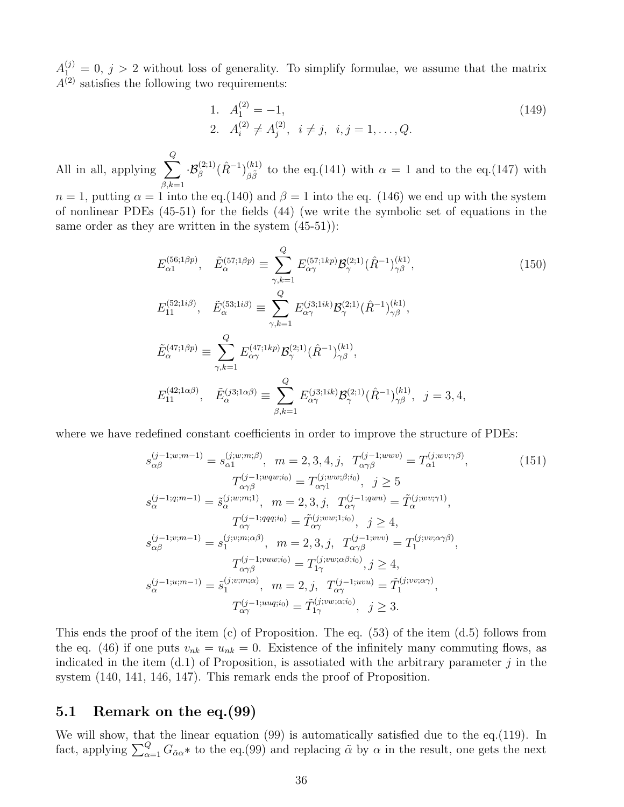$A_{1}^{(j)}=0, j>2$  without loss of generality. To simplify formulae, we assume that the matrix  $A^{(2)}$  satisfies the following two requirements:

1. 
$$
A_1^{(2)} = -1
$$
,  
\n2.  $A_i^{(2)} \neq A_j^{(2)}$ ,  $i \neq j$ ,  $i, j = 1, ..., Q$ . (149)

All in all, applying  $\sum$ Q  $_{\beta,k=1}$  $\cdot {\cal B}^{(2;1)}_{\beta}(\hat R^{-1})^{(k1)}_{\beta\tilde\beta}$  $\frac{(\kappa_1)}{\beta \tilde{\beta}}$  to the eq.(141) with  $\alpha = 1$  and to the eq.(147) with

 $n = 1$ , putting  $\alpha = 1$  into the eq. (140) and  $\beta = 1$  into the eq. (146) we end up with the system of nonlinear PDEs (45-51) for the fields (44) (we write the symbolic set of equations in the same order as they are written in the system  $(45-51)$ :

$$
E_{\alpha 1}^{(56;1\beta p)}, \quad \tilde{E}_{\alpha}^{(57;1\beta p)} \equiv \sum_{\gamma,k=1}^{Q} E_{\alpha \gamma}^{(57;1kp)} \mathcal{B}_{\gamma}^{(2;1)} (\hat{R}^{-1})_{\gamma \beta}^{(k1)},
$$
\n
$$
E_{11}^{(52;1i\beta)}, \quad \tilde{E}_{\alpha}^{(53;1i\beta)} \equiv \sum_{\gamma,k=1}^{Q} E_{\alpha \gamma}^{(j3;1ik)} \mathcal{B}_{\gamma}^{(2;1)} (\hat{R}^{-1})_{\gamma \beta}^{(k1)},
$$
\n
$$
\tilde{E}_{\alpha}^{(47;1\beta p)} \equiv \sum_{\gamma,k=1}^{Q} E_{\alpha \gamma}^{(47;1kp)} \mathcal{B}_{\gamma}^{(2;1)} (\hat{R}^{-1})_{\gamma \beta}^{(k1)},
$$
\n
$$
E_{11}^{(42;1\alpha\beta)}, \quad \tilde{E}_{\alpha}^{(j3;1\alpha\beta)} \equiv \sum_{\beta,k=1}^{Q} E_{\alpha \gamma}^{(j3;1ik)} \mathcal{B}_{\gamma}^{(2;1)} (\hat{R}^{-1})_{\gamma \beta}^{(k1)}, \quad j = 3, 4,
$$
\n(150)

where we have redefined constant coefficients in order to improve the structure of PDEs:

$$
s_{\alpha\beta}^{(j-1;w;m-1)} = s_{\alpha 1}^{(j;w;m;\beta)}, \quad m = 2, 3, 4, j, \quad T_{\alpha\gamma\beta}^{(j-1;wwv)} = T_{\alpha 1}^{(j;wv;\gamma\beta)},
$$
  
\n
$$
T_{\alpha\gamma\beta}^{(j-1;wqv;\mathbf{i})} = T_{\alpha\gamma 1}^{(j;ww;\beta;\mathbf{i}_0)}, \quad j \ge 5
$$
  
\n
$$
s_{\alpha}^{(j-1;q;m-1)} = \tilde{s}_{\alpha}^{(j;w;m;1)}, \quad m = 2, 3, j, \quad T_{\alpha\gamma}^{(j-1;qwv)} = \tilde{T}_{\alpha}^{(j;wv;\gamma1)},
$$
  
\n
$$
T_{\alpha\gamma}^{(j-1;qqq;\mathbf{i}_0)} = \tilde{T}_{\alpha\gamma}^{(j;ww;\mathbf{i}_0)} , \quad j \ge 4,
$$
  
\n
$$
s_{\alpha\beta}^{(j-1;v;m-1)} = s_1^{(j;v;m;\alpha\beta)}, \quad m = 2, 3, j, \quad T_{\alpha\gamma\beta}^{(j-1;wwv)} = T_1^{(j;vv;\alpha\gamma\beta)},
$$
  
\n
$$
T_{\alpha\gamma\beta}^{(j-1;vuw;\mathbf{i}_0)} = T_{1\gamma}^{(j;vw;\alpha\beta;\mathbf{i}_0)}, j \ge 4,
$$
  
\n
$$
s_{\alpha}^{(j-1;u;m-1)} = \tilde{s}_{1}^{(j;v;m;\alpha)}, \quad m = 2, j, \quad T_{\alpha\gamma}^{(j-1;uvu)} = \tilde{T}_{1}^{(j;vv;\alpha\gamma)},
$$
  
\n
$$
T_{\alpha\gamma}^{(j-1;uuq;\mathbf{i}_0)} = \tilde{T}_{1\gamma}^{(j;vw;\alpha;\mathbf{i}_0)}, \quad j \ge 3.
$$
  
\n(151)

This ends the proof of the item (c) of Proposition. The eq. (53) of the item (d.5) follows from the eq. (46) if one puts  $v_{nk} = u_{nk} = 0$ . Existence of the infinitely many commuting flows, as indicated in the item  $(d.1)$  of Proposition, is assotiated with the arbitrary parameter j in the system (140, 141, 146, 147). This remark ends the proof of Proposition.

#### 5.1 Remark on the eq.(99)

We will show, that the linear equation (99) is automatically satisfied due to the eq.(119). In fact, applying  $\sum_{\alpha=1}^{Q} G_{\alpha\alpha}$ \* to the eq.(99) and replacing  $\tilde{\alpha}$  by  $\alpha$  in the result, one gets the next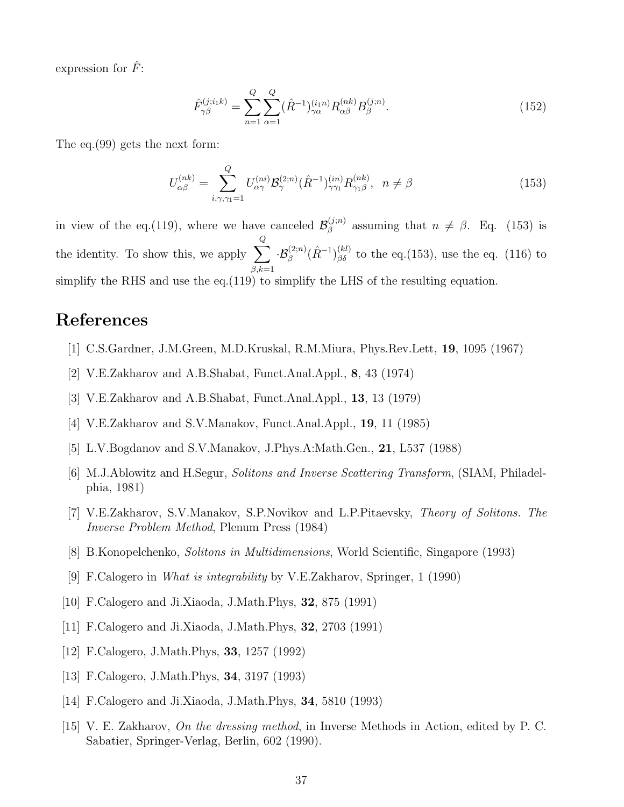expression for  $\hat{F}$ :

$$
\hat{F}_{\gamma\beta}^{(j;i_1k)} = \sum_{n=1}^{Q} \sum_{\alpha=1}^{Q} (\hat{R}^{-1})_{\gamma\alpha}^{(i_1n)} R_{\alpha\beta}^{(nk)} B_{\beta}^{(j;n)}.
$$
\n(152)

The eq.(99) gets the next form:

$$
U_{\alpha\beta}^{(nk)} = \sum_{i,\gamma,\gamma_1=1}^{Q} U_{\alpha\gamma}^{(ni)} \mathcal{B}_{\gamma}^{(2;n)}(\hat{R}^{-1})_{\gamma\gamma_1}^{(in)} R_{\gamma_1\beta}^{(nk)}, \ \ n \neq \beta
$$
 (153)

in view of the eq.(119), where we have canceled  $\mathcal{B}_{\beta}^{(j;n)}$  $\beta_{\beta}^{(j;n)}$  assuming that  $n \neq \beta$ . Eq. (153) is the identity. To show this, we apply  $\sum$ Q  $_{\beta,k=1}$  $\cdot \mathcal{B}_{\beta}^{(2;n)}(\hat{R}^{-1})_{\beta\delta}^{(kl)}$  to the eq. (153), use the eq. (116) to simplify the RHS and use the eq.(119) to simplify the LHS of the resulting equation.

### References

- [1] C.S.Gardner, J.M.Green, M.D.Kruskal, R.M.Miura, Phys.Rev.Lett, 19, 1095 (1967)
- [2] V.E.Zakharov and A.B.Shabat, Funct.Anal.Appl., 8, 43 (1974)
- [3] V.E.Zakharov and A.B.Shabat, Funct.Anal.Appl., 13, 13 (1979)
- [4] V.E.Zakharov and S.V.Manakov, Funct.Anal.Appl., 19, 11 (1985)
- [5] L.V.Bogdanov and S.V.Manakov, J.Phys.A:Math.Gen., 21, L537 (1988)
- [6] M.J.Ablowitz and H.Segur, Solitons and Inverse Scattering Transform, (SIAM, Philadelphia, 1981)
- [7] V.E.Zakharov, S.V.Manakov, S.P.Novikov and L.P.Pitaevsky, Theory of Solitons. The Inverse Problem Method, Plenum Press (1984)
- [8] B.Konopelchenko, Solitons in Multidimensions, World Scientific, Singapore (1993)
- [9] F.Calogero in What is integrability by V.E.Zakharov, Springer, 1 (1990)
- [10] F.Calogero and Ji.Xiaoda, J.Math.Phys, 32, 875 (1991)
- [11] F.Calogero and Ji.Xiaoda, J.Math.Phys, 32, 2703 (1991)
- [12] F.Calogero, J.Math.Phys, 33, 1257 (1992)
- [13] F.Calogero, J.Math.Phys, 34, 3197 (1993)
- [14] F.Calogero and Ji.Xiaoda, J.Math.Phys, 34, 5810 (1993)
- [15] V. E. Zakharov, On the dressing method, in Inverse Methods in Action, edited by P. C. Sabatier, Springer-Verlag, Berlin, 602 (1990).